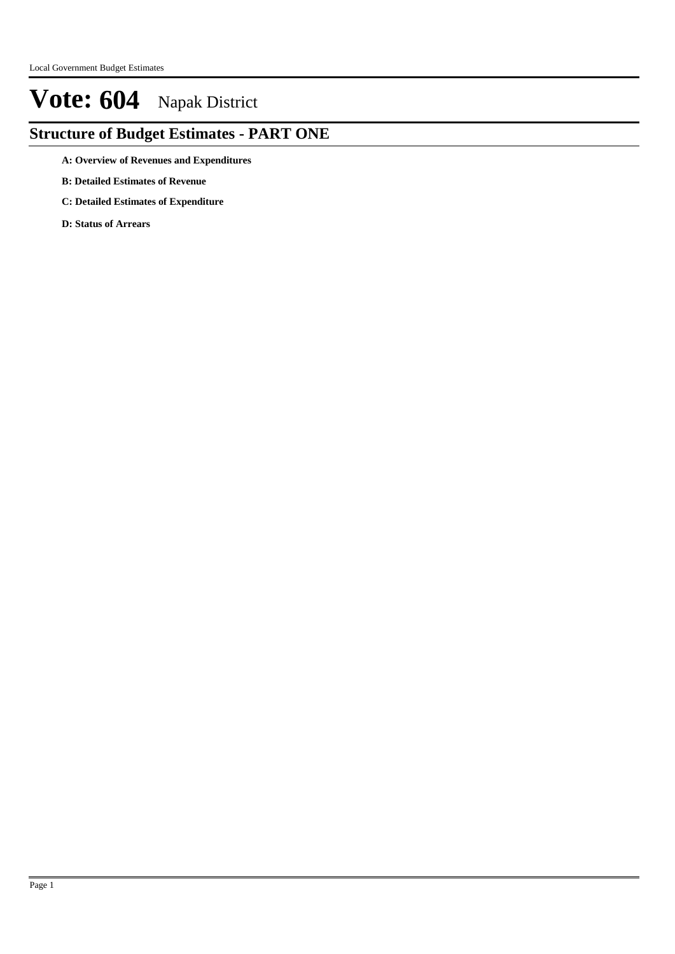### **Structure of Budget Estimates - PART ONE**

- **A: Overview of Revenues and Expenditures**
- **B: Detailed Estimates of Revenue**
- **C: Detailed Estimates of Expenditure**
- **D: Status of Arrears**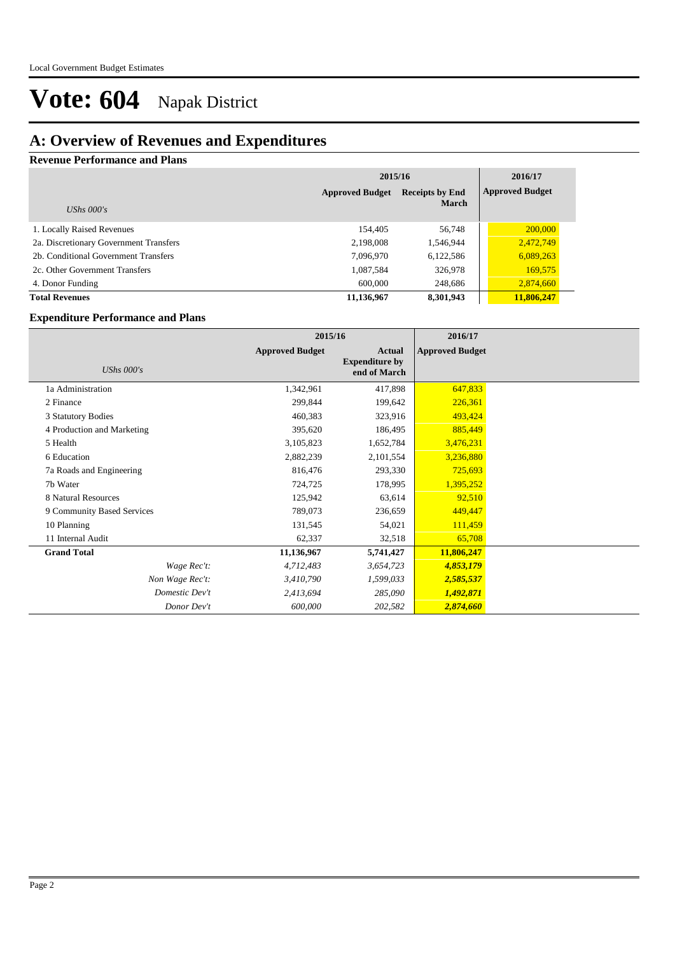### **A: Overview of Revenues and Expenditures**

#### **Revenue Performance and Plans**

|                                        | 2015/16                                          | 2016/17      |                        |
|----------------------------------------|--------------------------------------------------|--------------|------------------------|
|                                        | <b>Receipts by End</b><br><b>Approved Budget</b> |              | <b>Approved Budget</b> |
| UShs $000's$                           |                                                  | <b>March</b> |                        |
| 1. Locally Raised Revenues             | 154,405                                          | 56,748       | 200,000                |
| 2a. Discretionary Government Transfers | 2,198,008                                        | 1,546,944    | 2,472,749              |
| 2b. Conditional Government Transfers   | 7,096,970                                        | 6,122,586    | 6,089,263              |
| 2c. Other Government Transfers         | 1,087,584                                        | 326,978      | 169,575                |
| 4. Donor Funding                       | 600,000                                          | 248,686      | 2,874,660              |
| <b>Total Revenues</b>                  | 11,136,967                                       | 8,301,943    | 11,806,247             |

#### **Expenditure Performance and Plans**

|                            | 2015/16                |                                                 | 2016/17                |  |
|----------------------------|------------------------|-------------------------------------------------|------------------------|--|
| UShs $000's$               | <b>Approved Budget</b> | Actual<br><b>Expenditure by</b><br>end of March | <b>Approved Budget</b> |  |
| 1a Administration          | 1,342,961              | 417,898                                         | 647,833                |  |
| 2 Finance                  | 299,844                | 199,642                                         | 226,361                |  |
| 3 Statutory Bodies         | 460,383                | 323,916                                         | 493,424                |  |
| 4 Production and Marketing | 395,620                | 186,495                                         | 885,449                |  |
| 5 Health                   | 3,105,823              | 1,652,784                                       | 3,476,231              |  |
| 6 Education                | 2,882,239              | 2,101,554                                       | 3,236,880              |  |
| 7a Roads and Engineering   | 816,476                | 293,330                                         | 725,693                |  |
| 7b Water                   | 724,725                | 178,995                                         | 1,395,252              |  |
| 8 Natural Resources        | 125,942                | 63,614                                          | 92,510                 |  |
| 9 Community Based Services | 789,073                | 236,659                                         | 449,447                |  |
| 10 Planning                | 131,545                | 54,021                                          | 111,459                |  |
| 11 Internal Audit          | 62,337                 | 32,518                                          | 65,708                 |  |
| <b>Grand Total</b>         | 11,136,967             | 5,741,427                                       | 11,806,247             |  |
| Wage Rec't:                | 4,712,483              | 3,654,723                                       | 4,853,179              |  |
| Non Wage Rec't:            | 3,410,790              | 1,599,033                                       | 2,585,537              |  |
| Domestic Dev't             | 2,413,694              | 285,090                                         | 1,492,871              |  |
| Donor Dev't                | 600,000                | 202,582                                         | 2,874,660              |  |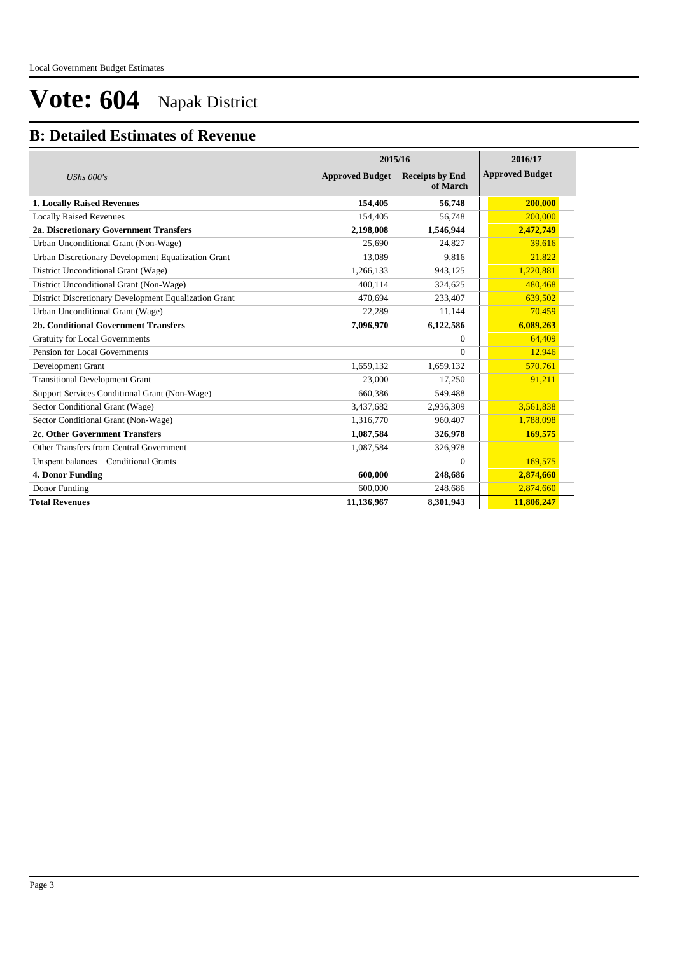### **B: Detailed Estimates of Revenue**

|                                                       | 2015/16                | 2016/17                            |                        |
|-------------------------------------------------------|------------------------|------------------------------------|------------------------|
| UShs $000's$                                          | <b>Approved Budget</b> | <b>Receipts by End</b><br>of March | <b>Approved Budget</b> |
| <b>1. Locally Raised Revenues</b>                     | 154,405                | 56,748                             | 200,000                |
| <b>Locally Raised Revenues</b>                        | 154,405                | 56,748                             | 200,000                |
| 2a. Discretionary Government Transfers                | 2,198,008              | 1,546,944                          | 2,472,749              |
| Urban Unconditional Grant (Non-Wage)                  | 25.690                 | 24.827                             | 39,616                 |
| Urban Discretionary Development Equalization Grant    | 13,089                 | 9,816                              | 21,822                 |
| District Unconditional Grant (Wage)                   | 1,266,133              | 943,125                            | 1,220,881              |
| District Unconditional Grant (Non-Wage)               | 400.114                | 324,625                            | 480,468                |
| District Discretionary Development Equalization Grant | 470,694                | 233,407                            | 639,502                |
| Urban Unconditional Grant (Wage)                      | 22.289                 | 11,144                             | 70.459                 |
| <b>2b. Conditional Government Transfers</b>           | 7,096,970              | 6,122,586                          | 6,089,263              |
| <b>Gratuity for Local Governments</b>                 |                        | 0                                  | 64,409                 |
| Pension for Local Governments                         |                        | $\theta$                           | 12,946                 |
| Development Grant                                     | 1,659,132              | 1,659,132                          | 570,761                |
| <b>Transitional Development Grant</b>                 | 23,000                 | 17,250                             | 91,211                 |
| Support Services Conditional Grant (Non-Wage)         | 660,386                | 549,488                            |                        |
| Sector Conditional Grant (Wage)                       | 3,437,682              | 2,936,309                          | 3,561,838              |
| Sector Conditional Grant (Non-Wage)                   | 1,316,770              | 960,407                            | 1,788,098              |
| 2c. Other Government Transfers                        | 1,087,584              | 326,978                            | 169,575                |
| Other Transfers from Central Government               | 1,087,584              | 326,978                            |                        |
| Unspent balances - Conditional Grants                 |                        | $\theta$                           | 169,575                |
| 4. Donor Funding                                      | 600,000                | 248,686                            | 2,874,660              |
| Donor Funding                                         | 600,000                | 248,686                            | 2,874,660              |
| <b>Total Revenues</b>                                 | 11,136,967             | 8,301,943                          | 11,806,247             |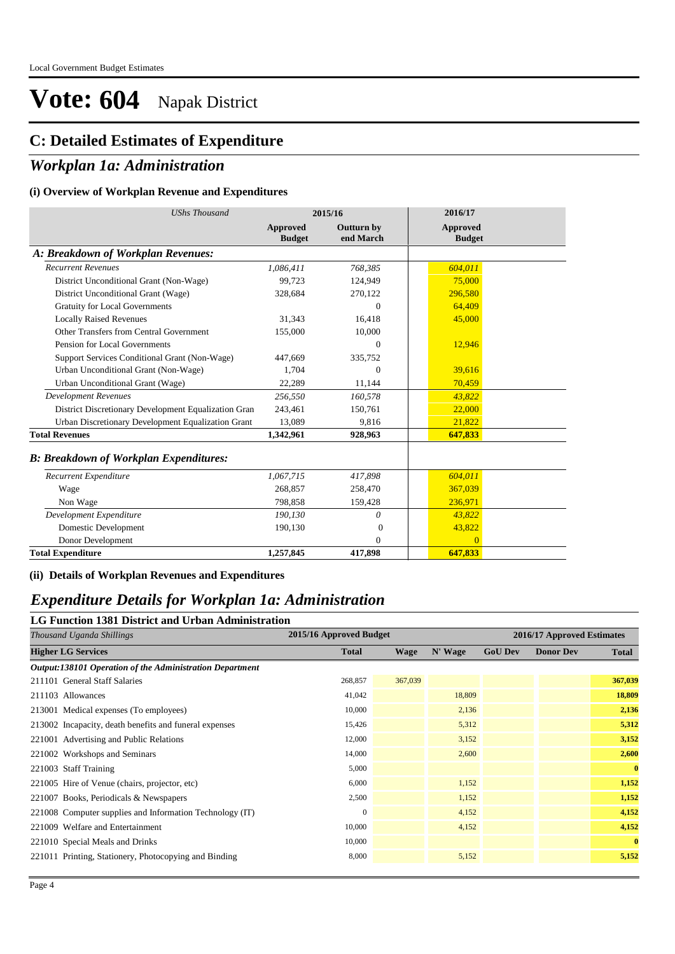#### **C: Detailed Estimates of Expenditure**

#### *Workplan 1a: Administration*

#### **(i) Overview of Workplan Revenue and Expenditures**

| <b>UShs Thousand</b>                                 | 2015/16                          |                         | 2016/17                   |
|------------------------------------------------------|----------------------------------|-------------------------|---------------------------|
|                                                      | <b>Approved</b><br><b>Budget</b> | Outturn by<br>end March | Approved<br><b>Budget</b> |
| A: Breakdown of Workplan Revenues:                   |                                  |                         |                           |
| <b>Recurrent Revenues</b>                            | 1,086,411                        | 768,385                 | 604,011                   |
| District Unconditional Grant (Non-Wage)              | 99.723                           | 124,949                 | 75,000                    |
| District Unconditional Grant (Wage)                  | 328,684                          | 270,122                 | 296,580                   |
| <b>Gratuity for Local Governments</b>                |                                  | $\overline{0}$          | 64,409                    |
| <b>Locally Raised Revenues</b>                       | 31,343                           | 16,418                  | 45,000                    |
| Other Transfers from Central Government              | 155,000                          | 10,000                  |                           |
| Pension for Local Governments                        |                                  | $\theta$                | 12,946                    |
| Support Services Conditional Grant (Non-Wage)        | 447.669                          | 335,752                 |                           |
| Urban Unconditional Grant (Non-Wage)                 | 1.704                            | $\Omega$                | 39.616                    |
| Urban Unconditional Grant (Wage)                     | 22,289                           | 11,144                  | 70,459                    |
| Development Revenues                                 | 256,550                          | 160,578                 | 43,822                    |
| District Discretionary Development Equalization Gran | 243,461                          | 150,761                 | 22,000                    |
| Urban Discretionary Development Equalization Grant   | 13,089                           | 9,816                   | 21,822                    |
| <b>Total Revenues</b>                                | 1,342,961                        | 928,963                 | 647,833                   |
| <b>B: Breakdown of Workplan Expenditures:</b>        |                                  |                         |                           |
| Recurrent Expenditure                                | 1,067,715                        | 417,898                 | 604,011                   |
| Wage                                                 | 268,857                          | 258,470                 | 367,039                   |
| Non Wage                                             | 798,858                          | 159,428                 | 236,971                   |
| Development Expenditure                              | 190,130                          | 0                       | 43,822                    |
| Domestic Development                                 | 190,130                          | $\Omega$                | 43,822                    |
| Donor Development                                    |                                  | $\Omega$                | $\Omega$                  |
| <b>Total Expenditure</b>                             | 1,257,845                        | 417,898                 | 647,833                   |

**(ii) Details of Workplan Revenues and Expenditures**

#### *Expenditure Details for Workplan 1a: Administration*

### **LG Function 1381 District and Urban Administration**

| Thousand Uganda Shillings                                |              | 2015/16 Approved Budget |         |                | 2016/17 Approved Estimates |              |  |
|----------------------------------------------------------|--------------|-------------------------|---------|----------------|----------------------------|--------------|--|
| <b>Higher LG Services</b>                                | <b>Total</b> | <b>Wage</b>             | N' Wage | <b>GoU Dev</b> | <b>Donor Dev</b>           | <b>Total</b> |  |
| Output:138101 Operation of the Administration Department |              |                         |         |                |                            |              |  |
| 211101 General Staff Salaries                            | 268,857      | 367,039                 |         |                |                            | 367,039      |  |
| 211103 Allowances                                        | 41,042       |                         | 18,809  |                |                            | 18,809       |  |
| 213001 Medical expenses (To employees)                   | 10,000       |                         | 2,136   |                |                            | 2,136        |  |
| 213002 Incapacity, death benefits and funeral expenses   | 15,426       |                         | 5,312   |                |                            | 5,312        |  |
| 221001 Advertising and Public Relations                  | 12,000       |                         | 3,152   |                |                            | 3,152        |  |
| 221002 Workshops and Seminars                            | 14,000       |                         | 2,600   |                |                            | 2,600        |  |
| 221003 Staff Training                                    | 5,000        |                         |         |                |                            | $\mathbf{0}$ |  |
| 221005 Hire of Venue (chairs, projector, etc)            | 6,000        |                         | 1,152   |                |                            | 1,152        |  |
| 221007 Books, Periodicals & Newspapers                   | 2,500        |                         | 1,152   |                |                            | 1,152        |  |
| 221008 Computer supplies and Information Technology (IT) | $\mathbf{0}$ |                         | 4,152   |                |                            | 4,152        |  |
| 221009 Welfare and Entertainment                         | 10,000       |                         | 4,152   |                |                            | 4,152        |  |
| 221010 Special Meals and Drinks                          | 10,000       |                         |         |                |                            | $\mathbf{0}$ |  |
| 221011 Printing, Stationery, Photocopying and Binding    | 8,000        |                         | 5,152   |                |                            | 5,152        |  |
|                                                          |              |                         |         |                |                            |              |  |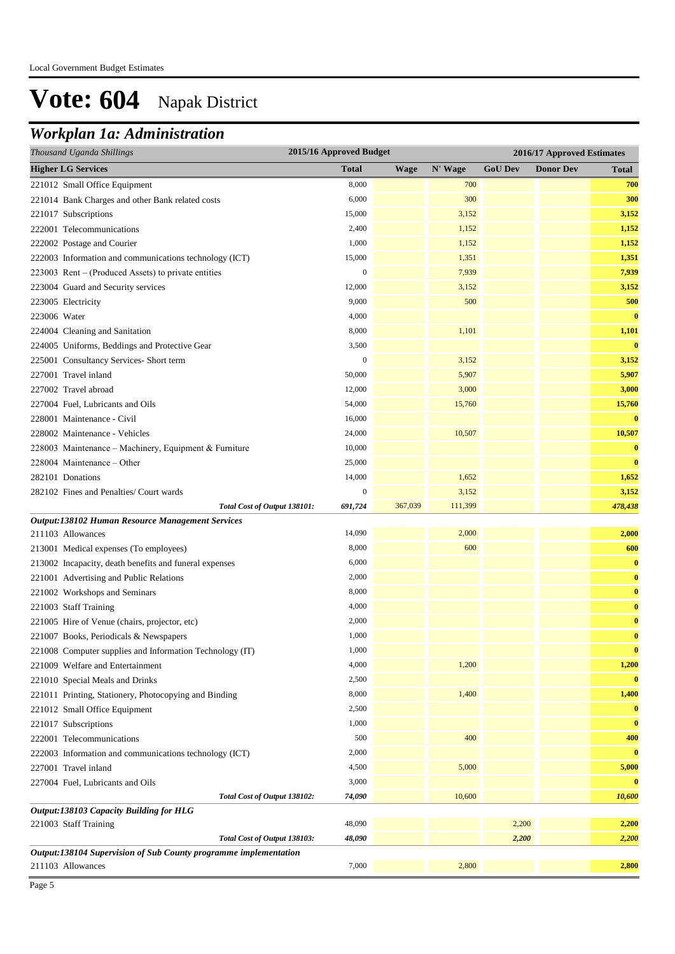## *Workplan 1a: Administration*

| Thousand Uganda Shillings                                        | 2015/16 Approved Budget |             |         |                | 2016/17 Approved Estimates |              |
|------------------------------------------------------------------|-------------------------|-------------|---------|----------------|----------------------------|--------------|
| <b>Higher LG Services</b>                                        | <b>Total</b>            | <b>Wage</b> | N' Wage | <b>GoU Dev</b> | <b>Donor Dev</b>           | Total        |
| 221012 Small Office Equipment                                    | 8,000                   |             | 700     |                |                            | 700          |
| 221014 Bank Charges and other Bank related costs                 | 6,000                   |             | 300     |                |                            | 300          |
| 221017 Subscriptions                                             | 15,000                  |             | 3,152   |                |                            | 3,152        |
| 222001 Telecommunications                                        | 2,400                   |             | 1,152   |                |                            | 1,152        |
| 222002 Postage and Courier                                       | 1,000                   |             | 1,152   |                |                            | 1,152        |
| 222003 Information and communications technology (ICT)           | 15,000                  |             | 1,351   |                |                            | 1,351        |
| 223003 Rent – (Produced Assets) to private entities              | $\boldsymbol{0}$        |             | 7,939   |                |                            | 7,939        |
| 223004 Guard and Security services                               | 12,000                  |             | 3,152   |                |                            | 3,152        |
| 223005 Electricity                                               | 9,000                   |             | 500     |                |                            | 500          |
| 223006 Water                                                     | 4,000                   |             |         |                |                            | $\bf{0}$     |
| 224004 Cleaning and Sanitation                                   | 8,000                   |             | 1,101   |                |                            | 1,101        |
| 224005 Uniforms, Beddings and Protective Gear                    | 3,500                   |             |         |                |                            | $\bf{0}$     |
| 225001 Consultancy Services- Short term                          | $\boldsymbol{0}$        |             | 3,152   |                |                            | 3,152        |
| 227001 Travel inland                                             | 50,000                  |             | 5,907   |                |                            | 5,907        |
| 227002 Travel abroad                                             | 12,000                  |             | 3,000   |                |                            | 3,000        |
| 227004 Fuel, Lubricants and Oils                                 | 54,000                  |             | 15,760  |                |                            | 15,760       |
| 228001 Maintenance - Civil                                       | 16,000                  |             |         |                |                            | $\bf{0}$     |
| 228002 Maintenance - Vehicles                                    | 24,000                  |             | 10,507  |                |                            | 10,507       |
| 228003 Maintenance - Machinery, Equipment & Furniture            | 10,000                  |             |         |                |                            | $\bf{0}$     |
| 228004 Maintenance - Other                                       | 25,000                  |             |         |                |                            | $\bf{0}$     |
| 282101 Donations                                                 | 14,000                  |             | 1,652   |                |                            | 1,652        |
| 282102 Fines and Penalties/ Court wards                          | $\boldsymbol{0}$        |             | 3,152   |                |                            | 3,152        |
| Total Cost of Output 138101:                                     | 691,724                 | 367,039     | 111,399 |                |                            | 478,438      |
| Output:138102 Human Resource Management Services                 |                         |             |         |                |                            |              |
| 211103 Allowances                                                | 14,090                  |             | 2,000   |                |                            | 2,000        |
| 213001 Medical expenses (To employees)                           | 8,000                   |             | 600     |                |                            | 600          |
| 213002 Incapacity, death benefits and funeral expenses           | 6,000                   |             |         |                |                            | $\bf{0}$     |
| 221001 Advertising and Public Relations                          | 2,000                   |             |         |                |                            | $\bf{0}$     |
| 221002 Workshops and Seminars                                    | 8,000                   |             |         |                |                            | $\bf{0}$     |
| 221003 Staff Training                                            | 4,000                   |             |         |                |                            | $\bf{0}$     |
| 221005 Hire of Venue (chairs, projector, etc)                    | 2,000                   |             |         |                |                            | $\bf{0}$     |
| 221007 Books, Periodicals & Newspapers                           | 1,000                   |             |         |                |                            | $\bf{0}$     |
| 221008 Computer supplies and Information Technology (IT)         | 1,000                   |             |         |                |                            | $\mathbf{0}$ |
| 221009 Welfare and Entertainment                                 | 4,000                   |             | 1,200   |                |                            | 1,200        |
| 221010 Special Meals and Drinks                                  | 2,500                   |             |         |                |                            | $\bf{0}$     |
| 221011 Printing, Stationery, Photocopying and Binding            | 8,000                   |             | 1,400   |                |                            | 1,400        |
| 221012 Small Office Equipment                                    | 2,500                   |             |         |                |                            | $\bf{0}$     |
| 221017 Subscriptions                                             | 1,000                   |             |         |                |                            | $\bf{0}$     |
| 222001 Telecommunications                                        | 500                     |             | 400     |                |                            | 400          |
| 222003 Information and communications technology (ICT)           | 2,000                   |             |         |                |                            | $\bf{0}$     |
| 227001 Travel inland                                             | 4,500                   |             | 5,000   |                |                            | 5,000        |
| 227004 Fuel, Lubricants and Oils                                 | 3,000                   |             |         |                |                            | $\bf{0}$     |
| Total Cost of Output 138102:                                     | 74,090                  |             | 10,600  |                |                            | 10,600       |
| Output:138103 Capacity Building for HLG                          |                         |             |         |                |                            |              |
| 221003 Staff Training                                            | 48,090                  |             |         | 2,200          |                            | 2,200        |
| Total Cost of Output 138103:                                     | 48,090                  |             |         | 2,200          |                            | 2,200        |
| Output:138104 Supervision of Sub County programme implementation |                         |             |         |                |                            |              |
| 211103 Allowances                                                | 7,000                   |             | 2,800   |                |                            | 2,800        |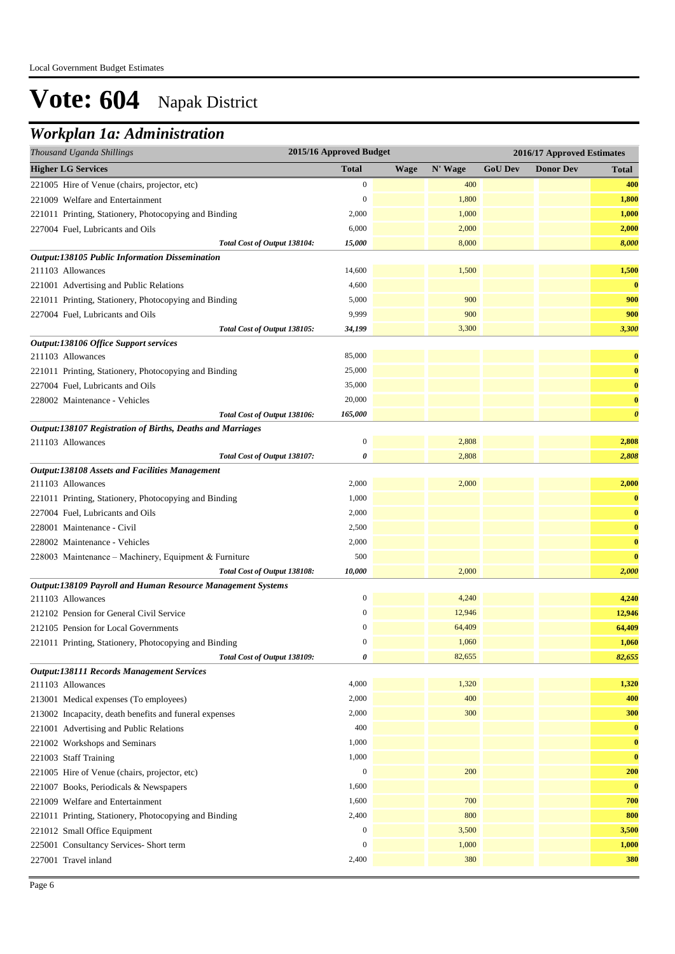### *Workplan 1a: Administration*

| Thousand Uganda Shillings                                                  | 2015/16 Approved Budget |      |         |                | 2016/17 Approved Estimates |                       |
|----------------------------------------------------------------------------|-------------------------|------|---------|----------------|----------------------------|-----------------------|
| <b>Higher LG Services</b>                                                  | <b>Total</b>            | Wage | N' Wage | <b>GoU Dev</b> | <b>Donor Dev</b>           | <b>Total</b>          |
| 221005 Hire of Venue (chairs, projector, etc)                              | $\mathbf{0}$            |      | 400     |                |                            | 400                   |
| 221009 Welfare and Entertainment                                           | $\mathbf{0}$            |      | 1,800   |                |                            | 1,800                 |
| 221011 Printing, Stationery, Photocopying and Binding                      | 2,000                   |      | 1,000   |                |                            | 1,000                 |
| 227004 Fuel, Lubricants and Oils                                           | 6,000                   |      | 2,000   |                |                            | 2,000                 |
| Total Cost of Output 138104:                                               | 15,000                  |      | 8,000   |                |                            | 8,000                 |
| <b>Output:138105 Public Information Dissemination</b>                      |                         |      |         |                |                            |                       |
| 211103 Allowances                                                          | 14,600                  |      | 1,500   |                |                            | 1,500                 |
| 221001 Advertising and Public Relations                                    | 4,600                   |      |         |                |                            | $\bf{0}$              |
| 221011 Printing, Stationery, Photocopying and Binding                      | 5,000                   |      | 900     |                |                            | 900                   |
| 227004 Fuel, Lubricants and Oils                                           | 9,999                   |      | 900     |                |                            | 900                   |
| Total Cost of Output 138105:                                               | 34,199                  |      | 3,300   |                |                            | 3,300                 |
| Output:138106 Office Support services                                      |                         |      |         |                |                            |                       |
| 211103 Allowances                                                          | 85,000                  |      |         |                |                            | $\bf{0}$              |
| 221011 Printing, Stationery, Photocopying and Binding                      | 25,000                  |      |         |                |                            | $\bf{0}$              |
| 227004 Fuel, Lubricants and Oils                                           | 35,000                  |      |         |                |                            | $\bf{0}$              |
| 228002 Maintenance - Vehicles                                              | 20,000                  |      |         |                |                            | $\bf{0}$              |
| Total Cost of Output 138106:                                               | 165,000                 |      |         |                |                            | $\boldsymbol{\theta}$ |
| Output:138107 Registration of Births, Deaths and Marriages                 |                         |      |         |                |                            |                       |
| 211103 Allowances                                                          | $\boldsymbol{0}$        |      | 2,808   |                |                            | 2,808                 |
| Total Cost of Output 138107:                                               | $\theta$                |      | 2,808   |                |                            | 2,808                 |
| <b>Output:138108 Assets and Facilities Management</b><br>211103 Allowances | 2,000                   |      | 2,000   |                |                            | 2,000                 |
| 221011 Printing, Stationery, Photocopying and Binding                      | 1,000                   |      |         |                |                            | $\bf{0}$              |
| 227004 Fuel, Lubricants and Oils                                           | 2,000                   |      |         |                |                            | $\bf{0}$              |
| 228001 Maintenance - Civil                                                 | 2,500                   |      |         |                |                            | $\bf{0}$              |
| 228002 Maintenance - Vehicles                                              | 2,000                   |      |         |                |                            | $\bf{0}$              |
| 228003 Maintenance - Machinery, Equipment & Furniture                      | 500                     |      |         |                |                            | $\bf{0}$              |
| Total Cost of Output 138108:                                               | 10,000                  |      | 2,000   |                |                            | 2,000                 |
| Output:138109 Payroll and Human Resource Management Systems                |                         |      |         |                |                            |                       |
| 211103 Allowances                                                          | $\boldsymbol{0}$        |      | 4,240   |                |                            | 4,240                 |
| 212102 Pension for General Civil Service                                   | $\mathbf{0}$            |      | 12,946  |                |                            | 12,946                |
| 212105 Pension for Local Governments                                       | $\boldsymbol{0}$        |      | 64,409  |                |                            | 64,409                |
| 221011 Printing, Stationery, Photocopying and Binding                      | $\mathbf{0}$            |      | 1,060   |                |                            | 1,060                 |
| Total Cost of Output 138109:                                               | 0                       |      | 82,655  |                |                            | 82,655                |
| <b>Output:138111 Records Management Services</b>                           |                         |      |         |                |                            |                       |
| 211103 Allowances                                                          | 4,000                   |      | 1,320   |                |                            | 1,320                 |
| 213001 Medical expenses (To employees)                                     | 2,000                   |      | 400     |                |                            | 400                   |
| 213002 Incapacity, death benefits and funeral expenses                     | 2,000                   |      | 300     |                |                            | 300                   |
| 221001 Advertising and Public Relations                                    | 400                     |      |         |                |                            | $\bf{0}$              |
| 221002 Workshops and Seminars                                              | 1,000                   |      |         |                |                            | $\bf{0}$              |
| 221003 Staff Training                                                      | 1,000                   |      |         |                |                            | $\bf{0}$              |
| 221005 Hire of Venue (chairs, projector, etc)                              | $\boldsymbol{0}$        |      | 200     |                |                            | 200                   |
| 221007 Books, Periodicals & Newspapers                                     | 1,600                   |      |         |                |                            | $\bf{0}$              |
| 221009 Welfare and Entertainment                                           | 1,600                   |      | 700     |                |                            | 700                   |
| 221011 Printing, Stationery, Photocopying and Binding                      | 2,400                   |      | 800     |                |                            | 800                   |
| 221012 Small Office Equipment                                              | $\boldsymbol{0}$        |      | 3,500   |                |                            | 3,500                 |
| 225001 Consultancy Services- Short term                                    | $\mathbf{0}$            |      | 1,000   |                |                            | 1,000                 |
| 227001 Travel inland                                                       | 2,400                   |      | 380     |                |                            | 380                   |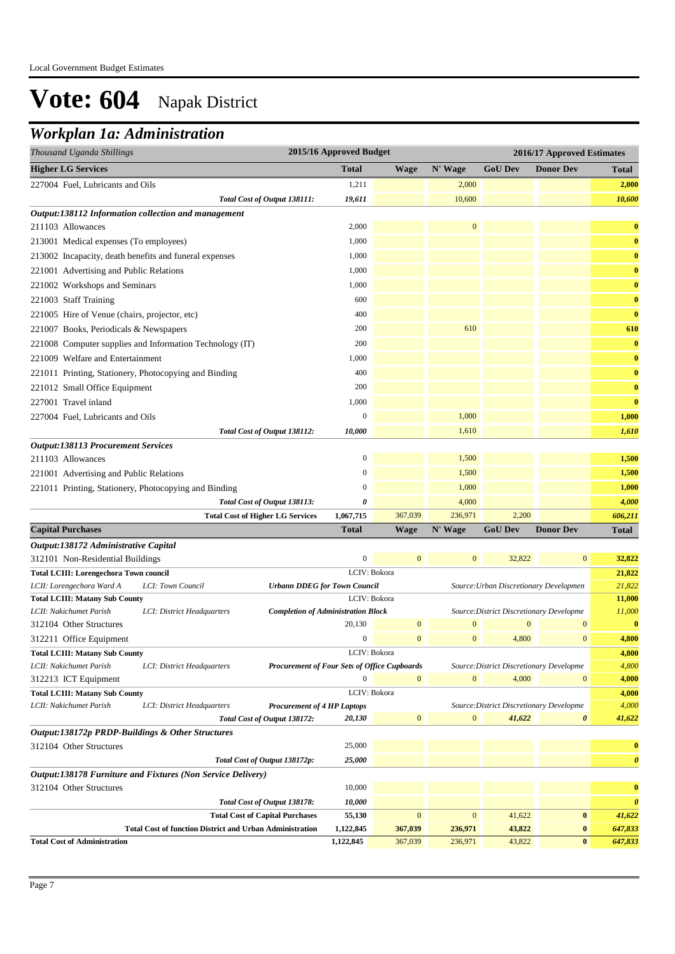### *Workplan 1a: Administration*

| Thousand Uganda Shillings                     | 2015/16 Approved Budget<br>2016/17 Approved Estimates           |                                              |                        |                    |                    |                                          |                       |                       |
|-----------------------------------------------|-----------------------------------------------------------------|----------------------------------------------|------------------------|--------------------|--------------------|------------------------------------------|-----------------------|-----------------------|
| <b>Higher LG Services</b>                     |                                                                 |                                              | <b>Total</b>           | Wage               | N' Wage            | <b>GoU Dev</b>                           | <b>Donor Dev</b>      | Total                 |
| 227004 Fuel, Lubricants and Oils              |                                                                 |                                              | 1,211                  |                    | 2,000              |                                          |                       | 2,000                 |
|                                               |                                                                 | Total Cost of Output 138111:                 | 19,611                 |                    | 10,600             |                                          |                       | 10,600                |
|                                               | Output:138112 Information collection and management             |                                              |                        |                    |                    |                                          |                       |                       |
| 211103 Allowances                             |                                                                 |                                              | 2,000                  |                    | $\mathbf{0}$       |                                          |                       | $\bf{0}$              |
| 213001 Medical expenses (To employees)        |                                                                 |                                              | 1,000                  |                    |                    |                                          |                       | $\bf{0}$              |
|                                               | 213002 Incapacity, death benefits and funeral expenses          |                                              | 1,000                  |                    |                    |                                          |                       | $\bf{0}$              |
| 221001 Advertising and Public Relations       |                                                                 |                                              | 1,000                  |                    |                    |                                          |                       | $\bf{0}$              |
| 221002 Workshops and Seminars                 |                                                                 |                                              | 1,000                  |                    |                    |                                          |                       | $\bf{0}$              |
| 221003 Staff Training                         |                                                                 |                                              | 600                    |                    |                    |                                          |                       | $\bf{0}$              |
| 221005 Hire of Venue (chairs, projector, etc) |                                                                 |                                              | 400                    |                    |                    |                                          |                       | $\bf{0}$              |
| 221007 Books, Periodicals & Newspapers        |                                                                 |                                              | 200                    |                    | 610                |                                          |                       | 610                   |
|                                               |                                                                 |                                              | 200                    |                    |                    |                                          |                       | $\bf{0}$              |
|                                               | 221008 Computer supplies and Information Technology (IT)        |                                              |                        |                    |                    |                                          |                       |                       |
| 221009 Welfare and Entertainment              |                                                                 |                                              | 1,000                  |                    |                    |                                          |                       | $\bf{0}$              |
|                                               | 221011 Printing, Stationery, Photocopying and Binding           |                                              | 400                    |                    |                    |                                          |                       | $\bf{0}$              |
| 221012 Small Office Equipment                 |                                                                 |                                              | 200                    |                    |                    |                                          |                       | $\bf{0}$              |
| 227001 Travel inland                          |                                                                 |                                              | 1,000                  |                    |                    |                                          |                       | $\bf{0}$              |
| 227004 Fuel, Lubricants and Oils              |                                                                 |                                              | $\mathbf{0}$           |                    | 1,000              |                                          |                       | 1,000                 |
|                                               |                                                                 | Total Cost of Output 138112:                 | 10,000                 |                    | 1,610              |                                          |                       | 1,610                 |
| <b>Output:138113 Procurement Services</b>     |                                                                 |                                              |                        |                    |                    |                                          |                       |                       |
| 211103 Allowances                             |                                                                 |                                              | $\boldsymbol{0}$       |                    | 1,500              |                                          |                       | 1,500                 |
| 221001 Advertising and Public Relations       |                                                                 |                                              | $\mathbf{0}$           |                    | 1,500              |                                          |                       | 1,500                 |
|                                               | 221011 Printing, Stationery, Photocopying and Binding           |                                              | $\boldsymbol{0}$       |                    | 1,000              |                                          |                       | 1,000                 |
|                                               |                                                                 | Total Cost of Output 138113:                 | 0                      |                    | 4,000              |                                          |                       | 4,000                 |
|                                               | <b>Total Cost of Higher LG Services</b>                         |                                              | 1,067,715              | 367,039            | 236,971            | 2,200                                    |                       | 606,211               |
| <b>Capital Purchases</b>                      |                                                                 |                                              | <b>Total</b>           | <b>Wage</b>        | N' Wage            | <b>GoU Dev</b>                           | <b>Donor Dev</b>      | Total                 |
| Output:138172 Administrative Capital          |                                                                 |                                              |                        |                    |                    |                                          |                       |                       |
| 312101 Non-Residential Buildings              |                                                                 |                                              | $\mathbf{0}$           | $\mathbf{0}$       | $\bf{0}$           | 32,822                                   | $\mathbf{0}$          | 32,822                |
| <b>Total LCIII: Lorengechora Town council</b> |                                                                 |                                              | LCIV: Bokora           |                    |                    |                                          |                       | 21,822                |
| LCII: Lorengechora Ward A                     | LCI: Town Council                                               | <b>Urbann DDEG for Town Council</b>          |                        |                    |                    | Source: Urban Discretionary Developmen   |                       | 21,822                |
| <b>Total LCIII: Matany Sub County</b>         |                                                                 |                                              | LCIV: Bokora           |                    |                    |                                          |                       | 11,000                |
| LCII: Nakichumet Parish                       | LCI: District Headquarters                                      | <b>Completion of Administration Block</b>    |                        |                    |                    | Source: District Discretionary Developme |                       | 11,000                |
| 312104 Other Structures                       |                                                                 |                                              | 20,130                 | $\boldsymbol{0}$   | $\boldsymbol{0}$   | $\mathbf{0}$                             | $\boldsymbol{0}$      | $\bf{0}$              |
| 312211 Office Equipment                       |                                                                 |                                              | $\boldsymbol{0}$       | $\mathbf{0}$       | $\mathbf{0}$       | 4,800                                    | $\mathbf{0}$          | 4,800                 |
| Total LCIII: Matany Sub County                |                                                                 |                                              | LCIV: Bokora           |                    |                    |                                          |                       | 4,800                 |
| LCII: Nakichumet Parish                       | LCI: District Headquarters                                      | Procurement of Four Sets of Office Cupboards |                        |                    |                    | Source: District Discretionary Developme |                       | 4,800                 |
| 312213 ICT Equipment                          |                                                                 |                                              | $\boldsymbol{0}$       | $\mathbf{0}$       | $\mathbf{0}$       | 4,000                                    | $\mathbf{0}$          | 4,000                 |
| <b>Total LCIII: Matany Sub County</b>         |                                                                 |                                              | LCIV: Bokora           |                    |                    |                                          |                       | 4,000                 |
| LCII: Nakichumet Parish                       | LCI: District Headquarters                                      | <b>Procurement of 4 HP Laptops</b>           |                        |                    |                    | Source: District Discretionary Developme |                       | 4,000                 |
|                                               |                                                                 | Total Cost of Output 138172:                 | 20,130                 | $\mathbf{0}$       | $\mathbf{0}$       | 41,622                                   | $\boldsymbol{\theta}$ | 41,622                |
|                                               | Output:138172p PRDP-Buildings & Other Structures                |                                              |                        |                    |                    |                                          |                       |                       |
| 312104 Other Structures                       |                                                                 |                                              | 25,000                 |                    |                    |                                          |                       | $\bf{0}$              |
|                                               |                                                                 | Total Cost of Output 138172p:                | 25,000                 |                    |                    |                                          |                       | 0                     |
|                                               | Output:138178 Furniture and Fixtures (Non Service Delivery)     |                                              |                        |                    |                    |                                          |                       |                       |
| 312104 Other Structures                       |                                                                 |                                              | 10,000                 |                    |                    |                                          |                       | $\bf{0}$              |
|                                               |                                                                 | Total Cost of Output 138178:                 | 10,000                 |                    |                    |                                          |                       | $\boldsymbol{\theta}$ |
|                                               |                                                                 | <b>Total Cost of Capital Purchases</b>       | 55,130                 | $\mathbf{0}$       | $\boldsymbol{0}$   | 41,622                                   | $\bf{0}$              | 41,622                |
| <b>Total Cost of Administration</b>           | <b>Total Cost of function District and Urban Administration</b> |                                              | 1,122,845<br>1,122,845 | 367,039<br>367,039 | 236,971<br>236,971 | 43,822<br>43,822                         | $\bf{0}$<br>$\bf{0}$  | 647,833<br>647,833    |
|                                               |                                                                 |                                              |                        |                    |                    |                                          |                       |                       |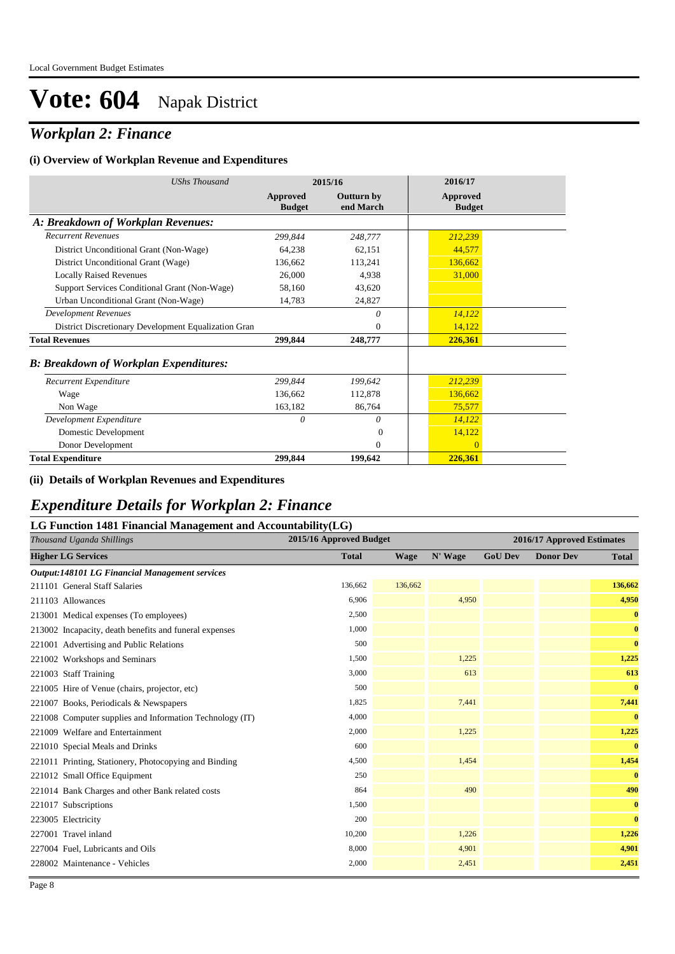### *Workplan 2: Finance*

#### **(i) Overview of Workplan Revenue and Expenditures**

| <b>UShs Thousand</b>                                 | 2015/16                          |                                | 2016/17                   |  |
|------------------------------------------------------|----------------------------------|--------------------------------|---------------------------|--|
|                                                      | <b>Approved</b><br><b>Budget</b> | <b>Outturn by</b><br>end March | Approved<br><b>Budget</b> |  |
| A: Breakdown of Workplan Revenues:                   |                                  |                                |                           |  |
| <b>Recurrent Revenues</b>                            | 299,844                          | 248,777                        | 212,239                   |  |
| District Unconditional Grant (Non-Wage)              | 64,238                           | 62,151                         | 44,577                    |  |
| District Unconditional Grant (Wage)                  | 136,662                          | 113,241                        | 136,662                   |  |
| <b>Locally Raised Revenues</b>                       | 26,000                           | 4,938                          | 31,000                    |  |
| Support Services Conditional Grant (Non-Wage)        | 58,160                           | 43.620                         |                           |  |
| Urban Unconditional Grant (Non-Wage)                 | 14,783                           | 24,827                         |                           |  |
| <b>Development Revenues</b>                          |                                  | $\theta$                       | 14,122                    |  |
| District Discretionary Development Equalization Gran |                                  | $\Omega$                       | 14,122                    |  |
| <b>Total Revenues</b>                                | 299,844                          | 248,777                        | 226,361                   |  |
| <b>B</b> : Breakdown of Workplan Expenditures:       |                                  |                                |                           |  |
| Recurrent Expenditure                                | 299,844                          | 199.642                        | 212,239                   |  |
| Wage                                                 | 136,662                          | 112,878                        | 136,662                   |  |
| Non Wage                                             | 163,182                          | 86,764                         | 75,577                    |  |
| Development Expenditure                              | 0                                | $\theta$                       | 14,122                    |  |
| Domestic Development                                 |                                  | $\Omega$                       | 14,122                    |  |
| Donor Development                                    |                                  | $\theta$                       | $\Omega$                  |  |
| <b>Total Expenditure</b>                             | 299,844                          | 199,642                        | 226,361                   |  |

#### **(ii) Details of Workplan Revenues and Expenditures**

#### *Expenditure Details for Workplan 2: Finance*

#### **LG Function 1481 Financial Management and Accountability(LG)**

| Thousand Uganda Shillings                                | 2015/16 Approved Budget |             | 2016/17 Approved Estimates |                |                  |              |
|----------------------------------------------------------|-------------------------|-------------|----------------------------|----------------|------------------|--------------|
| <b>Higher LG Services</b>                                | <b>Total</b>            | <b>Wage</b> | N' Wage                    | <b>GoU Dev</b> | <b>Donor Dev</b> | <b>Total</b> |
| <b>Output:148101 LG Financial Management services</b>    |                         |             |                            |                |                  |              |
| 211101 General Staff Salaries                            | 136,662                 | 136,662     |                            |                |                  | 136,662      |
| 211103 Allowances                                        | 6,906                   |             | 4,950                      |                |                  | 4,950        |
| 213001 Medical expenses (To employees)                   | 2,500                   |             |                            |                |                  | $\bf{0}$     |
| 213002 Incapacity, death benefits and funeral expenses   | 1,000                   |             |                            |                |                  | $\bf{0}$     |
| 221001 Advertising and Public Relations                  | 500                     |             |                            |                |                  | $\bf{0}$     |
| 221002 Workshops and Seminars                            | 1,500                   |             | 1,225                      |                |                  | 1,225        |
| 221003 Staff Training                                    | 3,000                   |             | 613                        |                |                  | 613          |
| 221005 Hire of Venue (chairs, projector, etc)            | 500                     |             |                            |                |                  | $\bf{0}$     |
| 221007 Books, Periodicals & Newspapers                   | 1,825                   |             | 7,441                      |                |                  | 7,441        |
| 221008 Computer supplies and Information Technology (IT) | 4,000                   |             |                            |                |                  | $\bf{0}$     |
| 221009 Welfare and Entertainment                         | 2,000                   |             | 1,225                      |                |                  | 1,225        |
| 221010 Special Meals and Drinks                          | 600                     |             |                            |                |                  | $\bf{0}$     |
| 221011 Printing, Stationery, Photocopying and Binding    | 4,500                   |             | 1,454                      |                |                  | 1,454        |
| 221012 Small Office Equipment                            | 250                     |             |                            |                |                  | $\bf{0}$     |
| 221014 Bank Charges and other Bank related costs         | 864                     |             | 490                        |                |                  | 490          |
| 221017 Subscriptions                                     | 1,500                   |             |                            |                |                  | $\bf{0}$     |
| 223005 Electricity                                       | 200                     |             |                            |                |                  | $\bf{0}$     |
| 227001 Travel inland                                     | 10,200                  |             | 1,226                      |                |                  | 1,226        |
| 227004 Fuel, Lubricants and Oils                         | 8,000                   |             | 4,901                      |                |                  | 4,901        |
| 228002 Maintenance - Vehicles                            | 2,000                   |             | 2,451                      |                |                  | 2,451        |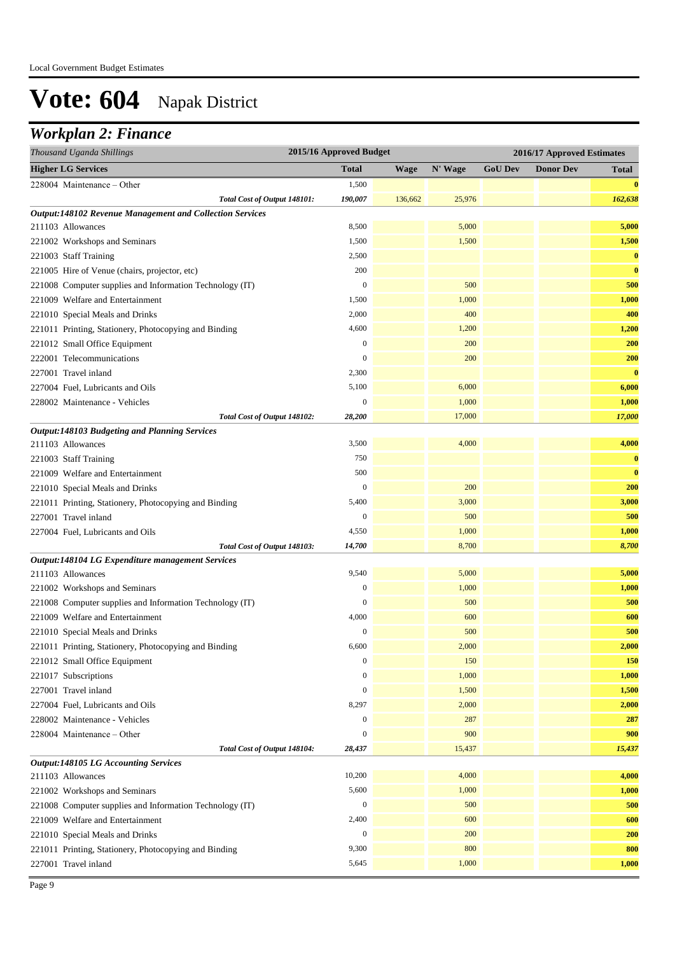### *Workplan 2: Finance*

| 2015/16 Approved Budget<br>Thousand Uganda Shillings<br>2016/17 Approved Estimates |                  |         |         |                |                  |          |
|------------------------------------------------------------------------------------|------------------|---------|---------|----------------|------------------|----------|
| <b>Higher LG Services</b>                                                          | <b>Total</b>     | Wage    | N' Wage | <b>GoU Dev</b> | <b>Donor Dev</b> | Total    |
| 228004 Maintenance – Other                                                         | 1,500            |         |         |                |                  | $\bf{0}$ |
| Total Cost of Output 148101:                                                       | 190,007          | 136,662 | 25,976  |                |                  | 162,638  |
| Output:148102 Revenue Management and Collection Services                           |                  |         |         |                |                  |          |
| 211103 Allowances                                                                  | 8,500            |         | 5,000   |                |                  | 5,000    |
| 221002 Workshops and Seminars                                                      | 1,500            |         | 1,500   |                |                  | 1,500    |
| 221003 Staff Training                                                              | 2,500            |         |         |                |                  | $\bf{0}$ |
| 221005 Hire of Venue (chairs, projector, etc)                                      | 200              |         |         |                |                  | $\bf{0}$ |
| 221008 Computer supplies and Information Technology (IT)                           | $\boldsymbol{0}$ |         | 500     |                |                  | 500      |
| 221009 Welfare and Entertainment                                                   | 1,500            |         | 1,000   |                |                  | 1,000    |
| 221010 Special Meals and Drinks                                                    | 2,000            |         | 400     |                |                  | 400      |
| 221011 Printing, Stationery, Photocopying and Binding                              | 4,600            |         | 1,200   |                |                  | 1,200    |
| 221012 Small Office Equipment                                                      | $\boldsymbol{0}$ |         | 200     |                |                  | 200      |
| 222001 Telecommunications                                                          | $\mathbf{0}$     |         | 200     |                |                  | 200      |
| 227001 Travel inland                                                               | 2,300            |         |         |                |                  | $\bf{0}$ |
| 227004 Fuel, Lubricants and Oils                                                   | 5,100            |         | 6,000   |                |                  | 6,000    |
| 228002 Maintenance - Vehicles                                                      | $\mathbf{0}$     |         | 1,000   |                |                  | 1,000    |
| Total Cost of Output 148102:                                                       | 28,200           |         | 17,000  |                |                  | 17,000   |
| <b>Output:148103 Budgeting and Planning Services</b>                               |                  |         |         |                |                  |          |
| 211103 Allowances                                                                  | 3,500            |         | 4,000   |                |                  | 4,000    |
| 221003 Staff Training                                                              | 750              |         |         |                |                  | $\bf{0}$ |
| 221009 Welfare and Entertainment                                                   | 500              |         |         |                |                  | $\bf{0}$ |
| 221010 Special Meals and Drinks                                                    | $\mathbf{0}$     |         | 200     |                |                  | 200      |
| 221011 Printing, Stationery, Photocopying and Binding                              | 5,400            |         | 3,000   |                |                  | 3,000    |
| 227001 Travel inland                                                               | $\boldsymbol{0}$ |         | 500     |                |                  | 500      |
| 227004 Fuel, Lubricants and Oils                                                   | 4,550            |         | 1,000   |                |                  | 1,000    |
| Total Cost of Output 148103:<br>Output:148104 LG Expenditure management Services   | 14,700           |         | 8,700   |                |                  | 8,700    |
| 211103 Allowances                                                                  | 9,540            |         | 5,000   |                |                  | 5,000    |
| 221002 Workshops and Seminars                                                      | $\boldsymbol{0}$ |         | 1,000   |                |                  | 1,000    |
| 221008 Computer supplies and Information Technology (IT)                           | $\mathbf{0}$     |         | 500     |                |                  | 500      |
| 221009 Welfare and Entertainment                                                   | 4,000            |         | 600     |                |                  | 600      |
| 221010 Special Meals and Drinks                                                    | $\boldsymbol{0}$ |         | 500     |                |                  | 500      |
| 221011 Printing, Stationery, Photocopying and Binding                              | 6,600            |         | 2,000   |                |                  | 2,000    |
| 221012 Small Office Equipment                                                      | $\boldsymbol{0}$ |         | 150     |                |                  | 150      |
| 221017 Subscriptions                                                               | $\mathbf{0}$     |         | 1,000   |                |                  | 1,000    |
| 227001 Travel inland                                                               | $\boldsymbol{0}$ |         | 1,500   |                |                  | 1,500    |
| 227004 Fuel, Lubricants and Oils                                                   | 8,297            |         | 2,000   |                |                  | 2,000    |
| 228002 Maintenance - Vehicles                                                      | $\boldsymbol{0}$ |         | 287     |                |                  | 287      |
| 228004 Maintenance - Other                                                         | $\boldsymbol{0}$ |         | 900     |                |                  | 900      |
| Total Cost of Output 148104:                                                       | 28,437           |         | 15,437  |                |                  | 15,437   |
| <b>Output:148105 LG Accounting Services</b>                                        |                  |         |         |                |                  |          |
| 211103 Allowances                                                                  | 10,200           |         | 4,000   |                |                  | 4,000    |
| 221002 Workshops and Seminars                                                      | 5,600            |         | 1,000   |                |                  | 1,000    |
| 221008 Computer supplies and Information Technology (IT)                           | $\boldsymbol{0}$ |         | 500     |                |                  | 500      |
| 221009 Welfare and Entertainment                                                   | 2,400            |         | 600     |                |                  | 600      |
| 221010 Special Meals and Drinks                                                    | $\boldsymbol{0}$ |         | 200     |                |                  | 200      |
| 221011 Printing, Stationery, Photocopying and Binding                              | 9,300            |         | 800     |                |                  | 800      |
| 227001 Travel inland                                                               | 5,645            |         | 1,000   |                |                  | 1,000    |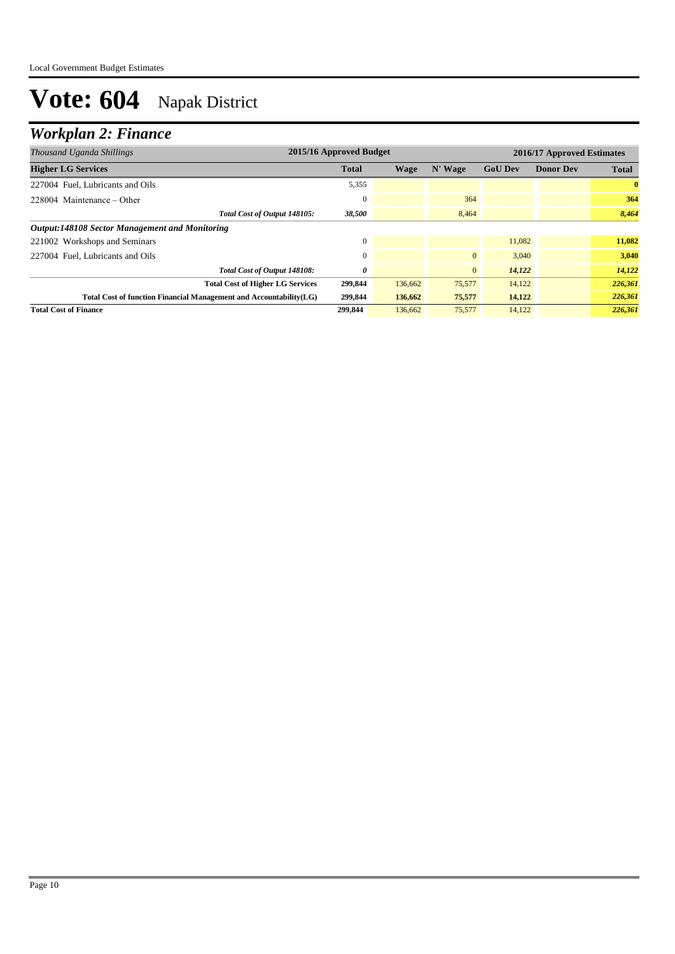### *Workplan 2: Finance*

| Thousand Uganda Shillings                                          | 2015/16 Approved Budget |         |              |                |                  | 2016/17 Approved Estimates |
|--------------------------------------------------------------------|-------------------------|---------|--------------|----------------|------------------|----------------------------|
| <b>Higher LG Services</b>                                          | <b>Total</b>            | Wage    | N' Wage      | <b>GoU Dev</b> | <b>Donor Dev</b> | <b>Total</b>               |
| 227004 Fuel, Lubricants and Oils                                   | 5,355                   |         |              |                |                  | $\bf{0}$                   |
| $228004$ Maintenance – Other                                       |                         |         | 364          |                |                  | 364                        |
| Total Cost of Output 148105:                                       | 38,500                  |         | 8,464        |                |                  | 8,464                      |
| <b>Output:148108 Sector Management and Monitoring</b>              |                         |         |              |                |                  |                            |
| 221002 Workshops and Seminars                                      |                         |         |              | 11.082         |                  | 11,082                     |
| 227004 Fuel, Lubricants and Oils                                   |                         |         | $\mathbf{0}$ | 3,040          |                  | 3,040                      |
| Total Cost of Output 148108:                                       | 0                       |         | $\mathbf{0}$ | 14,122         |                  | 14,122                     |
| <b>Total Cost of Higher LG Services</b>                            | 299,844                 | 136,662 | 75,577       | 14,122         |                  | 226,361                    |
| Total Cost of function Financial Management and Accountability(LG) | 299,844                 | 136,662 | 75,577       | 14,122         |                  | 226,361                    |
| <b>Total Cost of Finance</b>                                       | 299.844                 | 136,662 | 75,577       | 14,122         |                  | 226,361                    |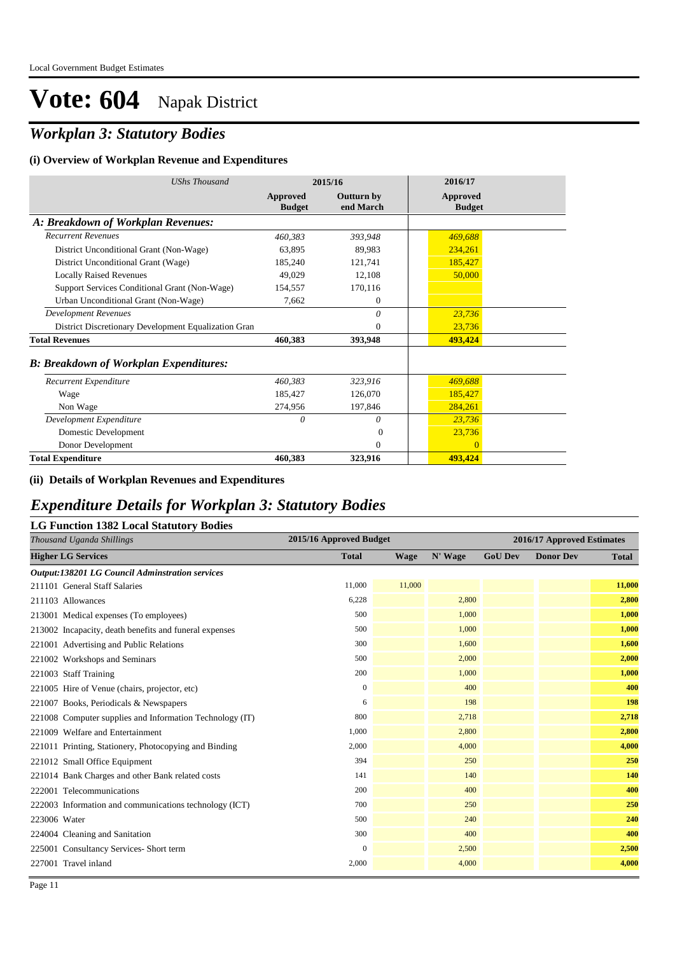## *Workplan 3: Statutory Bodies*

#### **(i) Overview of Workplan Revenue and Expenditures**

| <b>UShs Thousand</b>                                 | 2015/16                          |                                | 2016/17                          |  |
|------------------------------------------------------|----------------------------------|--------------------------------|----------------------------------|--|
|                                                      | <b>Approved</b><br><b>Budget</b> | <b>Outturn by</b><br>end March | <b>Approved</b><br><b>Budget</b> |  |
| A: Breakdown of Workplan Revenues:                   |                                  |                                |                                  |  |
| <b>Recurrent Revenues</b>                            | 460,383                          | 393,948                        | 469,688                          |  |
| District Unconditional Grant (Non-Wage)              | 63,895                           | 89,983                         | 234,261                          |  |
| District Unconditional Grant (Wage)                  | 185,240                          | 121,741                        | 185,427                          |  |
| <b>Locally Raised Revenues</b>                       | 49,029                           | 12,108                         | 50,000                           |  |
| Support Services Conditional Grant (Non-Wage)        | 154,557                          | 170,116                        |                                  |  |
| Urban Unconditional Grant (Non-Wage)                 | 7,662                            | $\overline{0}$                 |                                  |  |
| <b>Development Revenues</b>                          |                                  | $\theta$                       | 23,736                           |  |
| District Discretionary Development Equalization Gran |                                  | $\theta$                       | 23,736                           |  |
| <b>Total Revenues</b>                                | 460,383                          | 393,948                        | 493,424                          |  |
| <b>B: Breakdown of Workplan Expenditures:</b>        |                                  |                                |                                  |  |
| Recurrent Expenditure                                | 460,383                          | 323,916                        | 469,688                          |  |
| Wage                                                 | 185,427                          | 126,070                        | 185,427                          |  |
| Non Wage                                             | 274,956                          | 197,846                        | 284,261                          |  |
| Development Expenditure                              | $\theta$                         | $\theta$                       | 23,736                           |  |
| Domestic Development                                 |                                  | $\Omega$                       | 23,736                           |  |
| Donor Development                                    |                                  | $\theta$                       | $\overline{0}$                   |  |
| <b>Total Expenditure</b>                             | 460,383                          | 323,916                        | 493,424                          |  |

#### **(ii) Details of Workplan Revenues and Expenditures**

#### *Expenditure Details for Workplan 3: Statutory Bodies*

#### **LG Function 1382 Local Statutory Bodies**

| Thousand Uganda Shillings                                | 2015/16 Approved Budget |             | 2016/17 Approved Estimates |                |                  |              |
|----------------------------------------------------------|-------------------------|-------------|----------------------------|----------------|------------------|--------------|
| <b>Higher LG Services</b>                                | <b>Total</b>            | <b>Wage</b> | N' Wage                    | <b>GoU Dev</b> | <b>Donor Dev</b> | <b>Total</b> |
| <b>Output:138201 LG Council Adminstration services</b>   |                         |             |                            |                |                  |              |
| 211101 General Staff Salaries                            | 11,000                  | 11,000      |                            |                |                  | 11,000       |
| 211103 Allowances                                        | 6,228                   |             | 2,800                      |                |                  | 2,800        |
| 213001 Medical expenses (To employees)                   | 500                     |             | 1,000                      |                |                  | 1,000        |
| 213002 Incapacity, death benefits and funeral expenses   | 500                     |             | 1,000                      |                |                  | 1,000        |
| 221001 Advertising and Public Relations                  | 300                     |             | 1,600                      |                |                  | 1,600        |
| 221002 Workshops and Seminars                            | 500                     |             | 2,000                      |                |                  | 2,000        |
| 221003 Staff Training                                    | 200                     |             | 1,000                      |                |                  | 1,000        |
| 221005 Hire of Venue (chairs, projector, etc)            | $\mathbf{0}$            |             | 400                        |                |                  | 400          |
| 221007 Books, Periodicals & Newspapers                   | 6                       |             | 198                        |                |                  | 198          |
| 221008 Computer supplies and Information Technology (IT) | 800                     |             | 2,718                      |                |                  | 2,718        |
| 221009 Welfare and Entertainment                         | 1,000                   |             | 2,800                      |                |                  | 2,800        |
| 221011 Printing, Stationery, Photocopying and Binding    | 2,000                   |             | 4,000                      |                |                  | 4,000        |
| 221012 Small Office Equipment                            | 394                     |             | 250                        |                |                  | 250          |
| 221014 Bank Charges and other Bank related costs         | 141                     |             | 140                        |                |                  | 140          |
| 222001 Telecommunications                                | 200                     |             | 400                        |                |                  | 400          |
| 222003 Information and communications technology (ICT)   | 700                     |             | 250                        |                |                  | 250          |
| 223006 Water                                             | 500                     |             | 240                        |                |                  | 240          |
| 224004 Cleaning and Sanitation                           | 300                     |             | 400                        |                |                  | 400          |
| 225001 Consultancy Services- Short term                  | $\mathbf{0}$            |             | 2,500                      |                |                  | 2,500        |
| 227001 Travel inland                                     | 2,000                   |             | 4,000                      |                |                  | 4,000        |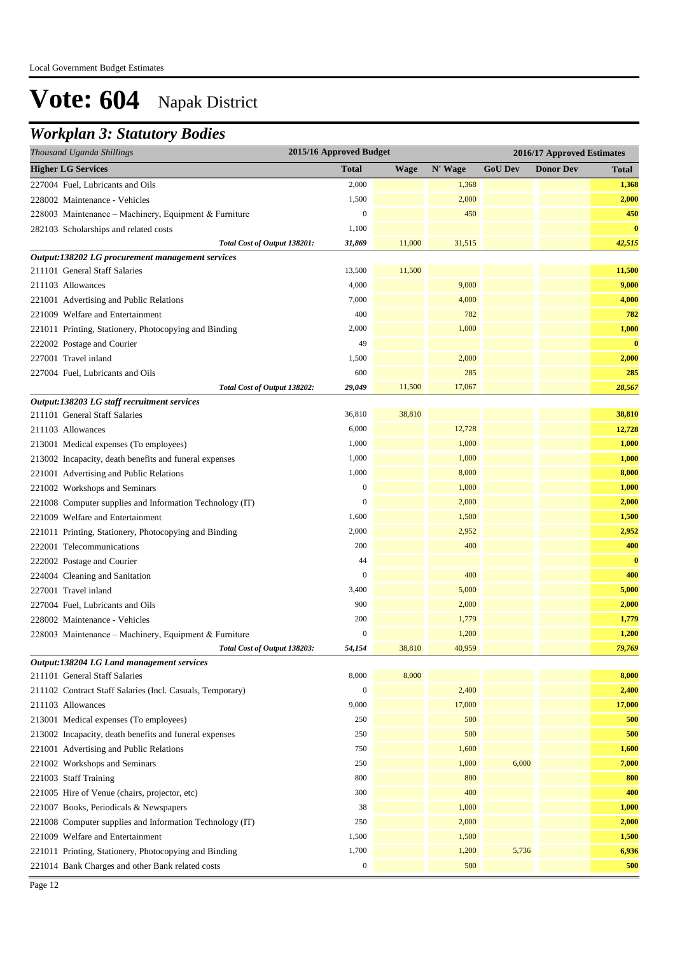### *Workplan 3: Statutory Bodies*

| Thousand Uganda Shillings                                 | 2015/16 Approved Budget |             |         |                |                  | 2016/17 Approved Estimates |
|-----------------------------------------------------------|-------------------------|-------------|---------|----------------|------------------|----------------------------|
| <b>Higher LG Services</b>                                 | <b>Total</b>            | <b>Wage</b> | N' Wage | <b>GoU Dev</b> | <b>Donor Dev</b> | <b>Total</b>               |
| 227004 Fuel, Lubricants and Oils                          | 2,000                   |             | 1,368   |                |                  | 1,368                      |
| 228002 Maintenance - Vehicles                             | 1,500                   |             | 2,000   |                |                  | 2,000                      |
| 228003 Maintenance - Machinery, Equipment & Furniture     | $\boldsymbol{0}$        |             | 450     |                |                  | 450                        |
| 282103 Scholarships and related costs                     | 1,100                   |             |         |                |                  | $\bf{0}$                   |
| Total Cost of Output 138201:                              | 31,869                  | 11,000      | 31,515  |                |                  | 42,515                     |
| Output:138202 LG procurement management services          |                         |             |         |                |                  |                            |
| 211101 General Staff Salaries                             | 13,500                  | 11,500      |         |                |                  | 11,500                     |
| 211103 Allowances                                         | 4,000                   |             | 9,000   |                |                  | 9,000                      |
| 221001 Advertising and Public Relations                   | 7,000                   |             | 4,000   |                |                  | 4,000                      |
| 221009 Welfare and Entertainment                          | 400                     |             | 782     |                |                  | 782                        |
| 221011 Printing, Stationery, Photocopying and Binding     | 2,000                   |             | 1,000   |                |                  | 1,000                      |
| 222002 Postage and Courier                                | 49                      |             |         |                |                  | $\bf{0}$                   |
| 227001 Travel inland                                      | 1,500                   |             | 2,000   |                |                  | 2,000                      |
| 227004 Fuel, Lubricants and Oils                          | 600                     |             | 285     |                |                  | 285                        |
| Total Cost of Output 138202:                              | 29,049                  | 11,500      | 17,067  |                |                  | 28,567                     |
| Output:138203 LG staff recruitment services               |                         |             |         |                |                  |                            |
| 211101 General Staff Salaries                             | 36,810                  | 38,810      |         |                |                  | 38,810                     |
| 211103 Allowances                                         | 6,000                   |             | 12,728  |                |                  | 12,728                     |
| 213001 Medical expenses (To employees)                    | 1,000                   |             | 1,000   |                |                  | 1,000                      |
| 213002 Incapacity, death benefits and funeral expenses    | 1,000                   |             | 1,000   |                |                  | 1,000                      |
| 221001 Advertising and Public Relations                   | 1,000                   |             | 8,000   |                |                  | 8,000                      |
| 221002 Workshops and Seminars                             | $\boldsymbol{0}$        |             | 1,000   |                |                  | 1,000                      |
| 221008 Computer supplies and Information Technology (IT)  | $\boldsymbol{0}$        |             | 2,000   |                |                  | 2,000                      |
| 221009 Welfare and Entertainment                          | 1,600                   |             | 1,500   |                |                  | 1,500                      |
| 221011 Printing, Stationery, Photocopying and Binding     | 2,000                   |             | 2,952   |                |                  | 2,952                      |
| 222001 Telecommunications                                 | 200                     |             | 400     |                |                  | 400                        |
| 222002 Postage and Courier                                | 44                      |             |         |                |                  | $\bf{0}$                   |
| 224004 Cleaning and Sanitation                            | $\boldsymbol{0}$        |             | 400     |                |                  | 400                        |
| 227001 Travel inland                                      | 3,400                   |             | 5,000   |                |                  | 5,000                      |
| 227004 Fuel, Lubricants and Oils                          | 900                     |             | 2,000   |                |                  | 2,000                      |
| 228002 Maintenance - Vehicles                             | 200                     |             | 1,779   |                |                  | 1,779                      |
| 228003 Maintenance - Machinery, Equipment & Furniture     | $\mathbf{0}$            |             | 1,200   |                |                  | 1,200                      |
| Total Cost of Output 138203:                              | 54,154                  | 38,810      | 40.959  |                |                  | 79,769                     |
| Output:138204 LG Land management services                 |                         |             |         |                |                  |                            |
| 211101 General Staff Salaries                             | 8,000                   | 8,000       |         |                |                  | 8,000                      |
| 211102 Contract Staff Salaries (Incl. Casuals, Temporary) | $\boldsymbol{0}$        |             | 2,400   |                |                  | 2,400                      |
| 211103 Allowances                                         | 9,000                   |             | 17,000  |                |                  | 17,000                     |
| 213001 Medical expenses (To employees)                    | 250                     |             | 500     |                |                  | 500                        |
| 213002 Incapacity, death benefits and funeral expenses    | 250                     |             | 500     |                |                  | 500                        |
| 221001 Advertising and Public Relations                   | 750                     |             | 1,600   |                |                  | 1,600                      |
| 221002 Workshops and Seminars                             | 250                     |             | 1,000   | 6,000          |                  | 7,000                      |
| 221003 Staff Training                                     | 800                     |             | 800     |                |                  | 800                        |
| 221005 Hire of Venue (chairs, projector, etc)             | 300                     |             | 400     |                |                  | 400                        |
| 221007 Books, Periodicals & Newspapers                    | 38                      |             | 1,000   |                |                  | 1,000                      |
| 221008 Computer supplies and Information Technology (IT)  | 250                     |             | 2,000   |                |                  | 2,000                      |
| 221009 Welfare and Entertainment                          | 1,500                   |             | 1,500   |                |                  | 1,500                      |
| 221011 Printing, Stationery, Photocopying and Binding     | 1,700                   |             | 1,200   | 5,736          |                  | 6,936                      |
| 221014 Bank Charges and other Bank related costs          | $\boldsymbol{0}$        |             | 500     |                |                  | 500                        |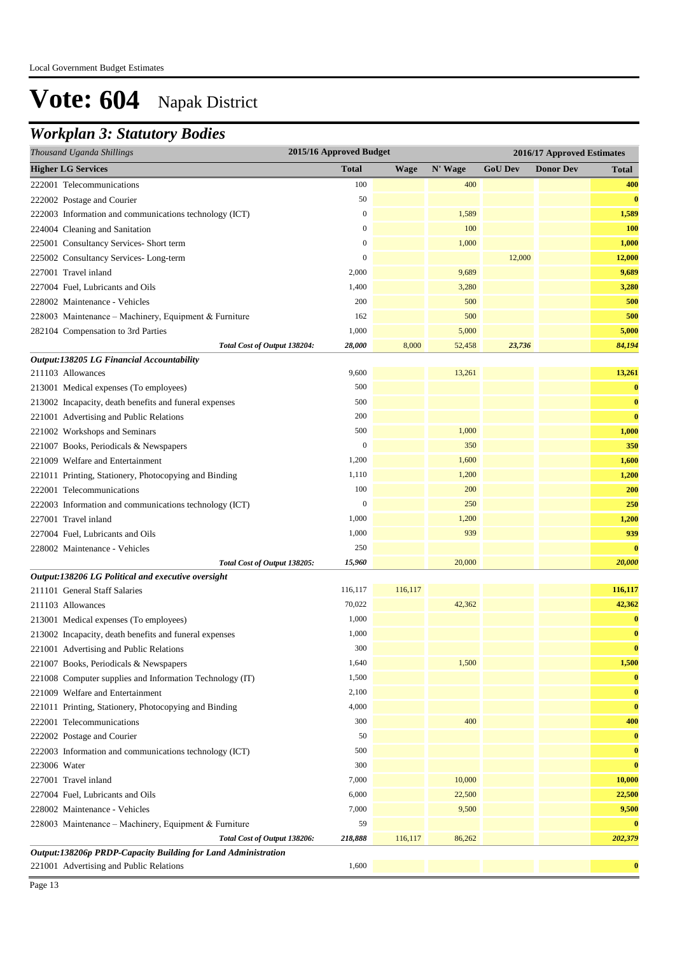### *Workplan 3: Statutory Bodies*

| 2015/16 Approved Budget<br>Thousand Uganda Shillings<br>2016/17 Approved Estimates |                  |             |         |                |                  |            |
|------------------------------------------------------------------------------------|------------------|-------------|---------|----------------|------------------|------------|
| <b>Higher LG Services</b>                                                          | <b>Total</b>     | <b>Wage</b> | N' Wage | <b>GoU Dev</b> | <b>Donor Dev</b> | Total      |
| 222001 Telecommunications                                                          | 100              |             | 400     |                |                  | 400        |
| 222002 Postage and Courier                                                         | 50               |             |         |                |                  | $\bf{0}$   |
| 222003 Information and communications technology (ICT)                             | 0                |             | 1,589   |                |                  | 1,589      |
| 224004 Cleaning and Sanitation                                                     | 0                |             | 100     |                |                  | <b>100</b> |
| 225001 Consultancy Services- Short term                                            | $\boldsymbol{0}$ |             | 1,000   |                |                  | 1,000      |
| 225002 Consultancy Services-Long-term                                              | $\boldsymbol{0}$ |             |         | 12,000         |                  | 12,000     |
| 227001 Travel inland                                                               | 2,000            |             | 9,689   |                |                  | 9,689      |
| 227004 Fuel, Lubricants and Oils                                                   | 1,400            |             | 3,280   |                |                  | 3,280      |
| 228002 Maintenance - Vehicles                                                      | 200              |             | 500     |                |                  | 500        |
| 228003 Maintenance - Machinery, Equipment & Furniture                              | 162              |             | 500     |                |                  | 500        |
| 282104 Compensation to 3rd Parties                                                 | 1,000            |             | 5,000   |                |                  | 5,000      |
| Total Cost of Output 138204:                                                       | 28,000           | 8,000       | 52,458  | 23,736         |                  | 84,194     |
| Output:138205 LG Financial Accountability                                          |                  |             |         |                |                  |            |
| 211103 Allowances                                                                  | 9,600            |             | 13,261  |                |                  | 13,261     |
| 213001 Medical expenses (To employees)                                             | 500              |             |         |                |                  | $\bf{0}$   |
| 213002 Incapacity, death benefits and funeral expenses                             | 500              |             |         |                |                  | $\bf{0}$   |
| 221001 Advertising and Public Relations                                            | 200              |             |         |                |                  | $\bf{0}$   |
| 221002 Workshops and Seminars                                                      | 500              |             | 1,000   |                |                  | 1,000      |
| 221007 Books, Periodicals & Newspapers                                             | $\overline{0}$   |             | 350     |                |                  | 350        |
| 221009 Welfare and Entertainment                                                   | 1,200            |             | 1,600   |                |                  | 1,600      |
| 221011 Printing, Stationery, Photocopying and Binding                              | 1,110            |             | 1,200   |                |                  | 1,200      |
| 222001 Telecommunications                                                          | 100              |             | 200     |                |                  | 200        |
| 222003 Information and communications technology (ICT)                             | $\boldsymbol{0}$ |             | 250     |                |                  | 250        |
| 227001 Travel inland                                                               | 1,000            |             | 1,200   |                |                  | 1,200      |
| 227004 Fuel, Lubricants and Oils                                                   | 1,000            |             | 939     |                |                  | 939        |
| 228002 Maintenance - Vehicles                                                      | 250              |             |         |                |                  | $\bf{0}$   |
| Total Cost of Output 138205:                                                       | 15,960           |             | 20,000  |                |                  | 20,000     |
| Output:138206 LG Political and executive oversight                                 |                  |             |         |                |                  |            |
| 211101 General Staff Salaries                                                      | 116,117          | 116,117     |         |                |                  | 116,117    |
| 211103 Allowances                                                                  | 70,022           |             | 42,362  |                |                  | 42,362     |
| 213001 Medical expenses (To employees)                                             | 1,000            |             |         |                |                  | $\bf{0}$   |
| 213002 Incapacity, death benefits and funeral expenses                             | 1,000            |             |         |                |                  | $\bf{0}$   |
| 221001 Advertising and Public Relations                                            | 300              |             |         |                |                  | $\bf{0}$   |
| 221007 Books, Periodicals & Newspapers                                             | 1,640            |             | 1,500   |                |                  | 1,500      |
| 221008 Computer supplies and Information Technology (IT)                           | 1,500            |             |         |                |                  | $\bf{0}$   |
| 221009 Welfare and Entertainment                                                   | 2,100            |             |         |                |                  | $\bf{0}$   |
| 221011 Printing, Stationery, Photocopying and Binding                              | 4,000            |             |         |                |                  | $\bf{0}$   |
| 222001 Telecommunications                                                          | 300              |             | 400     |                |                  | 400        |
| 222002 Postage and Courier                                                         | 50               |             |         |                |                  | $\bf{0}$   |
| 222003 Information and communications technology (ICT)                             | 500              |             |         |                |                  | $\bf{0}$   |
| 223006 Water                                                                       | 300              |             |         |                |                  | $\bf{0}$   |
| 227001 Travel inland                                                               | 7,000            |             | 10,000  |                |                  | 10,000     |
| 227004 Fuel, Lubricants and Oils                                                   | 6,000            |             | 22,500  |                |                  | 22,500     |
| 228002 Maintenance - Vehicles                                                      | 7,000            |             | 9,500   |                |                  | 9,500      |
| 228003 Maintenance - Machinery, Equipment & Furniture                              | 59               |             |         |                |                  | $\bf{0}$   |
| Total Cost of Output 138206:                                                       | 218,888          | 116,117     | 86,262  |                |                  | 202,379    |
| Output:138206p PRDP-Capacity Building for Land Administration                      |                  |             |         |                |                  |            |
| 221001 Advertising and Public Relations                                            | 1,600            |             |         |                |                  | $\bf{0}$   |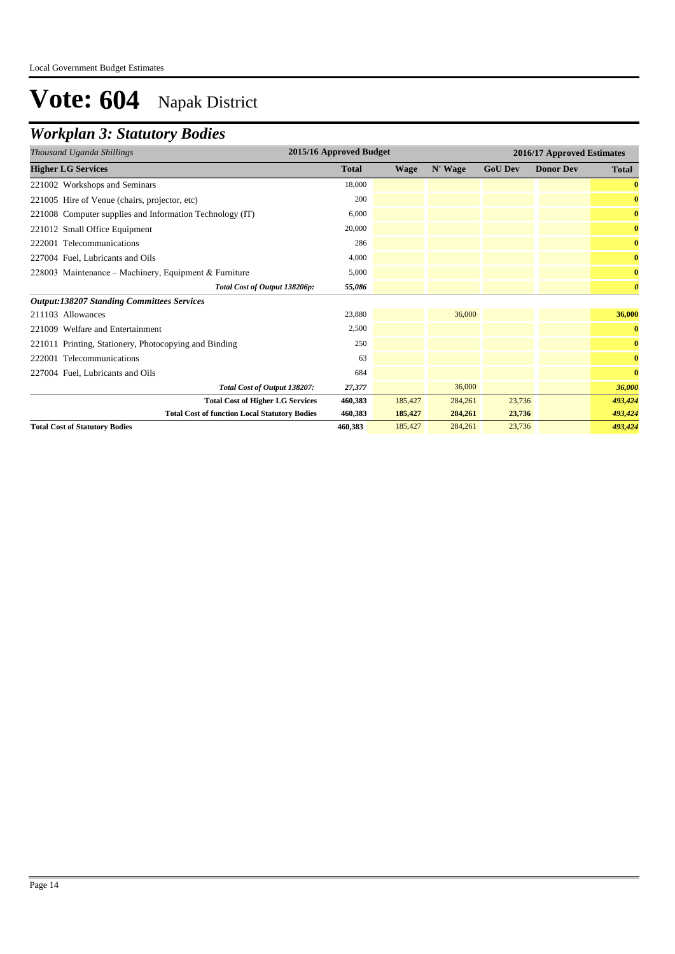## *Workplan 3: Statutory Bodies*

| Thousand Uganda Shillings                                | 2015/16 Approved Budget |         |         | 2016/17 Approved Estimates |                  |                       |
|----------------------------------------------------------|-------------------------|---------|---------|----------------------------|------------------|-----------------------|
| <b>Higher LG Services</b>                                | <b>Total</b>            | Wage    | N' Wage | <b>GoU Dev</b>             | <b>Donor Dev</b> | <b>Total</b>          |
| 221002 Workshops and Seminars                            | 18,000                  |         |         |                            |                  | $\bf{0}$              |
| 221005 Hire of Venue (chairs, projector, etc)            | 200                     |         |         |                            |                  | $\bf{0}$              |
| 221008 Computer supplies and Information Technology (IT) | 6,000                   |         |         |                            |                  | $\bf{0}$              |
| 221012 Small Office Equipment                            | 20,000                  |         |         |                            |                  | $\bf{0}$              |
| 222001 Telecommunications                                | 286                     |         |         |                            |                  | $\bf{0}$              |
| 227004 Fuel, Lubricants and Oils                         | 4,000                   |         |         |                            |                  | $\bf{0}$              |
| 228003 Maintenance – Machinery, Equipment & Furniture    | 5,000                   |         |         |                            |                  | $\bf{0}$              |
| Total Cost of Output 138206p:                            | 55,086                  |         |         |                            |                  | $\boldsymbol{\theta}$ |
| <b>Output:138207 Standing Committees Services</b>        |                         |         |         |                            |                  |                       |
| 211103 Allowances                                        | 23,880                  |         | 36,000  |                            |                  | 36,000                |
| 221009 Welfare and Entertainment                         | 2,500                   |         |         |                            |                  | $\bf{0}$              |
| 221011 Printing, Stationery, Photocopying and Binding    | 250                     |         |         |                            |                  | $\bf{0}$              |
| 222001 Telecommunications                                | 63                      |         |         |                            |                  | $\bf{0}$              |
| 227004 Fuel, Lubricants and Oils                         | 684                     |         |         |                            |                  | $\bf{0}$              |
| Total Cost of Output 138207:                             | 27,377                  |         | 36,000  |                            |                  | 36,000                |
| <b>Total Cost of Higher LG Services</b>                  | 460.383                 | 185,427 | 284,261 | 23,736                     |                  | 493,424               |
| <b>Total Cost of function Local Statutory Bodies</b>     | 460,383                 | 185,427 | 284,261 | 23,736                     |                  | 493,424               |
| <b>Total Cost of Statutory Bodies</b>                    | 460,383                 | 185,427 | 284,261 | 23,736                     |                  | 493,424               |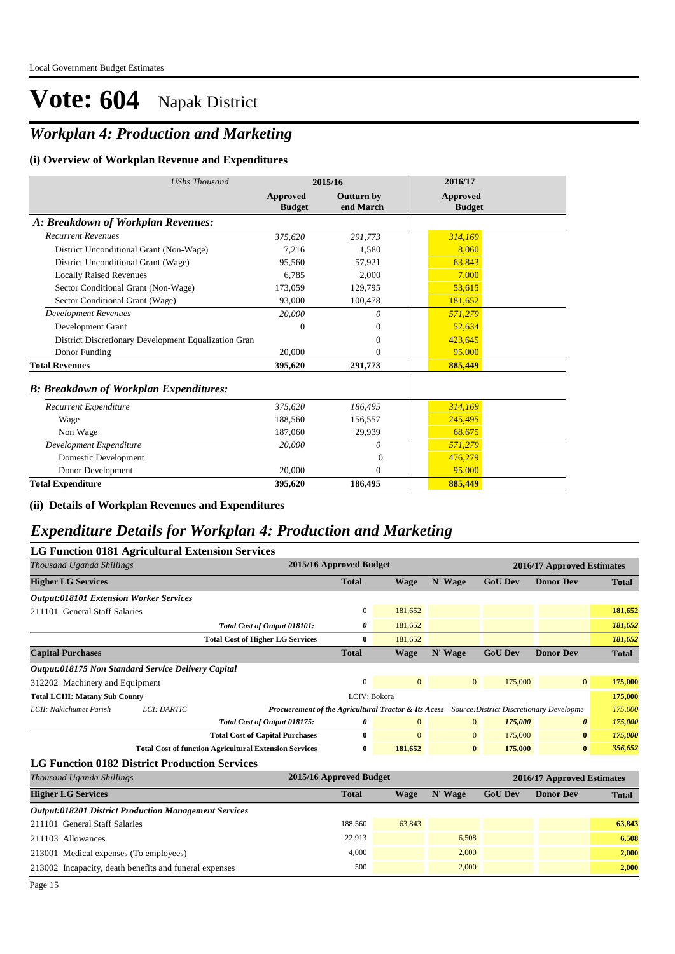### *Workplan 4: Production and Marketing*

#### **(i) Overview of Workplan Revenue and Expenditures**

| <b>UShs Thousand</b>                                 | 2015/16                   |                                | 2016/17                          |
|------------------------------------------------------|---------------------------|--------------------------------|----------------------------------|
|                                                      | Approved<br><b>Budget</b> | <b>Outturn by</b><br>end March | <b>Approved</b><br><b>Budget</b> |
| A: Breakdown of Workplan Revenues:                   |                           |                                |                                  |
| <b>Recurrent Revenues</b>                            | 375,620                   | 291,773                        | 314,169                          |
| District Unconditional Grant (Non-Wage)              | 7.216                     | 1.580                          | 8.060                            |
| District Unconditional Grant (Wage)                  | 95,560                    | 57.921                         | 63.843                           |
| <b>Locally Raised Revenues</b>                       | 6.785                     | 2,000                          | 7.000                            |
| Sector Conditional Grant (Non-Wage)                  | 173,059                   | 129,795                        | 53,615                           |
| Sector Conditional Grant (Wage)                      | 93,000                    | 100,478                        | 181,652                          |
| <b>Development Revenues</b>                          | 20,000                    | 0                              | 571,279                          |
| Development Grant                                    | 0                         | 0                              | 52,634                           |
| District Discretionary Development Equalization Gran |                           | 0                              | 423.645                          |
| Donor Funding                                        | 20,000                    | $\mathbf{0}$                   | 95,000                           |
| <b>Total Revenues</b>                                | 395,620                   | 291,773                        | 885,449                          |
| <b>B: Breakdown of Workplan Expenditures:</b>        |                           |                                |                                  |
| Recurrent Expenditure                                | 375,620                   | 186,495                        | 314,169                          |
| Wage                                                 | 188,560                   | 156,557                        | 245,495                          |
| Non Wage                                             | 187,060                   | 29,939                         | 68.675                           |
| Development Expenditure                              | 20,000                    | 0                              | 571,279                          |
| Domestic Development                                 |                           | $\Omega$                       | 476,279                          |
| Donor Development                                    | 20,000                    | $\mathbf{0}$                   | 95,000                           |
| <b>Total Expenditure</b>                             | 395,620                   | 186,495                        | 885,449                          |

**(ii) Details of Workplan Revenues and Expenditures**

### *Expenditure Details for Workplan 4: Production and Marketing*

| <b>LG Function 0181 Agricultural Extension Services</b>      |  |                                                                                                  |                         |                |                |                |                            |              |
|--------------------------------------------------------------|--|--------------------------------------------------------------------------------------------------|-------------------------|----------------|----------------|----------------|----------------------------|--------------|
| Thousand Uganda Shillings                                    |  |                                                                                                  | 2015/16 Approved Budget |                |                |                | 2016/17 Approved Estimates |              |
| <b>Higher LG Services</b>                                    |  |                                                                                                  | <b>Total</b>            | Wage           | N' Wage        | <b>GoU Dev</b> | <b>Donor Dev</b>           | <b>Total</b> |
| <b>Output:018101 Extension Worker Services</b>               |  |                                                                                                  |                         |                |                |                |                            |              |
| 211101 General Staff Salaries                                |  |                                                                                                  | $\mathbf{0}$            | 181,652        |                |                |                            | 181,652      |
|                                                              |  | Total Cost of Output 018101:                                                                     | 0                       | 181,652        |                |                |                            | 181,652      |
|                                                              |  | <b>Total Cost of Higher LG Services</b>                                                          | $\bf{0}$                | 181,652        |                |                |                            | 181,652      |
| <b>Capital Purchases</b>                                     |  |                                                                                                  | <b>Total</b>            | <b>Wage</b>    | N' Wage        | <b>GoU Dev</b> | <b>Donor Dev</b>           | <b>Total</b> |
| Output:018175 Non Standard Service Delivery Capital          |  |                                                                                                  |                         |                |                |                |                            |              |
| 312202 Machinery and Equipment                               |  |                                                                                                  | $\mathbf{0}$            | $\overline{0}$ | $\mathbf{0}$   | 175,000        | $\overline{0}$             | 175,000      |
| LCIV: Bokora<br><b>Total LCIII: Matany Sub County</b>        |  |                                                                                                  |                         |                |                |                | 175,000                    |              |
| LCII: Nakichumet Parish<br>LCI: DARTIC                       |  | Procuerement of the Agricultural Tractor & Its Acess<br>Source: District Discretionary Developme |                         |                |                |                |                            | 175,000      |
|                                                              |  | Total Cost of Output 018175:                                                                     | 0                       | $\Omega$       | $\mathbf{0}$   | 175,000        | $\boldsymbol{\theta}$      | 175,000      |
|                                                              |  | <b>Total Cost of Capital Purchases</b>                                                           | $\bf{0}$                | $\mathbf{0}$   | $\overline{0}$ | 175,000        | $\bf{0}$                   | 175,000      |
|                                                              |  | <b>Total Cost of function Agricultural Extension Services</b>                                    | 0                       | 181,652        | $\bf{0}$       | 175,000        | $\bf{0}$                   | 356,652      |
| <b>LG Function 0182 District Production Services</b>         |  |                                                                                                  |                         |                |                |                |                            |              |
| Thousand Uganda Shillings                                    |  |                                                                                                  | 2015/16 Approved Budget |                |                |                | 2016/17 Approved Estimates |              |
| <b>Higher LG Services</b>                                    |  |                                                                                                  | <b>Total</b>            | <b>Wage</b>    | N' Wage        | <b>GoU Dev</b> | <b>Donor Dev</b>           | <b>Total</b> |
| <b>Output:018201 District Production Management Services</b> |  |                                                                                                  |                         |                |                |                |                            |              |
| 211101 General Staff Salaries                                |  |                                                                                                  | 188,560                 | 63,843         |                |                |                            | 63,843       |
| 211103 Allowances                                            |  |                                                                                                  | 22,913                  |                | 6,508          |                |                            | 6,508        |
| 213001 Medical expenses (To employees)                       |  |                                                                                                  | 4,000                   |                | 2,000          |                |                            | 2,000        |
| 213002 Incapacity, death benefits and funeral expenses       |  |                                                                                                  | 500                     |                | 2,000          |                |                            | 2,000        |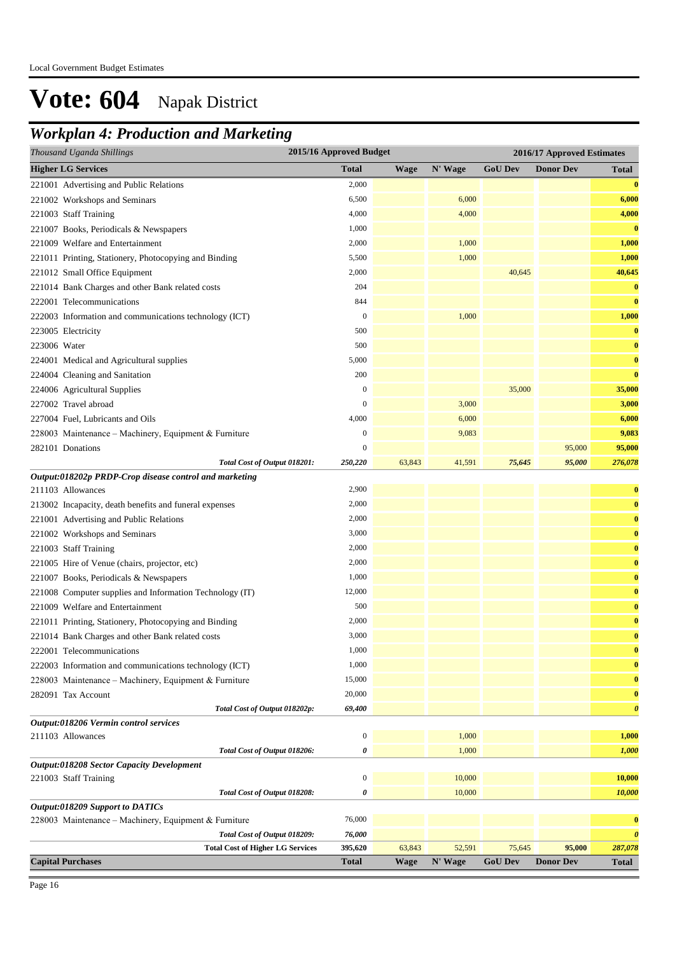### *Workplan 4: Production and Marketing*

| Thousand Uganda Shillings                                | 2015/16 Approved Budget |             |         |                | 2016/17 Approved Estimates |                       |
|----------------------------------------------------------|-------------------------|-------------|---------|----------------|----------------------------|-----------------------|
| <b>Higher LG Services</b>                                | <b>Total</b>            | Wage        | N' Wage | <b>GoU Dev</b> | <b>Donor Dev</b>           | <b>Total</b>          |
| 221001 Advertising and Public Relations                  | 2,000                   |             |         |                |                            | $\bf{0}$              |
| 221002 Workshops and Seminars                            | 6,500                   |             | 6,000   |                |                            | 6,000                 |
| 221003 Staff Training                                    | 4,000                   |             | 4,000   |                |                            | 4,000                 |
| 221007 Books, Periodicals & Newspapers                   | 1,000                   |             |         |                |                            | $\bf{0}$              |
| 221009 Welfare and Entertainment                         | 2,000                   |             | 1,000   |                |                            | 1,000                 |
| 221011 Printing, Stationery, Photocopying and Binding    | 5,500                   |             | 1,000   |                |                            | 1,000                 |
| 221012 Small Office Equipment                            | 2,000                   |             |         | 40,645         |                            | 40,645                |
| 221014 Bank Charges and other Bank related costs         | 204                     |             |         |                |                            | $\bf{0}$              |
| 222001 Telecommunications                                | 844                     |             |         |                |                            | $\bf{0}$              |
| 222003 Information and communications technology (ICT)   | $\mathbf{0}$            |             | 1,000   |                |                            | 1,000                 |
| 223005 Electricity                                       | 500                     |             |         |                |                            | $\bf{0}$              |
| 223006 Water                                             | 500                     |             |         |                |                            | $\bf{0}$              |
| 224001 Medical and Agricultural supplies                 | 5,000                   |             |         |                |                            | $\bf{0}$              |
| 224004 Cleaning and Sanitation                           | 200                     |             |         |                |                            | $\bf{0}$              |
| 224006 Agricultural Supplies                             | $\mathbf{0}$            |             |         | 35,000         |                            | 35,000                |
| 227002 Travel abroad                                     | $\boldsymbol{0}$        |             | 3,000   |                |                            | 3,000                 |
| 227004 Fuel, Lubricants and Oils                         | 4,000                   |             | 6,000   |                |                            | 6,000                 |
| 228003 Maintenance – Machinery, Equipment & Furniture    | $\boldsymbol{0}$        |             | 9,083   |                |                            | 9,083                 |
| 282101 Donations                                         | $\mathbf{0}$            |             |         |                | 95,000                     | 95,000                |
| Total Cost of Output 018201:                             | 250,220                 | 63,843      | 41,591  | 75,645         | 95,000                     | 276,078               |
| Output:018202p PRDP-Crop disease control and marketing   |                         |             |         |                |                            |                       |
| 211103 Allowances                                        | 2,900                   |             |         |                |                            | $\bf{0}$              |
| 213002 Incapacity, death benefits and funeral expenses   | 2,000                   |             |         |                |                            | $\bf{0}$              |
| 221001 Advertising and Public Relations                  | 2,000                   |             |         |                |                            | $\bf{0}$              |
| 221002 Workshops and Seminars                            | 3,000                   |             |         |                |                            | $\bf{0}$              |
| 221003 Staff Training                                    | 2,000                   |             |         |                |                            | $\bf{0}$              |
| 221005 Hire of Venue (chairs, projector, etc)            | 2,000                   |             |         |                |                            | $\bf{0}$              |
| 221007 Books, Periodicals & Newspapers                   | 1,000                   |             |         |                |                            | $\bf{0}$              |
| 221008 Computer supplies and Information Technology (IT) | 12,000                  |             |         |                |                            | $\bf{0}$              |
| 221009 Welfare and Entertainment                         | 500                     |             |         |                |                            | $\bf{0}$              |
| 221011 Printing, Stationery, Photocopying and Binding    | 2,000                   |             |         |                |                            | $\bf{0}$              |
| 221014 Bank Charges and other Bank related costs         | 3,000                   |             |         |                |                            | $\bf{0}$              |
| 222001 Telecommunications                                | 1,000                   |             |         |                |                            | $\mathbf{0}$          |
| 222003 Information and communications technology (ICT)   | 1,000                   |             |         |                |                            | $\bf{0}$              |
| 228003 Maintenance - Machinery, Equipment & Furniture    | 15,000                  |             |         |                |                            | $\bf{0}$              |
| 282091 Tax Account                                       | 20,000                  |             |         |                |                            | $\bf{0}$              |
| Total Cost of Output 018202p:                            | 69,400                  |             |         |                |                            | $\boldsymbol{\theta}$ |
| Output:018206 Vermin control services                    |                         |             |         |                |                            |                       |
| 211103 Allowances                                        | $\boldsymbol{0}$        |             | 1,000   |                |                            | 1,000                 |
| Total Cost of Output 018206:                             | 0                       |             | 1,000   |                |                            | 1,000                 |
| Output:018208 Sector Capacity Development                |                         |             |         |                |                            |                       |
| 221003 Staff Training                                    | $\boldsymbol{0}$        |             | 10,000  |                |                            | 10,000                |
| Total Cost of Output 018208:                             | 0                       |             | 10,000  |                |                            | 10,000                |
| Output:018209 Support to DATICs                          |                         |             |         |                |                            |                       |
| 228003 Maintenance - Machinery, Equipment & Furniture    | 76,000                  |             |         |                |                            | $\bf{0}$              |
| Total Cost of Output 018209:                             | 76,000                  |             |         |                |                            | $\boldsymbol{\theta}$ |
| <b>Total Cost of Higher LG Services</b>                  | 395,620                 | 63,843      | 52,591  | 75,645         | 95,000                     | 287,078               |
| <b>Capital Purchases</b>                                 | <b>Total</b>            | <b>Wage</b> | N' Wage | <b>GoU Dev</b> | <b>Donor Dev</b>           | Total                 |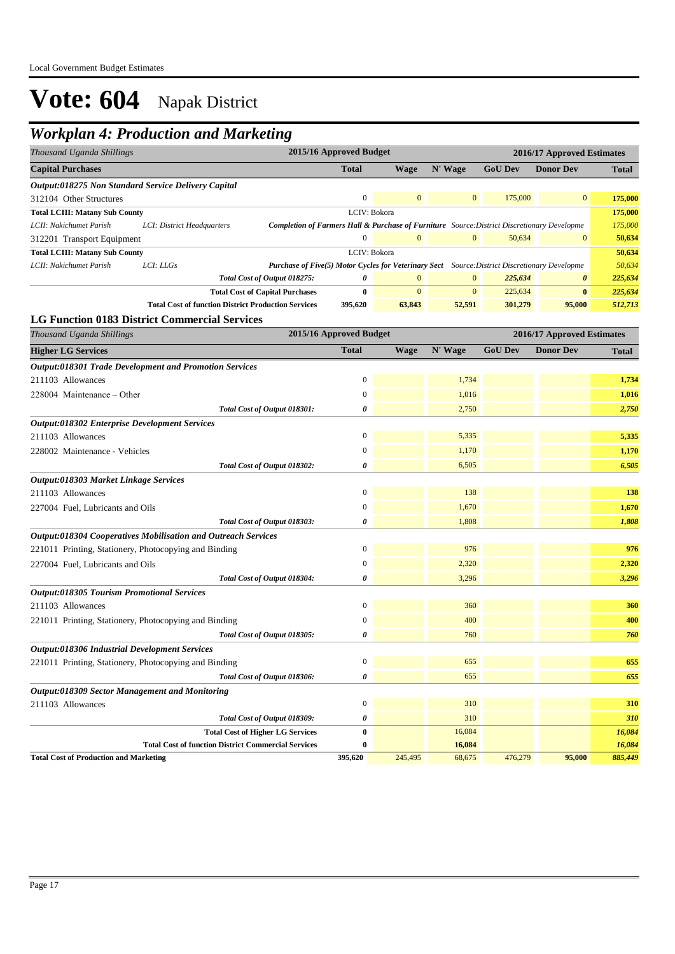### *Workplan 4: Production and Marketing*

| Thousand Uganda Shillings                                                                                                                                       | 2015/16 Approved Budget |                |              |                | 2016/17 Approved Estimates |                  |
|-----------------------------------------------------------------------------------------------------------------------------------------------------------------|-------------------------|----------------|--------------|----------------|----------------------------|------------------|
| <b>Capital Purchases</b>                                                                                                                                        | <b>Total</b>            | <b>Wage</b>    | N' Wage      | <b>GoU Dev</b> | <b>Donor Dev</b>           | Total            |
| <i><b>Output:018275 Non Standard Service Delivery Capital</b></i>                                                                                               |                         |                |              |                |                            |                  |
| 312104 Other Structures                                                                                                                                         | $\mathbf{0}$            | $\mathbf{0}$   | $\mathbf{0}$ | 175,000        | $\boldsymbol{0}$           | 175,000          |
| <b>Total LCIII: Matany Sub County</b>                                                                                                                           | LCIV: Bokora            |                |              |                |                            | 175,000          |
| LCII: Nakichumet Parish<br>LCI: District Headquarters<br><b>Completion of Farmers Hall &amp; Purchase of Furniture</b> Source: District Discretionary Developme |                         |                |              |                |                            | 175,000          |
| 312201 Transport Equipment                                                                                                                                      | $\boldsymbol{0}$        | $\overline{0}$ | $\mathbf{0}$ | 50,634         | $\boldsymbol{0}$           | 50,634           |
| <b>Total LCIII: Matany Sub County</b>                                                                                                                           | LCIV: Bokora            |                |              |                |                            |                  |
| LCII: Nakichumet Parish<br>LCI: LLGs<br><b>Purchase of Five(5) Motor Cycles for Veterinary Sect</b> Source: District Discretionary Developme                    |                         |                |              |                |                            | 50,634<br>50,634 |
| Total Cost of Output 018275:                                                                                                                                    | 0                       | $\mathbf{0}$   | $\mathbf{0}$ | 225,634        | $\boldsymbol{\theta}$      | 225,634          |
| <b>Total Cost of Capital Purchases</b>                                                                                                                          | $\bf{0}$                | $\mathbf{0}$   | $\mathbf{0}$ | 225,634        | $\bf{0}$                   | 225,634          |
| <b>Total Cost of function District Production Services</b>                                                                                                      | 395,620                 | 63,843         | 52,591       | 301,279        | 95,000                     | 512,713          |
| <b>LG Function 0183 District Commercial Services</b>                                                                                                            |                         |                |              |                |                            |                  |
| Thousand Uganda Shillings                                                                                                                                       | 2015/16 Approved Budget |                |              |                | 2016/17 Approved Estimates |                  |
| <b>Higher LG Services</b>                                                                                                                                       | <b>Total</b>            | <b>Wage</b>    | N' Wage      | <b>GoU Dev</b> | <b>Donor Dev</b>           | <b>Total</b>     |
| <b>Output:018301 Trade Development and Promotion Services</b>                                                                                                   |                         |                |              |                |                            |                  |
| 211103 Allowances                                                                                                                                               | $\overline{0}$          |                | 1,734        |                |                            | 1,734            |
| 228004 Maintenance – Other                                                                                                                                      | $\mathbf{0}$            |                | 1,016        |                |                            | 1,016            |
| Total Cost of Output 018301:                                                                                                                                    | 0                       |                | 2,750        |                |                            | 2,750            |
| Output:018302 Enterprise Development Services                                                                                                                   |                         |                |              |                |                            |                  |
| 211103 Allowances                                                                                                                                               | $\boldsymbol{0}$        |                | 5,335        |                |                            | 5,335            |
| 228002 Maintenance - Vehicles                                                                                                                                   | $\mathbf{0}$            |                | 1,170        |                |                            | 1,170            |
| Total Cost of Output 018302:                                                                                                                                    | 0                       |                | 6,505        |                |                            | 6,505            |
| Output:018303 Market Linkage Services                                                                                                                           |                         |                |              |                |                            |                  |
| 211103 Allowances                                                                                                                                               | $\boldsymbol{0}$        |                | 138          |                |                            | 138              |
| 227004 Fuel, Lubricants and Oils                                                                                                                                | $\boldsymbol{0}$        |                | 1,670        |                |                            | 1,670            |
|                                                                                                                                                                 |                         |                |              |                |                            |                  |
| Total Cost of Output 018303:                                                                                                                                    | 0                       |                | 1,808        |                |                            | 1,808            |
| Output:018304 Cooperatives Mobilisation and Outreach Services                                                                                                   |                         |                |              |                |                            |                  |
| 221011 Printing, Stationery, Photocopying and Binding                                                                                                           | $\mathbf{0}$            |                | 976          |                |                            | 976              |
| 227004 Fuel, Lubricants and Oils                                                                                                                                | $\overline{0}$          |                | 2,320        |                |                            | 2,320            |
| Total Cost of Output 018304:                                                                                                                                    | 0                       |                | 3,296        |                |                            | 3,296            |
| Output:018305 Tourism Promotional Services                                                                                                                      |                         |                |              |                |                            |                  |
| 211103 Allowances                                                                                                                                               | $\boldsymbol{0}$        |                | 360          |                |                            | 360              |
| 221011 Printing, Stationery, Photocopying and Binding                                                                                                           | $\mathbf{0}$            |                | 400          |                |                            | 400              |
| Total Cost of Output 018305:                                                                                                                                    | 0                       |                | 760          |                |                            | 760              |
| Output:018306 Industrial Development Services                                                                                                                   |                         |                |              |                |                            |                  |
| 221011 Printing, Stationery, Photocopying and Binding                                                                                                           | $\boldsymbol{0}$        |                | 655          |                |                            | 655              |
| Total Cost of Output 018306:                                                                                                                                    | 0                       |                | 655          |                |                            | 655              |
| Output:018309 Sector Management and Monitoring                                                                                                                  |                         |                |              |                |                            |                  |
| 211103 Allowances                                                                                                                                               | $\boldsymbol{0}$        |                | 310          |                |                            | 310              |
| Total Cost of Output 018309:                                                                                                                                    | 0                       |                | 310          |                |                            | 310              |
| <b>Total Cost of Higher LG Services</b>                                                                                                                         | $\boldsymbol{0}$        |                | 16,084       |                |                            | 16,084           |
| <b>Total Cost of function District Commercial Services</b>                                                                                                      | 0                       |                | 16,084       |                |                            | 16,084           |
| <b>Total Cost of Production and Marketing</b>                                                                                                                   | 395,620                 | 245,495        | 68,675       | 476,279        | 95,000                     | 885,449          |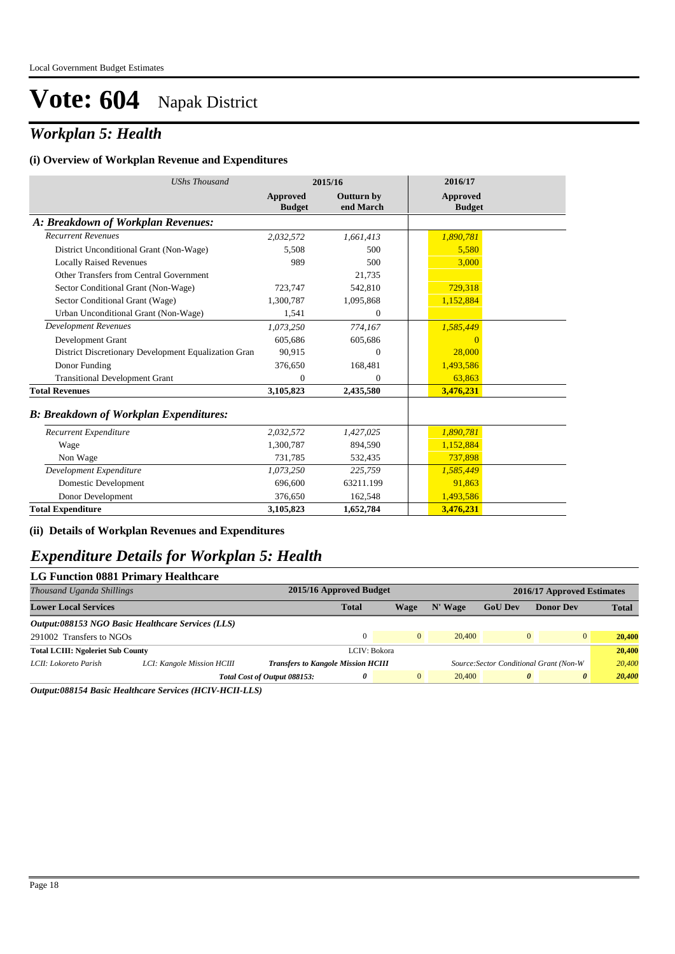### *Workplan 5: Health*

#### **(i) Overview of Workplan Revenue and Expenditures**

| <b>UShs Thousand</b>                                 | 2015/16                          |                         | 2016/17                   |
|------------------------------------------------------|----------------------------------|-------------------------|---------------------------|
|                                                      | <b>Approved</b><br><b>Budget</b> | Outturn by<br>end March | Approved<br><b>Budget</b> |
| A: Breakdown of Workplan Revenues:                   |                                  |                         |                           |
| <b>Recurrent Revenues</b>                            | 2,032,572                        | 1,661,413               | 1,890,781                 |
| District Unconditional Grant (Non-Wage)              | 5.508                            | 500                     | 5.580                     |
| <b>Locally Raised Revenues</b>                       | 989                              | 500                     | 3,000                     |
| Other Transfers from Central Government              |                                  | 21,735                  |                           |
| Sector Conditional Grant (Non-Wage)                  | 723,747                          | 542,810                 | 729,318                   |
| Sector Conditional Grant (Wage)                      | 1,300,787                        | 1,095,868               | 1,152,884                 |
| Urban Unconditional Grant (Non-Wage)                 | 1,541                            | $\Omega$                |                           |
| <b>Development Revenues</b>                          | 1,073,250                        | 774,167                 | 1,585,449                 |
| Development Grant                                    | 605,686                          | 605,686                 | $\Omega$                  |
| District Discretionary Development Equalization Gran | 90.915                           | $\Omega$                | 28,000                    |
| Donor Funding                                        | 376,650                          | 168,481                 | 1,493,586                 |
| <b>Transitional Development Grant</b>                | $\Omega$                         | $\Omega$                | 63,863                    |
| <b>Total Revenues</b>                                | 3,105,823                        | 2,435,580               | 3,476,231                 |
| <b>B: Breakdown of Workplan Expenditures:</b>        |                                  |                         |                           |
| Recurrent Expenditure                                | 2,032,572                        | 1,427,025               | 1,890,781                 |
| Wage                                                 | 1,300,787                        | 894,590                 | 1,152,884                 |
| Non Wage                                             | 731,785                          | 532,435                 | 737,898                   |
| Development Expenditure                              | 1,073,250                        | 225,759                 | 1,585,449                 |
| Domestic Development                                 | 696,600                          | 63211.199               | 91,863                    |
| Donor Development                                    | 376,650                          | 162,548                 | 1,493,586                 |
| <b>Total Expenditure</b>                             | 3,105,823                        | 1,652,784               | 3,476,231                 |

#### **(ii) Details of Workplan Revenues and Expenditures**

#### *Expenditure Details for Workplan 5: Health*

| <b>LG Function 0881 Primary Healthcare</b>        |  |                              |                         |                                                           |                |                       |                                                                 |  |  |
|---------------------------------------------------|--|------------------------------|-------------------------|-----------------------------------------------------------|----------------|-----------------------|-----------------------------------------------------------------|--|--|
| Thousand Uganda Shillings                         |  |                              | 2015/16 Approved Budget |                                                           |                |                       | 2016/17 Approved Estimates                                      |  |  |
|                                                   |  | <b>Total</b>                 | Wage                    | N' Wage                                                   | <b>GoU Dev</b> | <b>Donor Dev</b>      | <b>Total</b>                                                    |  |  |
| Output:088153 NGO Basic Healthcare Services (LLS) |  |                              |                         |                                                           |                |                       |                                                                 |  |  |
| 291002 Transfers to NGOs                          |  |                              | $\Omega$                | 20,400                                                    |                | $\overline{0}$        | 20,400                                                          |  |  |
| <b>Total LCIII: Ngoleriet Sub County</b>          |  |                              |                         |                                                           |                |                       | 20,400                                                          |  |  |
| LCI: Kangole Mission HCIII                        |  |                              |                         |                                                           |                |                       | 20,400                                                          |  |  |
|                                                   |  | 0                            | $\overline{0}$          | 20,400                                                    |                | $\boldsymbol{\theta}$ | 20,400                                                          |  |  |
|                                                   |  | Total Cost of Output 088153: |                         | LCIV: Bokora<br><b>Transfers to Kangole Mission HCIII</b> |                |                       | $\Omega$<br>Source: Sector Conditional Grant (Non-W<br>$\theta$ |  |  |

*Output:088154 Basic Healthcare Services (HCIV-HCII-LLS)*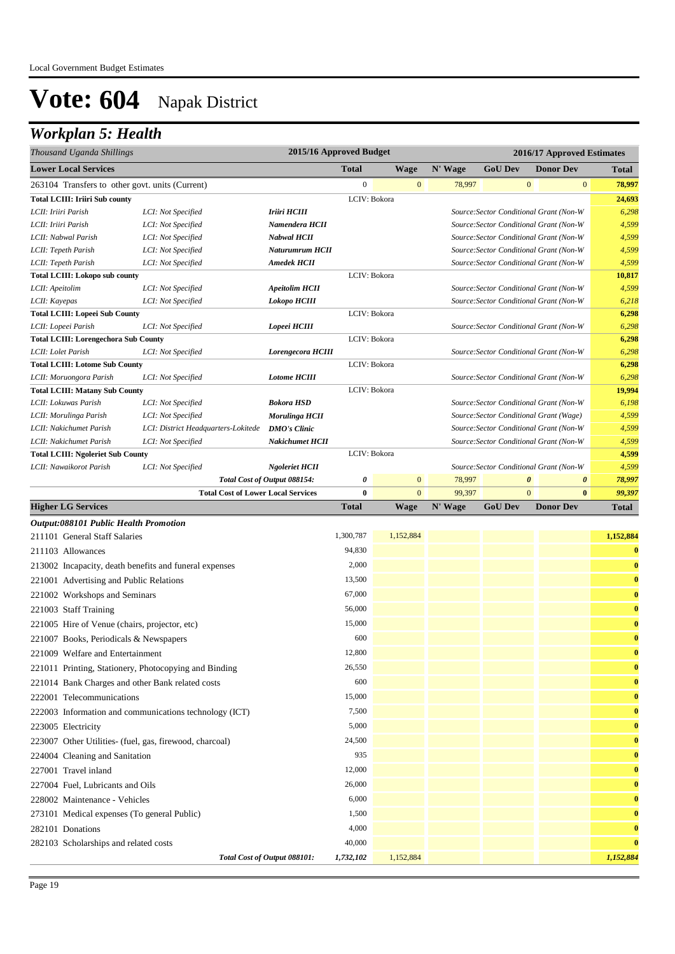## *Workplan 5: Health*

| Thousand Uganda Shillings                               |                                                           | 2015/16 Approved Budget      |                  |                |         |                       | 2016/17 Approved Estimates                                                         |                 |
|---------------------------------------------------------|-----------------------------------------------------------|------------------------------|------------------|----------------|---------|-----------------------|------------------------------------------------------------------------------------|-----------------|
| <b>Lower Local Services</b>                             |                                                           |                              | <b>Total</b>     | <b>Wage</b>    | N' Wage | <b>GoU Dev</b>        | <b>Donor Dev</b>                                                                   | <b>Total</b>    |
| 263104 Transfers to other govt. units (Current)         |                                                           |                              | $\boldsymbol{0}$ | $\mathbf{0}$   | 78,997  | $\mathbf{0}$          | $\mathbf{0}$                                                                       | 78,997          |
| <b>Total LCIII: Iriiri Sub county</b>                   |                                                           |                              | LCIV: Bokora     |                |         |                       |                                                                                    | 24,693          |
| LCII: Iriiri Parish                                     | LCI: Not Specified                                        | Iriiri HCIII                 |                  |                |         |                       | Source: Sector Conditional Grant (Non-W                                            | 6,298           |
| LCII: Iriiri Parish                                     | LCI: Not Specified                                        | Namendera HCII               |                  |                |         |                       | Source: Sector Conditional Grant (Non-W                                            | 4,599           |
| LCII: Nabwal Parish                                     | LCI: Not Specified                                        | <b>Nabwal HCII</b>           |                  |                |         |                       | Source: Sector Conditional Grant (Non-W                                            | 4,599           |
| LCII: Tepeth Parish                                     | LCI: Not Specified                                        | Naturumrum HCII              |                  |                |         |                       | Source: Sector Conditional Grant (Non-W                                            | 4,599           |
| LCII: Tepeth Parish                                     | LCI: Not Specified                                        | <b>Amedek HCII</b>           |                  |                |         |                       | Source: Sector Conditional Grant (Non-W                                            | 4,599           |
| <b>Total LCIII: Lokopo sub county</b>                   |                                                           |                              | LCIV: Bokora     |                |         |                       |                                                                                    | 10,817          |
| LCII: Apeitolim                                         | LCI: Not Specified                                        | <b>Apeitolim HCII</b>        |                  |                |         |                       | Source: Sector Conditional Grant (Non-W                                            | 4,599           |
| LCII: Kayepas                                           | LCI: Not Specified                                        | Lokopo HCIII                 |                  |                |         |                       | Source: Sector Conditional Grant (Non-W                                            | 6,218           |
| <b>Total LCIII: Lopeei Sub County</b>                   |                                                           |                              | LCIV: Bokora     |                |         |                       |                                                                                    | 6,298           |
| LCII: Lopeei Parish                                     | LCI: Not Specified                                        | Lopeei HCIII                 |                  |                |         |                       | Source: Sector Conditional Grant (Non-W                                            | 6,298           |
| <b>Total LCIII: Lorengechora Sub County</b>             |                                                           |                              | LCIV: Bokora     |                |         |                       |                                                                                    | 6,298           |
| LCII: Lolet Parish                                      | LCI: Not Specified                                        | Lorengecora HCIII            |                  |                |         |                       | Source: Sector Conditional Grant (Non-W                                            | 6,298           |
| <b>Total LCIII: Lotome Sub County</b>                   |                                                           |                              | LCIV: Bokora     |                |         |                       |                                                                                    | 6,298           |
| LCII: Moruongora Parish                                 | LCI: Not Specified                                        | <b>Lotome HCIII</b>          |                  |                |         |                       | Source: Sector Conditional Grant (Non-W                                            | 6,298           |
| <b>Total LCIII: Matany Sub County</b>                   |                                                           | <b>Bokora HSD</b>            | LCIV: Bokora     |                |         |                       |                                                                                    | 19,994<br>6,198 |
| LCII: Lokuwas Parish                                    | LCI: Not Specified                                        | Morulinga HCII               |                  |                |         |                       | Source: Sector Conditional Grant (Non-W                                            | 4,599           |
| LCII: Morulinga Parish<br>LCII: Nakichumet Parish       | LCI: Not Specified<br>LCI: District Headquarters-Lokitede | <b>DMO's Clinic</b>          |                  |                |         |                       | Source: Sector Conditional Grant (Wage)<br>Source: Sector Conditional Grant (Non-W | 4,599           |
| LCII: Nakichumet Parish                                 | LCI: Not Specified                                        | <b>Nakichumet HCII</b>       |                  |                |         |                       | Source: Sector Conditional Grant (Non-W                                            | 4,599           |
| <b>Total LCIII: Ngoleriet Sub County</b>                |                                                           |                              | LCIV: Bokora     |                |         |                       |                                                                                    | 4,599           |
| LCII: Nawaikorot Parish                                 | LCI: Not Specified                                        | <b>Ngoleriet HCII</b>        |                  |                |         |                       | Source: Sector Conditional Grant (Non-W                                            | 4,599           |
|                                                         |                                                           | Total Cost of Output 088154: | 0                | $\mathbf{0}$   | 78,997  | $\boldsymbol{\theta}$ | $\boldsymbol{\theta}$                                                              | 78,997          |
|                                                         | <b>Total Cost of Lower Local Services</b>                 |                              | $\bf{0}$         | $\overline{0}$ | 99,397  | $\mathbf{0}$          | $\bf{0}$                                                                           | 99,397          |
| <b>Higher LG Services</b>                               |                                                           |                              | <b>Total</b>     | <b>Wage</b>    | N' Wage | <b>GoU Dev</b>        | <b>Donor Dev</b>                                                                   | <b>Total</b>    |
| <b>Output:088101 Public Health Promotion</b>            |                                                           |                              |                  |                |         |                       |                                                                                    |                 |
| 211101 General Staff Salaries                           |                                                           |                              | 1,300,787        | 1,152,884      |         |                       |                                                                                    | 1,152,884       |
| 211103 Allowances                                       |                                                           |                              | 94,830           |                |         |                       |                                                                                    | $\bf{0}$        |
| 213002 Incapacity, death benefits and funeral expenses  |                                                           |                              | 2,000            |                |         |                       |                                                                                    | $\bf{0}$        |
| 221001 Advertising and Public Relations                 |                                                           |                              | 13,500           |                |         |                       |                                                                                    | $\bf{0}$        |
|                                                         |                                                           |                              |                  |                |         |                       |                                                                                    | $\bf{0}$        |
| 221002 Workshops and Seminars                           |                                                           |                              | 67,000           |                |         |                       |                                                                                    |                 |
| 221003 Staff Training                                   |                                                           |                              | 56,000           |                |         |                       |                                                                                    | $\bf{0}$        |
| 221005 Hire of Venue (chairs, projector, etc)           |                                                           |                              | 15,000           |                |         |                       |                                                                                    | $\bf{0}$        |
| 221007 Books, Periodicals & Newspapers                  |                                                           |                              | 600              |                |         |                       |                                                                                    | $\bf{0}$        |
| 221009 Welfare and Entertainment                        |                                                           |                              | 12,800           |                |         |                       |                                                                                    | $\Omega$        |
| 221011 Printing, Stationery, Photocopying and Binding   |                                                           |                              | 26,550           |                |         |                       |                                                                                    | $\bf{0}$        |
| 221014 Bank Charges and other Bank related costs        |                                                           |                              | 600              |                |         |                       |                                                                                    | $\bf{0}$        |
| 222001 Telecommunications                               |                                                           |                              | 15,000           |                |         |                       |                                                                                    | $\bf{0}$        |
|                                                         | 222003 Information and communications technology (ICT)    |                              | 7,500            |                |         |                       |                                                                                    | $\bf{0}$        |
| 223005 Electricity                                      |                                                           |                              | 5,000            |                |         |                       |                                                                                    | $\bf{0}$        |
| 223007 Other Utilities- (fuel, gas, firewood, charcoal) |                                                           |                              | 24,500           |                |         |                       |                                                                                    | $\bf{0}$        |
| 224004 Cleaning and Sanitation                          |                                                           |                              | 935              |                |         |                       |                                                                                    | $\bf{0}$        |
| 227001 Travel inland                                    |                                                           |                              | 12,000           |                |         |                       |                                                                                    | $\bf{0}$        |
| 227004 Fuel, Lubricants and Oils                        |                                                           |                              | 26,000           |                |         |                       |                                                                                    | $\bf{0}$        |
|                                                         |                                                           |                              | 6,000            |                |         |                       |                                                                                    |                 |
| 228002 Maintenance - Vehicles                           |                                                           |                              |                  |                |         |                       |                                                                                    | $\bf{0}$        |
| 273101 Medical expenses (To general Public)             |                                                           |                              | 1,500            |                |         |                       |                                                                                    | $\bf{0}$        |
| 282101 Donations                                        |                                                           |                              | 4,000            |                |         |                       |                                                                                    | $\bf{0}$        |
| 282103 Scholarships and related costs                   |                                                           |                              | 40,000           |                |         |                       |                                                                                    | $\bf{0}$        |
|                                                         |                                                           | Total Cost of Output 088101: | 1,732,102        | 1,152,884      |         |                       |                                                                                    | 1,152,884       |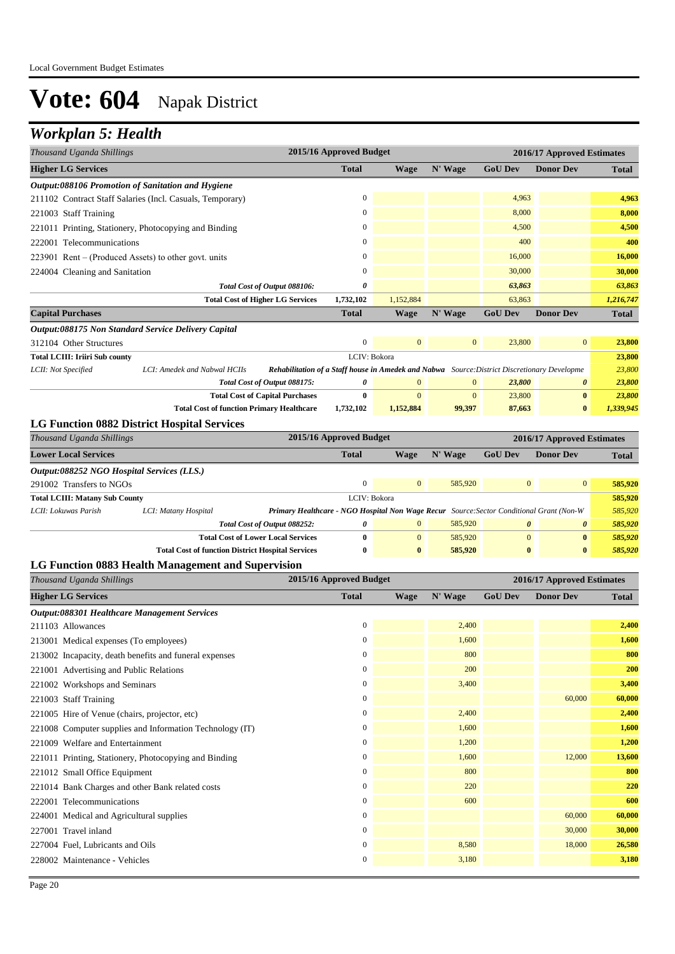### *Workplan 5: Health*

| Thousand Uganda Shillings                              |                                                                                                                              | 2015/16 Approved Budget |                  |                  |                  | 2016/17 Approved Estimates |              |
|--------------------------------------------------------|------------------------------------------------------------------------------------------------------------------------------|-------------------------|------------------|------------------|------------------|----------------------------|--------------|
| <b>Higher LG Services</b>                              |                                                                                                                              | <b>Total</b>            | <b>Wage</b>      | N' Wage          | <b>GoU Dev</b>   | <b>Donor Dev</b>           | <b>Total</b> |
| Output:088106 Promotion of Sanitation and Hygiene      |                                                                                                                              |                         |                  |                  |                  |                            |              |
|                                                        | 211102 Contract Staff Salaries (Incl. Casuals, Temporary)                                                                    | $\boldsymbol{0}$        |                  |                  | 4,963            |                            | 4,963        |
| 221003 Staff Training                                  |                                                                                                                              | $\boldsymbol{0}$        |                  |                  | 8,000            |                            | 8,000        |
|                                                        | 221011 Printing, Stationery, Photocopying and Binding                                                                        | $\mathbf{0}$            |                  |                  | 4,500            |                            | 4,500        |
| 222001 Telecommunications                              |                                                                                                                              | $\mathbf{0}$            |                  |                  | 400              |                            | 400          |
| $223901$ Rent – (Produced Assets) to other govt. units |                                                                                                                              | $\Omega$                |                  |                  | 16,000           |                            | 16,000       |
| 224004 Cleaning and Sanitation                         |                                                                                                                              | $\boldsymbol{0}$        |                  |                  | 30,000           |                            | 30,000       |
|                                                        | Total Cost of Output 088106:                                                                                                 | 0                       |                  |                  | 63,863           |                            | 63,863       |
|                                                        | <b>Total Cost of Higher LG Services</b>                                                                                      | 1,732,102               | 1,152,884        |                  | 63,863           |                            | 1,216,747    |
| <b>Capital Purchases</b>                               |                                                                                                                              | <b>Total</b>            | <b>Wage</b>      | N' Wage          | <b>GoU Dev</b>   | <b>Donor Dev</b>           | <b>Total</b> |
| Output:088175 Non Standard Service Delivery Capital    |                                                                                                                              |                         |                  |                  |                  |                            |              |
| 312104 Other Structures                                |                                                                                                                              | $\boldsymbol{0}$        | $\mathbf{0}$     | $\boldsymbol{0}$ | 23,800           | $\boldsymbol{0}$           | 23,800       |
| <b>Total LCIII: Iriiri Sub county</b>                  |                                                                                                                              | LCIV: Bokora            |                  |                  |                  |                            | 23,800       |
| LCII: Not Specified                                    | LCI: Amedek and Nabwal HCIIs<br>Rehabilitation of a Staff house in Amedek and Nabwa Source: District Discretionary Developme |                         |                  |                  |                  |                            | 23,800       |
|                                                        | Total Cost of Output 088175:                                                                                                 | 0                       | $\mathbf{0}$     | $\boldsymbol{0}$ | 23,800           | $\pmb{\theta}$             | 23,800       |
|                                                        | <b>Total Cost of Capital Purchases</b>                                                                                       | $\bf{0}$                | $\mathbf{0}$     | $\mathbf{0}$     | 23,800           | $\bf{0}$                   | 23,800       |
|                                                        | <b>Total Cost of function Primary Healthcare</b>                                                                             | 1,732,102               | 1,152,884        | 99,397           | 87,663           | $\bf{0}$                   | 1,339,945    |
|                                                        | <b>LG Function 0882 District Hospital Services</b>                                                                           |                         |                  |                  |                  |                            |              |
| Thousand Uganda Shillings                              |                                                                                                                              | 2015/16 Approved Budget |                  |                  |                  | 2016/17 Approved Estimates |              |
| <b>Lower Local Services</b>                            |                                                                                                                              | <b>Total</b>            | <b>Wage</b>      | N' Wage          | <b>GoU Dev</b>   | <b>Donor Dev</b>           | <b>Total</b> |
| Output:088252 NGO Hospital Services (LLS.)             |                                                                                                                              |                         |                  |                  |                  |                            |              |
| 291002 Transfers to NGOs                               |                                                                                                                              | $\boldsymbol{0}$        | $\mathbf{0}$     | 585,920          | $\boldsymbol{0}$ | $\boldsymbol{0}$           | 585,920      |
| <b>Total LCIII: Matany Sub County</b>                  |                                                                                                                              | LCIV: Bokora            |                  |                  |                  |                            | 585,920      |
| LCII: Lokuwas Parish                                   | LCI: Matany Hospital<br>Primary Healthcare - NGO Hospital Non Wage Recur Source: Sector Conditional Grant (Non-W             |                         |                  |                  |                  |                            | 585,920      |
|                                                        | Total Cost of Output 088252:                                                                                                 | 0                       | $\boldsymbol{0}$ | 585,920          | $\pmb{\theta}$   | 0                          | 585,920      |
|                                                        | <b>Total Cost of Lower Local Services</b>                                                                                    | $\bf{0}$                | $\mathbf{0}$     | 585,920          | $\mathbf{0}$     | $\bf{0}$                   | 585,920      |
|                                                        | <b>Total Cost of function District Hospital Services</b>                                                                     | $\bf{0}$                | $\bf{0}$         | 585,920          | $\bf{0}$         | $\bf{0}$                   | 585,920      |
|                                                        | LG Function 0883 Health Management and Supervision                                                                           |                         |                  |                  |                  |                            |              |
| Thousand Uganda Shillings                              |                                                                                                                              | 2015/16 Approved Budget |                  |                  |                  | 2016/17 Approved Estimates |              |
| <b>Higher LG Services</b>                              |                                                                                                                              | <b>Total</b>            | <b>Wage</b>      | N' Wage          | <b>GoU Dev</b>   | <b>Donor Dev</b>           | <b>Total</b> |
| Output:088301 Healthcare Management Services           |                                                                                                                              |                         |                  |                  |                  |                            |              |
| 211103 Allowances                                      |                                                                                                                              | $\boldsymbol{0}$        |                  | 2,400            |                  |                            | 2,400        |
| 213001 Medical expenses (To employees)                 |                                                                                                                              | $\overline{0}$          |                  | 1,600            |                  |                            | 1,600        |
| 213002 Incapacity, death benefits and funeral expenses |                                                                                                                              | $\mathbf{0}$            |                  | 800              |                  |                            | 800          |
| 221001 Advertising and Public Relations                |                                                                                                                              | $\boldsymbol{0}$        |                  | 200              |                  |                            | 200          |
| 221002 Workshops and Seminars                          |                                                                                                                              | $\Omega$                |                  | 3,400            |                  |                            | 3,400        |
| 221003 Staff Training                                  |                                                                                                                              | $\mathbf{0}$            |                  |                  |                  | 60,000                     | 60,000       |
| 221005 Hire of Venue (chairs, projector, etc)          |                                                                                                                              | $\mathbf{0}$            |                  | 2,400            |                  |                            | 2,400        |
|                                                        | 221008 Computer supplies and Information Technology (IT)                                                                     | $\Omega$                |                  | 1,600            |                  |                            | 1,600        |

221009 Welfare and Entertainment 0 1,200 **1,200** 221011 Printing, Stationery, Photocopying and Binding 0 1,600 1,600 12,000 13,600 221012 Small Office Equipment 800 **800 800 800 800 800 800 800** 221014 Bank Charges and other Bank related costs 0 220 **220** 222001 Telecommunications **600 600 600 600 600 600 600 600 600 600 600 600 600 600 600 600 600 600 600 600 600 600 600 600 600 600 600 600 600 600 600 600 600** 224001 Medical and Agricultural supplies **60,000 60,000 60,000 60,000 60,000 60,000 60,000 60,000 60,000** 227001 Travel inland 0 30,000 **30,000** 227004 Fuel, Lubricants and Oils 0 8,580 18,000 **26,580** 228002 Maintenance - Vehicles 0 3,180 **3,180**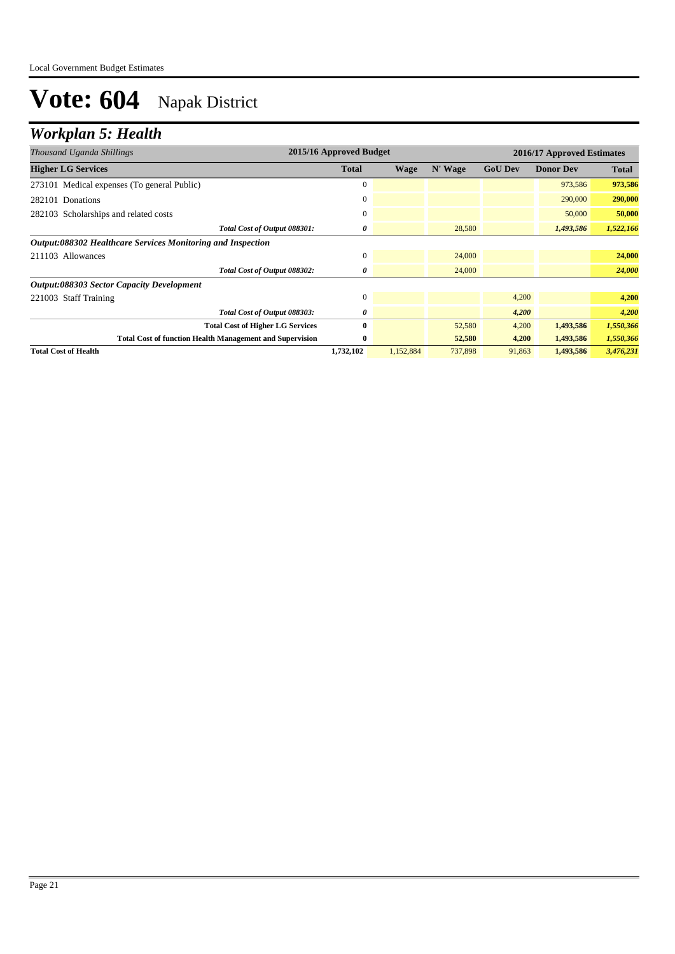## *Workplan 5: Health*

| Thousand Uganda Shillings                                       | 2015/16 Approved Budget |             |         | 2016/17 Approved Estimates |                  |              |  |
|-----------------------------------------------------------------|-------------------------|-------------|---------|----------------------------|------------------|--------------|--|
| <b>Higher LG Services</b>                                       | <b>Total</b>            | <b>Wage</b> | N' Wage | <b>GoU Dev</b>             | <b>Donor Dev</b> | <b>Total</b> |  |
| 273101 Medical expenses (To general Public)                     | $\mathbf{0}$            |             |         |                            | 973,586          | 973,586      |  |
| 282101 Donations                                                | $\mathbf{0}$            |             |         |                            | 290,000          | 290,000      |  |
| 282103 Scholarships and related costs                           | $\mathbf{0}$            |             |         |                            | 50,000           | 50,000       |  |
| Total Cost of Output 088301:                                    | 0                       |             | 28,580  |                            | 1,493,586        | 1,522,166    |  |
| Output:088302 Healthcare Services Monitoring and Inspection     |                         |             |         |                            |                  |              |  |
| 211103 Allowances                                               | $\mathbf{0}$            |             | 24,000  |                            |                  | 24,000       |  |
| Total Cost of Output 088302:                                    | 0                       |             | 24,000  |                            |                  | 24,000       |  |
| <b>Output:088303 Sector Capacity Development</b>                |                         |             |         |                            |                  |              |  |
| 221003 Staff Training                                           | $\mathbf{0}$            |             |         | 4,200                      |                  | 4,200        |  |
| Total Cost of Output 088303:                                    | 0                       |             |         | 4,200                      |                  | 4,200        |  |
| <b>Total Cost of Higher LG Services</b>                         | $\bf{0}$                |             | 52,580  | 4,200                      | 1,493,586        | 1,550,366    |  |
| <b>Total Cost of function Health Management and Supervision</b> | $\bf{0}$                |             | 52,580  | 4,200                      | 1,493,586        | 1,550,366    |  |
| <b>Total Cost of Health</b>                                     | 1,732,102               | 1,152,884   | 737,898 | 91,863                     | 1,493,586        | 3,476,231    |  |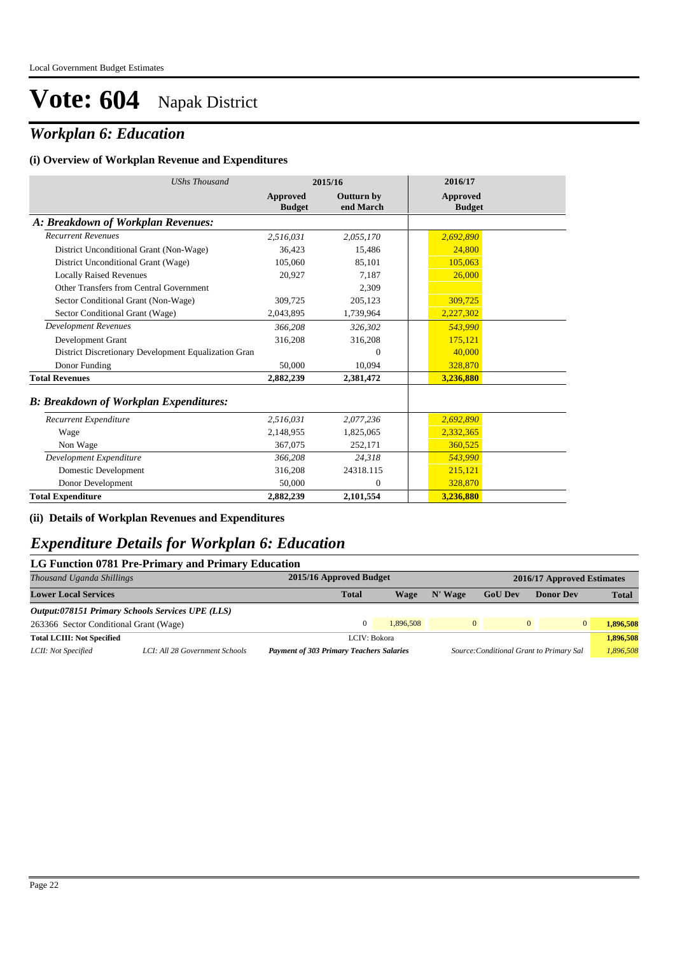## *Workplan 6: Education*

#### **(i) Overview of Workplan Revenue and Expenditures**

| <b>UShs Thousand</b>                                 |                           | 2015/16                 | 2016/17                   |
|------------------------------------------------------|---------------------------|-------------------------|---------------------------|
|                                                      | Approved<br><b>Budget</b> | Outturn by<br>end March | Approved<br><b>Budget</b> |
| A: Breakdown of Workplan Revenues:                   |                           |                         |                           |
| <b>Recurrent Revenues</b>                            | 2,516,031                 | 2,055,170               | 2,692,890                 |
| District Unconditional Grant (Non-Wage)              | 36,423                    | 15,486                  | 24,800                    |
| District Unconditional Grant (Wage)                  | 105,060                   | 85,101                  | 105,063                   |
| <b>Locally Raised Revenues</b>                       | 20,927                    | 7,187                   | 26,000                    |
| Other Transfers from Central Government              |                           | 2,309                   |                           |
| Sector Conditional Grant (Non-Wage)                  | 309,725                   | 205,123                 | 309,725                   |
| Sector Conditional Grant (Wage)                      | 2,043,895                 | 1,739,964               | 2,227,302                 |
| <b>Development Revenues</b>                          | 366,208                   | 326.302                 | 543,990                   |
| Development Grant                                    | 316,208                   | 316,208                 | 175,121                   |
| District Discretionary Development Equalization Gran |                           | $\Omega$                | 40,000                    |
| Donor Funding                                        | 50,000                    | 10,094                  | 328,870                   |
| <b>Total Revenues</b>                                | 2,882,239                 | 2,381,472               | 3,236,880                 |
| <b>B: Breakdown of Workplan Expenditures:</b>        |                           |                         |                           |
| Recurrent Expenditure                                | 2,516,031                 | 2,077,236               | 2,692,890                 |
| Wage                                                 | 2,148,955                 | 1,825,065               | 2,332,365                 |
| Non Wage                                             | 367,075                   | 252,171                 | 360,525                   |
| Development Expenditure                              | 366,208                   | 24,318                  | 543,990                   |
| Domestic Development                                 | 316,208                   | 24318.115               | 215,121                   |
| Donor Development                                    | 50,000                    | $\Omega$                | 328,870                   |
| <b>Total Expenditure</b>                             | 2,882,239                 | 2,101,554               | 3,236,880                 |

#### **(ii) Details of Workplan Revenues and Expenditures**

#### *Expenditure Details for Workplan 6: Education*

#### **LG Function 0781 Pre-Primary and Primary Education**

| Thousand Uganda Shillings              |                                                         | 2015/16 Approved Budget<br>2016/17 Approved Estimates |           |              |                                          |                  |                       |
|----------------------------------------|---------------------------------------------------------|-------------------------------------------------------|-----------|--------------|------------------------------------------|------------------|-----------------------|
| <b>Lower Local Services</b>            |                                                         | <b>Total</b>                                          | Wage      | N' Wage      | <b>GoU Dev</b>                           | <b>Donor Dev</b> | <b>Total</b>          |
|                                        | <b>Output:078151 Primary Schools Services UPE (LLS)</b> |                                                       |           |              |                                          |                  |                       |
| 263366 Sector Conditional Grant (Wage) |                                                         |                                                       | 1.896.508 | $\mathbf{0}$ | $\Omega$                                 |                  | $\Omega$<br>1.896.508 |
| <b>Total LCIII: Not Specified</b>      |                                                         | LCIV: Bokora                                          |           |              |                                          |                  | 1,896,508             |
| LCII: Not Specified                    | LCI: All 28 Government Schools                          | <b>Payment of 303 Primary Teachers Salaries</b>       |           |              | Source: Conditional Grant to Primary Sal |                  | 1,896,508             |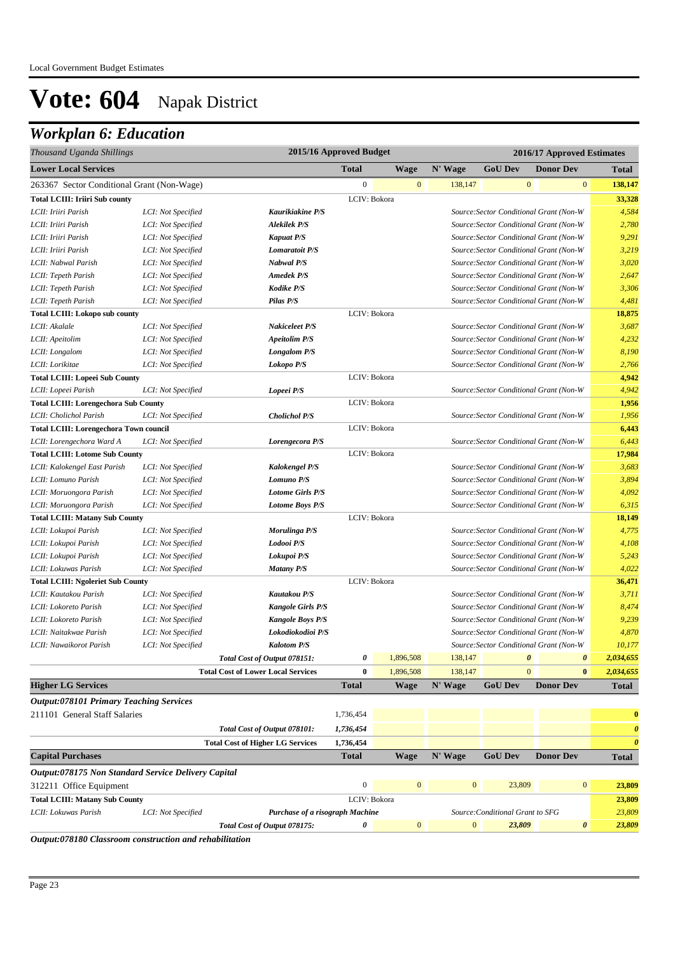## *Workplan 6: Education*

| Thousand Uganda Shillings                           |                    | 2015/16 Approved Budget                   |                  |              |                  |                                         |                       | 2016/17 Approved Estimates |                       |
|-----------------------------------------------------|--------------------|-------------------------------------------|------------------|--------------|------------------|-----------------------------------------|-----------------------|----------------------------|-----------------------|
| <b>Lower Local Services</b>                         |                    |                                           | <b>Total</b>     | <b>Wage</b>  | N' Wage          | <b>GoU Dev</b>                          |                       | <b>Donor Dev</b>           | <b>Total</b>          |
| 263367 Sector Conditional Grant (Non-Wage)          |                    |                                           | $\boldsymbol{0}$ | $\mathbf{0}$ | 138,147          |                                         | $\mathbf{0}$          | $\bf{0}$                   | 138,147               |
| <b>Total LCIII: Iriiri Sub county</b>               |                    |                                           | LCIV: Bokora     |              |                  |                                         |                       |                            | 33,328                |
| LCII: Iriiri Parish                                 | LCI: Not Specified | Kaurikiakine P/S                          |                  |              |                  | Source: Sector Conditional Grant (Non-W |                       |                            | 4,584                 |
| LCII: Iriiri Parish                                 | LCI: Not Specified | <b>Alekilek P/S</b>                       |                  |              |                  | Source: Sector Conditional Grant (Non-W |                       |                            | 2,780                 |
| LCII: Iriiri Parish                                 | LCI: Not Specified | <b>Kapuat P/S</b>                         |                  |              |                  | Source: Sector Conditional Grant (Non-W |                       |                            | 9,291                 |
| LCII: Iriiri Parish                                 | LCI: Not Specified | <b>Lomaratoit P/S</b>                     |                  |              |                  | Source: Sector Conditional Grant (Non-W |                       |                            | 3,219                 |
| LCII: Nabwal Parish                                 | LCI: Not Specified | <b>Nabwal P/S</b>                         |                  |              |                  | Source: Sector Conditional Grant (Non-W |                       |                            | 3,020                 |
| LCII: Tepeth Parish                                 | LCI: Not Specified | <b>Amedek P/S</b>                         |                  |              |                  | Source: Sector Conditional Grant (Non-W |                       |                            | 2,647                 |
| LCII: Tepeth Parish                                 | LCI: Not Specified | <b>Kodike P/S</b>                         |                  |              |                  | Source: Sector Conditional Grant (Non-W |                       |                            | 3,306                 |
| LCII: Tepeth Parish                                 | LCI: Not Specified | Pilas P/S                                 |                  |              |                  | Source: Sector Conditional Grant (Non-W |                       |                            | 4,481                 |
| <b>Total LCIII: Lokopo sub county</b>               |                    |                                           | LCIV: Bokora     |              |                  |                                         |                       |                            | 18,875                |
| LCII: Akalale                                       | LCI: Not Specified | Nakiceleet P/S                            |                  |              |                  | Source: Sector Conditional Grant (Non-W |                       |                            | 3,687                 |
| LCII: Apeitolim                                     | LCI: Not Specified | <b>Apeitolim P/S</b>                      |                  |              |                  | Source: Sector Conditional Grant (Non-W |                       |                            | 4,232                 |
| LCII: Longalom                                      | LCI: Not Specified | <b>Longalom P/S</b>                       |                  |              |                  | Source: Sector Conditional Grant (Non-W |                       |                            | 8,190                 |
| LCII: Lorikitae                                     | LCI: Not Specified | Lokopo P/S                                |                  |              |                  | Source: Sector Conditional Grant (Non-W |                       |                            | 2,766                 |
| <b>Total LCIII: Lopeei Sub County</b>               |                    |                                           | LCIV: Bokora     |              |                  |                                         |                       |                            | 4,942                 |
| LCII: Lopeei Parish                                 | LCI: Not Specified | Lopeei P/S                                |                  |              |                  | Source: Sector Conditional Grant (Non-W |                       |                            | 4,942                 |
| <b>Total LCIII: Lorengechora Sub County</b>         |                    |                                           | LCIV: Bokora     |              |                  |                                         |                       |                            | 1,956                 |
| LCII: Cholichol Parish                              | LCI: Not Specified | <b>Cholichol P/S</b>                      |                  |              |                  | Source: Sector Conditional Grant (Non-W |                       |                            | 1,956                 |
| <b>Total LCIII: Lorengechora Town council</b>       |                    |                                           | LCIV: Bokora     |              |                  |                                         |                       |                            | 6,443                 |
| LCII: Lorengechora Ward A                           | LCI: Not Specified | Lorengecora P/S                           |                  |              |                  | Source: Sector Conditional Grant (Non-W |                       |                            | 6,443                 |
| <b>Total LCIII: Lotome Sub County</b>               |                    |                                           | LCIV: Bokora     |              |                  |                                         |                       |                            | 17,984                |
| LCII: Kalokengel East Parish                        | LCI: Not Specified | <b>Kalokengel P/S</b>                     |                  |              |                  | Source: Sector Conditional Grant (Non-W |                       |                            | 3,683                 |
| LCII: Lomuno Parish                                 | LCI: Not Specified | Lomuno P/S                                |                  |              |                  | Source: Sector Conditional Grant (Non-W |                       |                            | 3,894                 |
| LCII: Moruongora Parish                             | LCI: Not Specified | <b>Lotome Girls P/S</b>                   |                  |              |                  | Source: Sector Conditional Grant (Non-W |                       |                            | 4,092                 |
| LCII: Moruongora Parish                             | LCI: Not Specified | <b>Lotome Boys P/S</b>                    |                  |              |                  | Source: Sector Conditional Grant (Non-W |                       |                            | 6,315                 |
| <b>Total LCIII: Matany Sub County</b>               |                    |                                           | LCIV: Bokora     |              |                  |                                         |                       |                            | 18,149                |
| LCII: Lokupoi Parish                                | LCI: Not Specified | Morulinga P/S                             |                  |              |                  | Source: Sector Conditional Grant (Non-W |                       |                            | 4,775                 |
| LCII: Lokupoi Parish                                | LCI: Not Specified | Lodooi P/S                                |                  |              |                  | Source: Sector Conditional Grant (Non-W |                       |                            | 4,108                 |
| LCII: Lokupoi Parish                                | LCI: Not Specified | Lokupoi P/S                               |                  |              |                  | Source: Sector Conditional Grant (Non-W |                       |                            | 5,243                 |
| LCII: Lokuwas Parish                                | LCI: Not Specified | <b>Matany P/S</b>                         |                  |              |                  | Source: Sector Conditional Grant (Non-W |                       |                            | 4,022                 |
| <b>Total LCIII: Ngoleriet Sub County</b>            |                    |                                           | LCIV: Bokora     |              |                  |                                         |                       |                            | 36,471                |
| LCII: Kautakou Parish                               | LCI: Not Specified | Kautakou P/S                              |                  |              |                  | Source: Sector Conditional Grant (Non-W |                       |                            | 3,711                 |
| LCII: Lokoreto Parish                               | LCI: Not Specified | <b>Kangole Girls P/S</b>                  |                  |              |                  | Source: Sector Conditional Grant (Non-W |                       |                            | 8,474                 |
| LCII: Lokoreto Parish                               | LCI: Not Specified | <b>Kangole Boys P/S</b>                   |                  |              |                  | Source: Sector Conditional Grant (Non-W |                       |                            | 9,239                 |
| LCII: Naitakwae Parish                              | LCI: Not Specified | Lokodiokodioi P/S                         |                  |              |                  | Source: Sector Conditional Grant (Non-W |                       |                            | 4,870                 |
| LCII: Nawaikorot Parish                             | LCI: Not Specified | <b>Kalotom P/S</b>                        |                  |              |                  | Source: Sector Conditional Grant (Non-W |                       |                            | 10,177                |
|                                                     |                    | Total Cost of Output 078151:              | 0                | 1,896,508    | 138,147          |                                         | $\boldsymbol{\theta}$ | 0                          | 2,034,655             |
|                                                     |                    | <b>Total Cost of Lower Local Services</b> | $\bf{0}$         | 1,896,508    | 138,147          |                                         | $\overline{0}$        | $\bf{0}$                   | 2,034,655             |
| <b>Higher LG Services</b>                           |                    |                                           | <b>Total</b>     | <b>Wage</b>  | N' Wage          | <b>GoU Dev</b>                          |                       | <b>Donor Dev</b>           | <b>Total</b>          |
| <b>Output:078101 Primary Teaching Services</b>      |                    |                                           |                  |              |                  |                                         |                       |                            |                       |
| 211101 General Staff Salaries                       |                    |                                           | 1,736,454        |              |                  |                                         |                       |                            | $\bf{0}$              |
|                                                     |                    | Total Cost of Output 078101:              | 1,736,454        |              |                  |                                         |                       |                            | $\boldsymbol{\theta}$ |
|                                                     |                    | <b>Total Cost of Higher LG Services</b>   | 1,736,454        |              |                  |                                         |                       |                            | $\boldsymbol{\theta}$ |
| <b>Capital Purchases</b>                            |                    |                                           | <b>Total</b>     | Wage         | N' Wage          | <b>GoU Dev</b>                          |                       | <b>Donor Dev</b>           | <b>Total</b>          |
| Output:078175 Non Standard Service Delivery Capital |                    |                                           |                  |              |                  |                                         |                       |                            |                       |
| 312211 Office Equipment                             |                    |                                           | $\boldsymbol{0}$ | $\mathbf{0}$ | $\mathbf{0}$     | 23,809                                  |                       | $\bf{0}$                   | 23,809                |
| <b>Total LCIII: Matany Sub County</b>               |                    |                                           | LCIV: Bokora     |              |                  |                                         |                       |                            | 23,809                |
| LCII: Lokuwas Parish                                | LCI: Not Specified | Purchase of a risograph Machine           |                  |              |                  | Source: Conditional Grant to SFG        |                       |                            | 23,809                |
|                                                     |                    | Total Cost of Output 078175:              | 0                | $\mathbf{0}$ | $\boldsymbol{0}$ | 23,809                                  |                       | $\pmb{\theta}$             | 23,809                |

*Output:078180 Classroom construction and rehabilitation*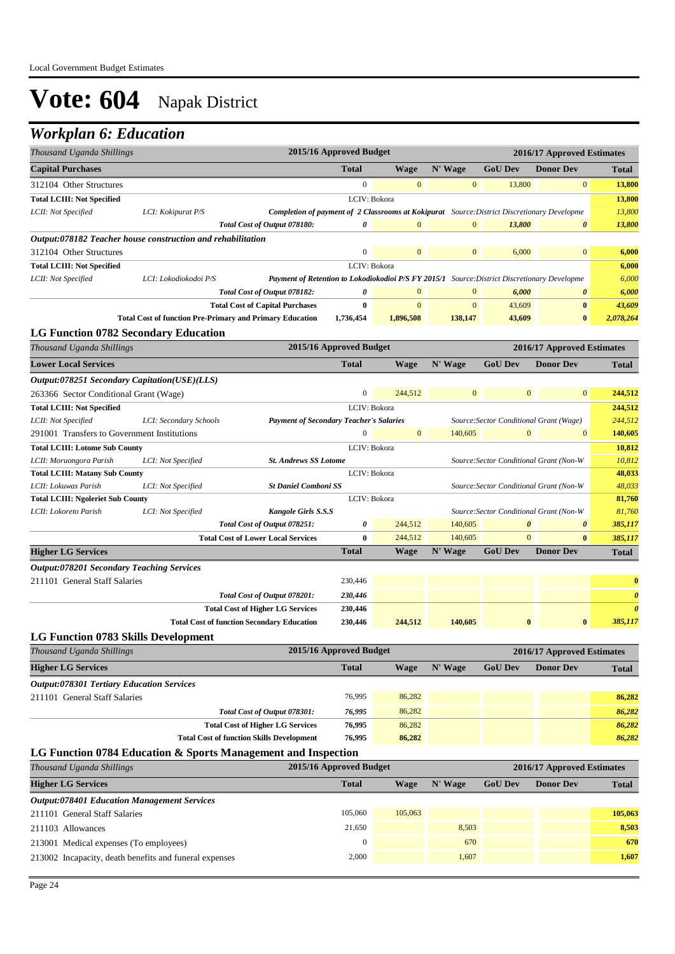### *Workplan 6: Education*

| Thousand Uganda Shillings                                               |                                                                    |                                                                                                    | 2015/16 Approved Budget |              | 2016/17 Approved Estimates |                                         |                                                |                       |
|-------------------------------------------------------------------------|--------------------------------------------------------------------|----------------------------------------------------------------------------------------------------|-------------------------|--------------|----------------------------|-----------------------------------------|------------------------------------------------|-----------------------|
| <b>Capital Purchases</b>                                                |                                                                    |                                                                                                    | <b>Total</b>            | <b>Wage</b>  | N' Wage                    | <b>GoU Dev</b>                          | <b>Donor Dev</b>                               | <b>Total</b>          |
| 312104 Other Structures                                                 |                                                                    |                                                                                                    | $\boldsymbol{0}$        | $\mathbf{0}$ | $\mathbf{0}$               | 13,800                                  | $\mathbf{0}$                                   | 13,800                |
| <b>Total LCIII: Not Specified</b>                                       |                                                                    |                                                                                                    | LCIV: Bokora            |              |                            |                                         |                                                | 13,800                |
| LCII: Not Specified                                                     | LCI: Kokipurat P/S                                                 | <b>Completion of payment of 2 Classrooms at Kokipurat</b> Source: District Discretionary Developme |                         |              |                            |                                         |                                                | 13,800                |
|                                                                         |                                                                    | Total Cost of Output 078180:                                                                       | 0                       | $\mathbf{0}$ | $\mathbf{0}$               | 13,800                                  | $\boldsymbol{\theta}$                          | 13,800                |
|                                                                         | <i>Output:078182 Teacher house construction and rehabilitation</i> |                                                                                                    |                         |              |                            |                                         |                                                |                       |
| 312104 Other Structures                                                 |                                                                    |                                                                                                    | $\boldsymbol{0}$        | $\mathbf{0}$ | $\mathbf{0}$               | 6,000                                   | $\bf{0}$                                       | 6,000                 |
| <b>Total LCIII: Not Specified</b>                                       |                                                                    |                                                                                                    | LCIV: Bokora            |              |                            |                                         |                                                | 6,000                 |
| LCII: Not Specified                                                     | LCI: Lokodiokodoi P/S                                              | Payment of Retention to Lokodiokodioi P/S FY 2015/1 Source: District Discretionary Developme       |                         |              |                            |                                         |                                                | 6,000                 |
|                                                                         |                                                                    | Total Cost of Output 078182:                                                                       | 0                       | $\mathbf{0}$ | $\mathbf{0}$               | 6,000                                   | 0                                              | 6,000                 |
|                                                                         |                                                                    | <b>Total Cost of Capital Purchases</b>                                                             | $\bf{0}$                | $\mathbf{0}$ | $\mathbf{0}$               | 43,609                                  | $\bf{0}$                                       | 43,609                |
|                                                                         | <b>Total Cost of function Pre-Primary and Primary Education</b>    |                                                                                                    | 1,736,454               | 1,896,508    | 138,147                    | 43,609                                  | $\bf{0}$                                       | 2,078,264             |
| <b>LG Function 0782 Secondary Education</b>                             |                                                                    |                                                                                                    | 2015/16 Approved Budget |              |                            |                                         |                                                |                       |
| Thousand Uganda Shillings                                               |                                                                    |                                                                                                    | <b>Total</b>            | <b>Wage</b>  | N' Wage                    | <b>GoU Dev</b>                          | 2016/17 Approved Estimates<br><b>Donor Dev</b> |                       |
| <b>Lower Local Services</b>                                             |                                                                    |                                                                                                    |                         |              |                            |                                         |                                                | <b>Total</b>          |
| Output:078251 Secondary Capitation(USE)(LLS)                            |                                                                    |                                                                                                    | $\mathbf{0}$            | 244,512      | $\mathbf{0}$               | $\mathbf{0}$                            | $\mathbf{0}$                                   | 244,512               |
| 263366 Sector Conditional Grant (Wage)                                  |                                                                    |                                                                                                    | LCIV: Bokora            |              |                            |                                         |                                                |                       |
| <b>Total LCIII: Not Specified</b><br>LCII: Not Specified                | LCI: Secondary Schools                                             | <b>Payment of Secondary Teacher's Salaries</b>                                                     |                         |              |                            | Source: Sector Conditional Grant (Wage) |                                                | 244,512<br>244,512    |
| 291001 Transfers to Government Institutions                             |                                                                    |                                                                                                    | $\mathbf{0}$            | $\mathbf{0}$ | 140,605                    | $\mathbf{0}$                            | $\mathbf{0}$                                   | 140,605               |
| <b>Total LCIII: Lotome Sub County</b>                                   |                                                                    |                                                                                                    | LCIV: Bokora            |              |                            |                                         |                                                | 10,812                |
| LCII: Moruongora Parish                                                 | LCI: Not Specified                                                 | <b>St. Andrews SS Lotome</b>                                                                       |                         |              |                            |                                         | Source: Sector Conditional Grant (Non-W        | 10,812                |
| <b>Total LCIII: Matany Sub County</b>                                   |                                                                    |                                                                                                    | LCIV: Bokora            |              |                            |                                         |                                                | 48,033                |
| LCII: Lokuwas Parish                                                    | LCI: Not Specified                                                 | <b>St Daniel Comboni SS</b>                                                                        |                         |              |                            |                                         | Source: Sector Conditional Grant (Non-W        | 48,033                |
| <b>Total LCIII: Ngoleriet Sub County</b>                                |                                                                    |                                                                                                    | LCIV: Bokora            |              |                            |                                         |                                                | 81,760                |
| LCII: Lokoreto Parish                                                   | LCI: Not Specified                                                 | Kangole Girls S.S.S                                                                                |                         |              |                            |                                         | Source: Sector Conditional Grant (Non-W        | 81,760                |
|                                                                         |                                                                    | Total Cost of Output 078251:                                                                       | 0                       | 244,512      | 140,605                    | $\boldsymbol{\theta}$                   | 0                                              | 385,117               |
|                                                                         |                                                                    | <b>Total Cost of Lower Local Services</b>                                                          | $\bf{0}$                | 244,512      | 140,605                    | $\mathbf{0}$                            | $\bf{0}$                                       | 385,117               |
| <b>Higher LG Services</b>                                               |                                                                    |                                                                                                    | <b>Total</b>            | <b>Wage</b>  | N' Wage                    | <b>GoU Dev</b>                          | <b>Donor Dev</b>                               | <b>Total</b>          |
| <b>Output:078201 Secondary Teaching Services</b>                        |                                                                    |                                                                                                    |                         |              |                            |                                         |                                                |                       |
| 211101 General Staff Salaries                                           |                                                                    |                                                                                                    | 230,446                 |              |                            |                                         |                                                | $\bf{0}$              |
|                                                                         |                                                                    | Total Cost of Output 078201:                                                                       | 230,446                 |              |                            |                                         |                                                | $\boldsymbol{\theta}$ |
|                                                                         |                                                                    | <b>Total Cost of Higher LG Services</b>                                                            | 230,446                 |              |                            |                                         |                                                | $\boldsymbol{\theta}$ |
|                                                                         | <b>Total Cost of function Secondary Education</b>                  |                                                                                                    | 230,446                 | 244,512      | 140,605                    | $\bf{0}$                                | $\bf{0}$                                       | 385,117               |
| <b>LG Function 0783 Skills Development</b><br>Thousand Uganda Shillings |                                                                    |                                                                                                    | 2015/16 Approved Budget |              |                            |                                         | 2016/17 Approved Estimates                     |                       |
| <b>Higher LG Services</b>                                               |                                                                    |                                                                                                    | <b>Total</b>            | <b>Wage</b>  | N' Wage                    | <b>GoU Dev</b>                          | <b>Donor Dev</b>                               | <b>Total</b>          |
| <b>Output:078301 Tertiary Education Services</b>                        |                                                                    |                                                                                                    |                         |              |                            |                                         |                                                |                       |
| 211101 General Staff Salaries                                           |                                                                    |                                                                                                    | 76,995                  | 86,282       |                            |                                         |                                                | 86,282                |
|                                                                         |                                                                    | Total Cost of Output 078301:                                                                       | 76,995                  | 86,282       |                            |                                         |                                                | 86,282                |
|                                                                         |                                                                    | <b>Total Cost of Higher LG Services</b>                                                            | 76,995                  | 86,282       |                            |                                         |                                                | 86,282                |
|                                                                         |                                                                    | <b>Total Cost of function Skills Development</b>                                                   | 76,995                  | 86,282       |                            |                                         |                                                | 86,282                |
|                                                                         | LG Function 0784 Education & Sports Management and Inspection      |                                                                                                    |                         |              |                            |                                         |                                                |                       |
| Thousand Uganda Shillings                                               |                                                                    |                                                                                                    | 2015/16 Approved Budget |              |                            |                                         | 2016/17 Approved Estimates                     |                       |
| <b>Higher LG Services</b>                                               |                                                                    |                                                                                                    | <b>Total</b>            | <b>Wage</b>  | N' Wage                    | <b>GoU Dev</b>                          | <b>Donor Dev</b>                               | <b>Total</b>          |
| <b>Output:078401 Education Management Services</b>                      |                                                                    |                                                                                                    |                         |              |                            |                                         |                                                |                       |
| 211101 General Staff Salaries                                           |                                                                    |                                                                                                    | 105,060                 | 105,063      |                            |                                         |                                                | 105,063               |
| 211103 Allowances                                                       |                                                                    |                                                                                                    | 21,650                  |              | 8,503                      |                                         |                                                | 8,503                 |
| 213001 Medical expenses (To employees)                                  |                                                                    |                                                                                                    | $\boldsymbol{0}$        |              | 670                        |                                         |                                                | 670                   |
|                                                                         | 213002 Incapacity, death benefits and funeral expenses             |                                                                                                    | 2,000                   |              | 1,607                      |                                         |                                                | 1,607                 |
|                                                                         |                                                                    |                                                                                                    |                         |              |                            |                                         |                                                |                       |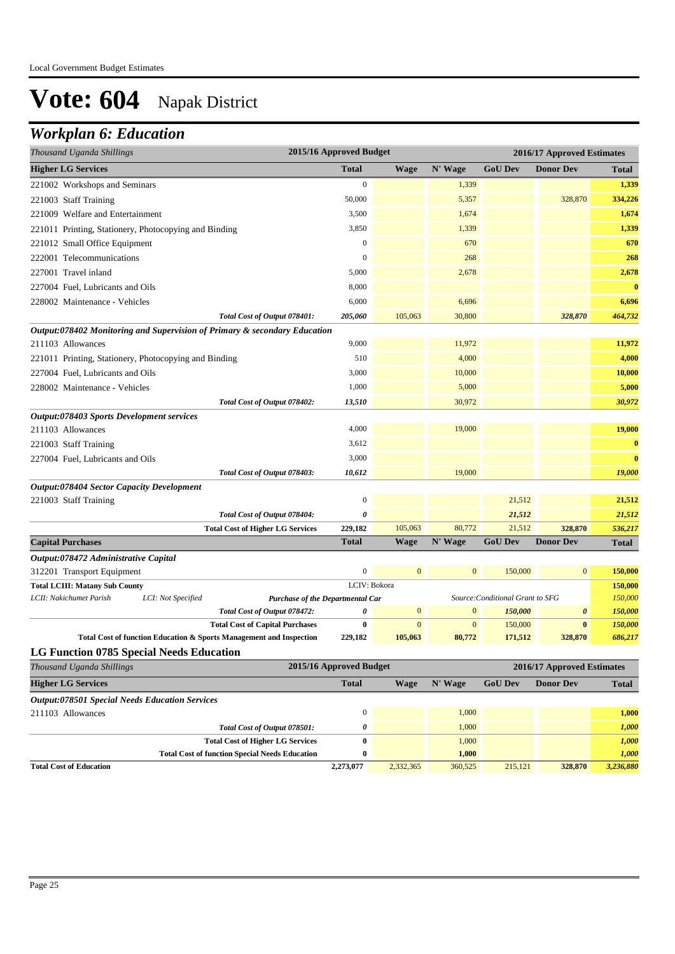### *Workplan 6: Education*

| Thousand Uganda Shillings                             |                                                                           | 2015/16 Approved Budget |                  |              |                                  | 2016/17 Approved Estimates |                    |
|-------------------------------------------------------|---------------------------------------------------------------------------|-------------------------|------------------|--------------|----------------------------------|----------------------------|--------------------|
| <b>Higher LG Services</b>                             |                                                                           | <b>Total</b>            | <b>Wage</b>      | N' Wage      | <b>GoU Dev</b>                   | <b>Donor Dev</b>           | <b>Total</b>       |
| 221002 Workshops and Seminars                         |                                                                           | $\boldsymbol{0}$        |                  | 1,339        |                                  |                            | 1,339              |
| 221003 Staff Training                                 |                                                                           | 50,000                  |                  | 5,357        |                                  | 328,870                    | 334,226            |
| 221009 Welfare and Entertainment                      |                                                                           | 3,500                   |                  | 1,674        |                                  |                            | 1,674              |
| 221011 Printing, Stationery, Photocopying and Binding |                                                                           | 3,850                   |                  | 1,339        |                                  |                            | 1,339              |
| 221012 Small Office Equipment                         |                                                                           | $\boldsymbol{0}$        |                  | 670          |                                  |                            | 670                |
| 222001 Telecommunications                             |                                                                           | $\boldsymbol{0}$        |                  | 268          |                                  |                            | 268                |
| 227001 Travel inland                                  |                                                                           | 5,000                   |                  | 2,678        |                                  |                            | 2,678              |
| 227004 Fuel, Lubricants and Oils                      |                                                                           | 8,000                   |                  |              |                                  |                            | $\mathbf{0}$       |
| 228002 Maintenance - Vehicles                         |                                                                           | 6,000                   |                  | 6,696        |                                  |                            | 6,696              |
|                                                       | Total Cost of Output 078401:                                              | 205,060                 | 105,063          | 30,800       |                                  | 328,870                    | 464,732            |
|                                                       | Output:078402 Monitoring and Supervision of Primary & secondary Education |                         |                  |              |                                  |                            |                    |
| 211103 Allowances                                     |                                                                           | 9,000                   |                  | 11,972       |                                  |                            | 11,972             |
| 221011 Printing, Stationery, Photocopying and Binding |                                                                           | 510                     |                  | 4,000        |                                  |                            | 4,000              |
| 227004 Fuel, Lubricants and Oils                      |                                                                           | 3,000                   |                  | 10,000       |                                  |                            | 10,000             |
| 228002 Maintenance - Vehicles                         |                                                                           | 1,000                   |                  | 5,000        |                                  |                            | 5,000              |
|                                                       | Total Cost of Output 078402:                                              | 13,510                  |                  | 30,972       |                                  |                            | 30,972             |
| Output:078403 Sports Development services             |                                                                           |                         |                  |              |                                  |                            |                    |
| 211103 Allowances                                     |                                                                           | 4,000                   |                  | 19,000       |                                  |                            | 19,000             |
| 221003 Staff Training                                 |                                                                           | 3,612                   |                  |              |                                  |                            | $\bf{0}$           |
| 227004 Fuel, Lubricants and Oils                      |                                                                           | 3,000                   |                  |              |                                  |                            | $\bf{0}$           |
|                                                       | Total Cost of Output 078403:                                              | 10,612                  |                  | 19,000       |                                  |                            | 19,000             |
| <b>Output:078404 Sector Capacity Development</b>      |                                                                           |                         |                  |              |                                  |                            |                    |
| 221003 Staff Training                                 |                                                                           | $\boldsymbol{0}$        |                  |              | 21,512                           |                            | 21,512             |
|                                                       | Total Cost of Output 078404:                                              | 0                       |                  |              | 21,512                           |                            | 21,512             |
|                                                       | <b>Total Cost of Higher LG Services</b>                                   | 229,182                 | 105,063          | 80,772       | 21,512                           | 328,870                    | 536,217            |
| <b>Capital Purchases</b>                              |                                                                           | <b>Total</b>            | <b>Wage</b>      | N' Wage      | <b>GoU Dev</b>                   | <b>Donor Dev</b>           | <b>Total</b>       |
| Output:078472 Administrative Capital                  |                                                                           |                         |                  |              |                                  |                            |                    |
| 312201 Transport Equipment                            |                                                                           | $\boldsymbol{0}$        | $\mathbf{0}$     | $\mathbf{0}$ | 150,000                          | $\mathbf{0}$               | 150,000            |
| <b>Total LCIII: Matany Sub County</b>                 |                                                                           | LCIV: Bokora            |                  |              |                                  |                            | 150,000            |
| LCII: Nakichumet Parish                               | LCI: Not Specified<br><b>Purchase of the Departmental Car</b>             | 0                       | $\boldsymbol{0}$ | $\mathbf{0}$ | Source: Conditional Grant to SFG | 0                          | 150,000            |
|                                                       | Total Cost of Output 078472:<br><b>Total Cost of Capital Purchases</b>    | $\bf{0}$                | $\mathbf{0}$     | $\mathbf{0}$ | 150,000<br>150,000               | $\bf{0}$                   | 150,000<br>150,000 |
|                                                       | Total Cost of function Education & Sports Management and Inspection       | 229,182                 | 105,063          | 80,772       | 171,512                          | 328,870                    | 686,217            |
| <b>LG Function 0785 Special Needs Education</b>       |                                                                           |                         |                  |              |                                  |                            |                    |
| Thousand Uganda Shillings                             |                                                                           | 2015/16 Approved Budget |                  |              |                                  | 2016/17 Approved Estimates |                    |
| <b>Higher LG Services</b>                             |                                                                           | <b>Total</b>            | <b>Wage</b>      | N' Wage      | <b>GoU Dev</b>                   | <b>Donor Dev</b>           | <b>Total</b>       |
| <b>Output:078501 Special Needs Education Services</b> |                                                                           |                         |                  |              |                                  |                            |                    |
| 211103 Allowances                                     |                                                                           | $\boldsymbol{0}$        |                  | 1,000        |                                  |                            | 1,000              |
|                                                       | Total Cost of Output 078501:                                              | 0                       |                  | 1,000        |                                  |                            | 1,000              |
|                                                       | <b>Total Cost of Higher LG Services</b>                                   | $\bf{0}$                |                  | 1,000        |                                  |                            | 1,000              |
|                                                       | <b>Total Cost of function Special Needs Education</b>                     | $\bf{0}$                |                  | 1,000        |                                  |                            | 1,000              |

**Total Cost of Education 2,273,077** 2,332,365 360,525 215,121 **328,870** *3,236,880*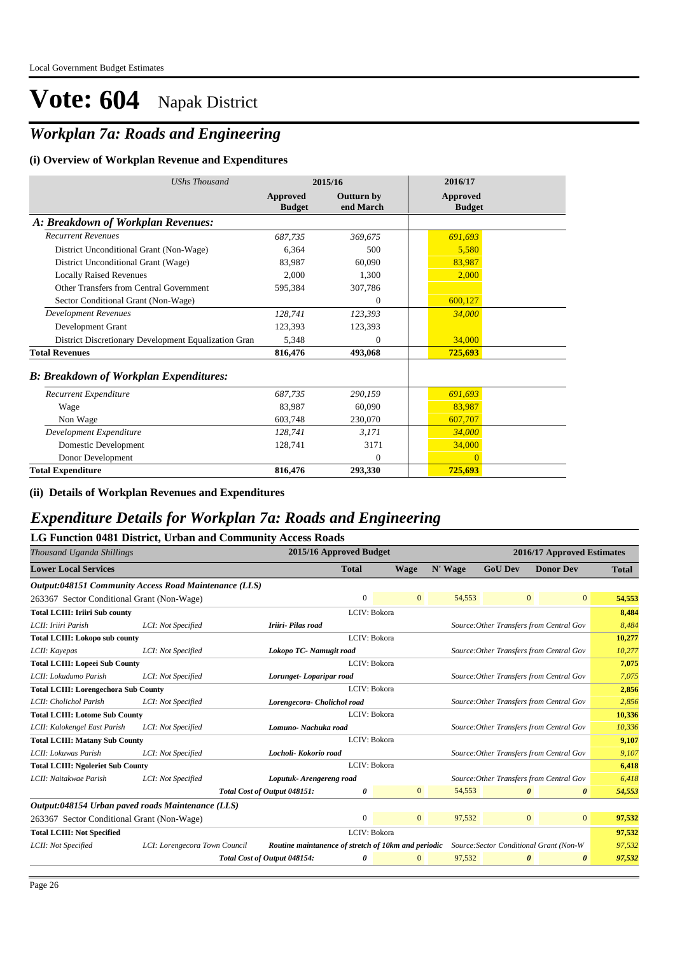### *Workplan 7a: Roads and Engineering*

#### **(i) Overview of Workplan Revenue and Expenditures**

| <b>UShs Thousand</b>                                 |                           | 2015/16                        | 2016/17                   |
|------------------------------------------------------|---------------------------|--------------------------------|---------------------------|
|                                                      | Approved<br><b>Budget</b> | <b>Outturn by</b><br>end March | Approved<br><b>Budget</b> |
| A: Breakdown of Workplan Revenues:                   |                           |                                |                           |
| <b>Recurrent Revenues</b>                            | 687,735                   | 369,675                        | 691,693                   |
| District Unconditional Grant (Non-Wage)              | 6,364                     | 500                            | 5,580                     |
| District Unconditional Grant (Wage)                  | 83,987                    | 60,090                         | 83,987                    |
| <b>Locally Raised Revenues</b>                       | 2,000                     | 1,300                          | 2,000                     |
| Other Transfers from Central Government              | 595,384                   | 307,786                        |                           |
| Sector Conditional Grant (Non-Wage)                  |                           | $\Omega$                       | 600,127                   |
| <b>Development Revenues</b>                          | 128,741                   | 123,393                        | 34,000                    |
| Development Grant                                    | 123,393                   | 123,393                        |                           |
| District Discretionary Development Equalization Gran | 5,348                     | $\overline{0}$                 | 34,000                    |
| <b>Total Revenues</b>                                | 816,476                   | 493,068                        | 725,693                   |
| <b>B: Breakdown of Workplan Expenditures:</b>        |                           |                                |                           |
| Recurrent Expenditure                                | 687,735                   | 290,159                        | 691,693                   |
| Wage                                                 | 83,987                    | 60,090                         | 83,987                    |
| Non Wage                                             | 603,748                   | 230,070                        | 607,707                   |
| Development Expenditure                              | 128,741                   | 3,171                          | 34,000                    |
| Domestic Development                                 | 128,741                   | 3171                           | 34,000                    |
| Donor Development                                    |                           | $\theta$                       |                           |
| <b>Total Expenditure</b>                             | 816,476                   | 293,330                        | 725,693                   |

**(ii) Details of Workplan Revenues and Expenditures**

#### *Expenditure Details for Workplan 7a: Roads and Engineering*

| LG Function 0481 District, Urban and Community Access Roads |                               |                              |                                                     |                         |                |         |                |                                          |                                 |
|-------------------------------------------------------------|-------------------------------|------------------------------|-----------------------------------------------------|-------------------------|----------------|---------|----------------|------------------------------------------|---------------------------------|
| Thousand Uganda Shillings                                   |                               |                              |                                                     | 2015/16 Approved Budget |                |         |                | 2016/17 Approved Estimates               |                                 |
| <b>Lower Local Services</b>                                 |                               |                              |                                                     | <b>Total</b>            | <b>Wage</b>    | N' Wage | <b>GoU Dev</b> | <b>Donor Dev</b>                         | <b>Total</b>                    |
| Output:048151 Community Access Road Maintenance (LLS)       |                               |                              |                                                     |                         |                |         |                |                                          |                                 |
| 263367 Sector Conditional Grant (Non-Wage)                  |                               |                              |                                                     | $\mathbf{0}$            | $\overline{0}$ | 54,553  |                | $\mathbf{0}$                             | 54,553<br>$\mathbf{0}$          |
| <b>Total LCIII: Iriiri Sub county</b>                       |                               |                              |                                                     | LCIV: Bokora            |                |         |                |                                          | 8,484                           |
| LCII: Iriiri Parish                                         | LCI: Not Specified            |                              | Iriiri- Pilas road                                  |                         |                |         |                | Source: Other Transfers from Central Gov | 8,484                           |
| <b>Total LCIII: Lokopo sub county</b>                       |                               |                              |                                                     | LCIV: Bokora            |                |         |                |                                          | 10,277                          |
| LCII: Kayepas                                               | LCI: Not Specified            |                              | Lokopo TC- Namugit road                             |                         |                |         |                | Source: Other Transfers from Central Gov | 10,277                          |
| <b>Total LCIII: Lopeei Sub County</b>                       |                               |                              |                                                     | LCIV: Bokora            |                |         |                |                                          | 7,075                           |
| LCII: Lokudumo Parish                                       | LCI: Not Specified            |                              | Lorunget-Loparipar road                             |                         |                |         |                | Source: Other Transfers from Central Gov | 7,075                           |
| <b>Total LCIII: Lorengechora Sub County</b>                 |                               |                              |                                                     | LCIV: Bokora            |                |         |                |                                          | 2,856                           |
| LCII: Cholichol Parish                                      | LCI: Not Specified            |                              | Lorengecora- Cholichol road                         |                         |                |         |                | Source: Other Transfers from Central Gov | 2,856                           |
| <b>Total LCIII: Lotome Sub County</b>                       |                               |                              |                                                     | LCIV: Bokora            |                |         |                |                                          | 10,336                          |
| LCII: Kalokengel East Parish                                | LCI: Not Specified            |                              | Lomuno- Nachuka road                                |                         |                |         |                | Source: Other Transfers from Central Gov | 10,336                          |
| <b>Total LCIII: Matany Sub County</b>                       |                               |                              |                                                     | LCIV: Bokora            |                |         |                |                                          | 9,107                           |
| LCII: Lokuwas Parish                                        | LCI: Not Specified            |                              | Locholi- Kokorio road                               |                         |                |         |                | Source: Other Transfers from Central Gov | 9,107                           |
| <b>Total LCIII: Ngoleriet Sub County</b>                    |                               |                              |                                                     | LCIV: Bokora            |                |         |                |                                          | 6,418                           |
| LCII: Naitakwae Parish                                      | LCI: Not Specified            |                              | Loputuk-Arengereng road                             |                         |                |         |                | Source: Other Transfers from Central Gov | 6,418                           |
|                                                             |                               | Total Cost of Output 048151: |                                                     | 0                       | $\mathbf{0}$   | 54,553  |                | $\boldsymbol{\theta}$                    | 54,553<br>$\boldsymbol{\theta}$ |
| Output:048154 Urban paved roads Maintenance (LLS)           |                               |                              |                                                     |                         |                |         |                |                                          |                                 |
| 263367 Sector Conditional Grant (Non-Wage)                  |                               |                              |                                                     | $\mathbf{0}$            | $\overline{0}$ | 97,532  |                | $\mathbf{0}$                             | $\overline{0}$<br>97,532        |
| <b>Total LCIII: Not Specified</b>                           |                               |                              |                                                     | LCIV: Bokora            |                |         |                |                                          | 97,532                          |
| LCII: Not Specified                                         | LCI: Lorengecora Town Council |                              | Routine maintanence of stretch of 10km and periodic |                         |                |         |                | Source: Sector Conditional Grant (Non-W  | 97,532                          |
|                                                             |                               | Total Cost of Output 048154: |                                                     | 0                       | $\mathbf{0}$   | 97,532  |                | $\boldsymbol{\theta}$                    | 97,532<br>0                     |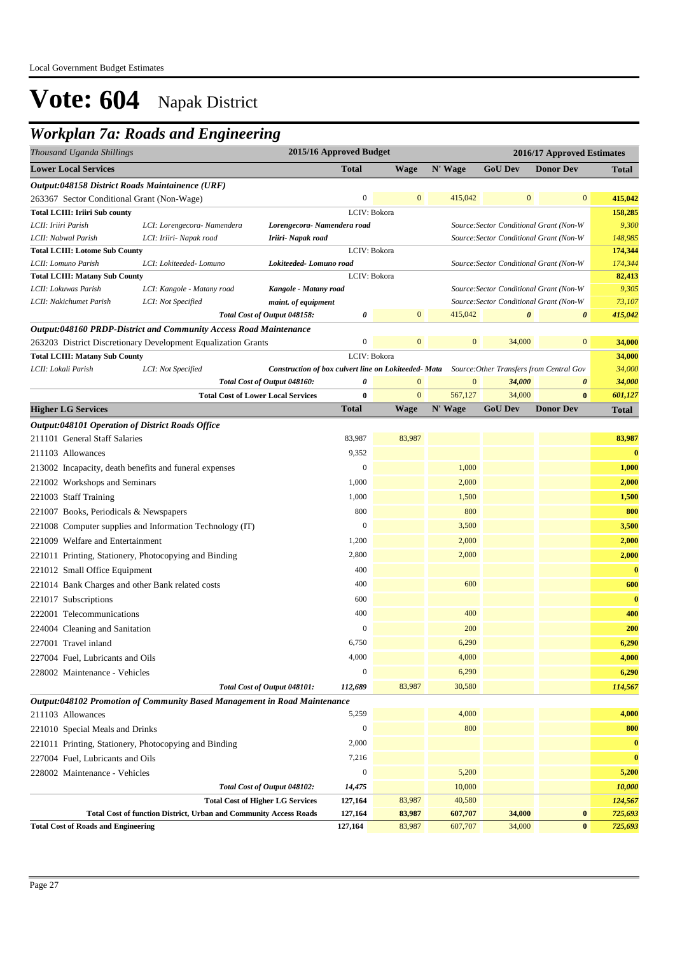### *Workplan 7a: Roads and Engineering*

| Thousand Uganda Shillings                                                                                              | 2015/16 Approved Budget<br>2016/17 Approved Estimates |                  |                   |                                         |                                                                                               |                    |
|------------------------------------------------------------------------------------------------------------------------|-------------------------------------------------------|------------------|-------------------|-----------------------------------------|-----------------------------------------------------------------------------------------------|--------------------|
| <b>Lower Local Services</b>                                                                                            | <b>Total</b>                                          | Wage             | N' Wage           | <b>GoU Dev</b>                          | <b>Donor Dev</b>                                                                              | <b>Total</b>       |
| Output:048158 District Roads Maintainence (URF)                                                                        |                                                       |                  |                   |                                         |                                                                                               |                    |
| 263367 Sector Conditional Grant (Non-Wage)                                                                             | $\boldsymbol{0}$                                      | $\mathbf{0}$     | 415,042           | $\mathbf{0}$                            | $\boldsymbol{0}$                                                                              | 415,042            |
| <b>Total LCIII: Iriiri Sub county</b>                                                                                  |                                                       | LCIV: Bokora     |                   |                                         |                                                                                               | 158,285            |
| LCII: Iriiri Parish<br>LCI: Lorengecora- Namendera<br>Lorengecora- Namendera road                                      |                                                       |                  |                   | Source: Sector Conditional Grant (Non-W |                                                                                               | 9,300              |
| LCII: Nabwal Parish<br>LCI: Iriiri- Napak road<br>Iriiri- Napak road                                                   |                                                       |                  |                   | Source: Sector Conditional Grant (Non-W |                                                                                               | 148,985            |
| <b>Total LCIII: Lotome Sub County</b>                                                                                  |                                                       | LCIV: Bokora     |                   |                                         |                                                                                               | 174,344            |
| LCI: Lokiteeded- Lomuno<br>Lokiteeded-Lomuno road<br>LCII: Lomuno Parish                                               |                                                       |                  |                   | Source: Sector Conditional Grant (Non-W |                                                                                               | 174,344            |
| <b>Total LCIII: Matany Sub County</b>                                                                                  |                                                       | LCIV: Bokora     |                   |                                         |                                                                                               | 82,413             |
| LCII: Lokuwas Parish<br>LCI: Kangole - Matany road<br>Kangole - Matany road                                            |                                                       |                  |                   | Source: Sector Conditional Grant (Non-W |                                                                                               | 9,305              |
| LCII: Nakichumet Parish<br>LCI: Not Specified<br>maint. of equipment                                                   |                                                       |                  |                   | 0                                       | Source: Sector Conditional Grant (Non-W                                                       | 73,107             |
| Total Cost of Output 048158:                                                                                           | 0                                                     | $\mathbf{0}$     | 415,042           |                                         | 0                                                                                             | 415,042            |
| Output:048160 PRDP-District and Community Access Road Maintenance                                                      | $\boldsymbol{0}$                                      | $\mathbf{0}$     | $\boldsymbol{0}$  |                                         | $\boldsymbol{0}$                                                                              |                    |
| 263203 District Discretionary Development Equalization Grants                                                          |                                                       |                  |                   | 34,000                                  |                                                                                               | 34,000             |
| <b>Total LCIII: Matany Sub County</b><br>LCII: Lokali Parish<br>LCI: Not Specified                                     | LCIV: Bokora                                          |                  |                   |                                         | Construction of box culvert line on Lokiteeded- Mata Source: Other Transfers from Central Gov | 34,000<br>34,000   |
| Total Cost of Output 048160:                                                                                           | 0                                                     | $\mathbf{0}$     | $\mathbf{0}$      | 34,000                                  | 0                                                                                             | 34,000             |
| <b>Total Cost of Lower Local Services</b>                                                                              | $\boldsymbol{0}$                                      | $\mathbf{0}$     | 567,127           | 34,000                                  | $\bf{0}$                                                                                      | 601,127            |
| <b>Higher LG Services</b>                                                                                              | <b>Total</b>                                          | <b>Wage</b>      | N' Wage           | <b>GoU Dev</b>                          | <b>Donor Dev</b>                                                                              | <b>Total</b>       |
| Output:048101 Operation of District Roads Office                                                                       |                                                       |                  |                   |                                         |                                                                                               |                    |
| 211101 General Staff Salaries                                                                                          | 83,987                                                | 83,987           |                   |                                         |                                                                                               | 83,987             |
| 211103 Allowances                                                                                                      | 9,352                                                 |                  |                   |                                         |                                                                                               | $\bf{0}$           |
| 213002 Incapacity, death benefits and funeral expenses                                                                 | $\boldsymbol{0}$                                      |                  | 1,000             |                                         |                                                                                               | 1,000              |
|                                                                                                                        | 1,000                                                 |                  | 2,000             |                                         |                                                                                               | 2,000              |
| 221002 Workshops and Seminars                                                                                          |                                                       |                  |                   |                                         |                                                                                               |                    |
| 221003 Staff Training                                                                                                  | 1,000                                                 |                  | 1,500             |                                         |                                                                                               | 1,500              |
| 221007 Books, Periodicals & Newspapers                                                                                 | 800                                                   |                  | 800               |                                         |                                                                                               | 800                |
| 221008 Computer supplies and Information Technology (IT)                                                               | $\mathbf{0}$                                          |                  | 3,500             |                                         |                                                                                               | 3,500              |
| 221009 Welfare and Entertainment                                                                                       | 1,200                                                 |                  | 2,000             |                                         |                                                                                               | 2,000              |
| 221011 Printing, Stationery, Photocopying and Binding                                                                  | 2,800                                                 |                  | 2,000             |                                         |                                                                                               | 2,000              |
| 221012 Small Office Equipment                                                                                          | 400                                                   |                  |                   |                                         |                                                                                               | $\bf{0}$           |
| 221014 Bank Charges and other Bank related costs                                                                       | 400                                                   |                  | 600               |                                         |                                                                                               | 600                |
| 221017 Subscriptions                                                                                                   | 600                                                   |                  |                   |                                         |                                                                                               | $\bf{0}$           |
| 222001 Telecommunications                                                                                              | 400                                                   |                  | 400               |                                         |                                                                                               | 400                |
| 224004 Cleaning and Sanitation                                                                                         | $\mathbf{0}$                                          |                  | 200               |                                         |                                                                                               | 200                |
| 227001 Travel inland                                                                                                   | 6,750                                                 |                  | 6,290             |                                         |                                                                                               | 6,290              |
| 227004 Fuel, Lubricants and Oils                                                                                       | 4,000                                                 |                  | 4,000             |                                         |                                                                                               | 4,000              |
| 228002 Maintenance - Vehicles                                                                                          | $\boldsymbol{0}$                                      |                  | 6,290             |                                         |                                                                                               | 6,290              |
| Total Cost of Output 048101:                                                                                           | 112,689                                               | 83,987           | 30,580            |                                         |                                                                                               | 114,567            |
| <b>Output:048102 Promotion of Community Based Management in Road Maintenance</b>                                       |                                                       |                  |                   |                                         |                                                                                               |                    |
| 211103 Allowances                                                                                                      | 5,259                                                 |                  | 4,000             |                                         |                                                                                               | 4,000              |
| 221010 Special Meals and Drinks                                                                                        | $\boldsymbol{0}$                                      |                  | 800               |                                         |                                                                                               | 800                |
| 221011 Printing, Stationery, Photocopying and Binding                                                                  | 2,000                                                 |                  |                   |                                         |                                                                                               | $\bf{0}$           |
|                                                                                                                        | 7,216                                                 |                  |                   |                                         |                                                                                               | $\bf{0}$           |
| 227004 Fuel, Lubricants and Oils                                                                                       |                                                       |                  |                   |                                         |                                                                                               |                    |
| 228002 Maintenance - Vehicles                                                                                          | $\boldsymbol{0}$                                      |                  | 5,200             |                                         |                                                                                               | 5,200              |
| Total Cost of Output 048102:                                                                                           | 14,475                                                |                  | 10,000            |                                         |                                                                                               | 10,000             |
| <b>Total Cost of Higher LG Services</b>                                                                                | 127,164<br>127,164                                    | 83,987<br>83,987 | 40,580<br>607,707 | 34,000                                  |                                                                                               | 124,567            |
| <b>Total Cost of function District, Urban and Community Access Roads</b><br><b>Total Cost of Roads and Engineering</b> | 127,164                                               | 83,987           | 607,707           | 34,000                                  | $\bf{0}$<br>$\bf{0}$                                                                          | 725,693<br>725,693 |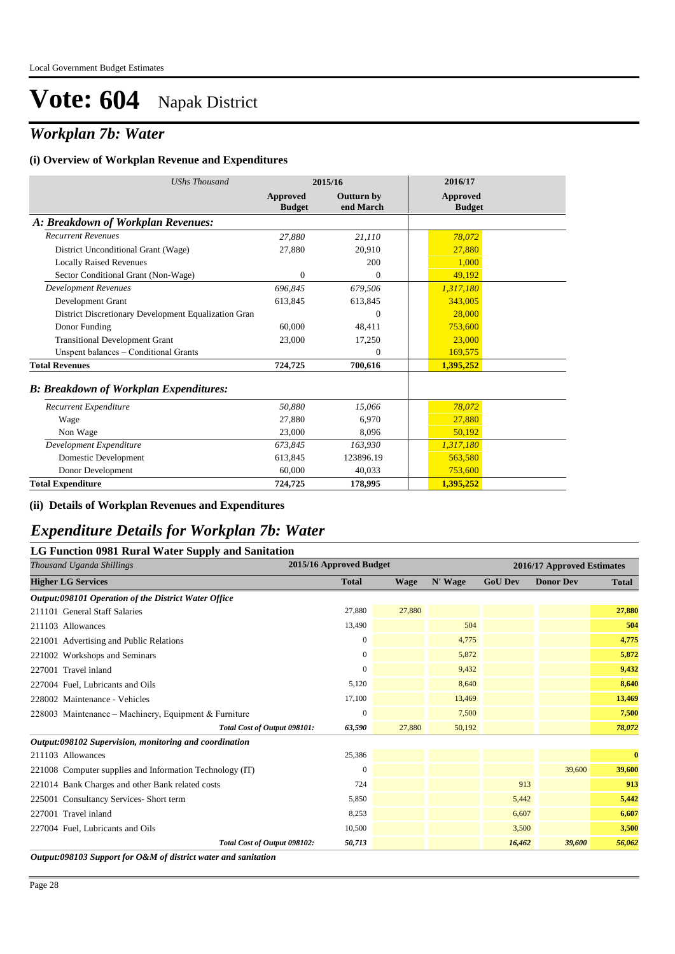### *Workplan 7b: Water*

#### **(i) Overview of Workplan Revenue and Expenditures**

| <b>UShs Thousand</b>                                 |                           | 2015/16                        | 2016/17                          |
|------------------------------------------------------|---------------------------|--------------------------------|----------------------------------|
|                                                      | Approved<br><b>Budget</b> | <b>Outturn by</b><br>end March | <b>Approved</b><br><b>Budget</b> |
| A: Breakdown of Workplan Revenues:                   |                           |                                |                                  |
| <b>Recurrent Revenues</b>                            | 27,880                    | 21,110                         | 78,072                           |
| District Unconditional Grant (Wage)                  | 27,880                    | 20,910                         | 27,880                           |
| <b>Locally Raised Revenues</b>                       |                           | 200                            | 1.000                            |
| Sector Conditional Grant (Non-Wage)                  | 0                         | $\mathbf{0}$                   | 49,192                           |
| <b>Development Revenues</b>                          | 696,845                   | 679,506                        | 1,317,180                        |
| Development Grant                                    | 613,845                   | 613,845                        | 343,005                          |
| District Discretionary Development Equalization Gran |                           | $\Omega$                       | 28,000                           |
| Donor Funding                                        | 60,000                    | 48,411                         | 753,600                          |
| <b>Transitional Development Grant</b>                | 23,000                    | 17,250                         | 23,000                           |
| Unspent balances - Conditional Grants                |                           | $\mathbf{0}$                   | 169,575                          |
| <b>Total Revenues</b>                                | 724,725                   | 700,616                        | 1,395,252                        |
| <b>B: Breakdown of Workplan Expenditures:</b>        |                           |                                |                                  |
| Recurrent Expenditure                                | 50,880                    | 15,066                         | 78,072                           |
| Wage                                                 | 27,880                    | 6.970                          | 27,880                           |
| Non Wage                                             | 23,000                    | 8,096                          | 50,192                           |
| Development Expenditure                              | 673,845                   | 163,930                        | 1,317,180                        |
| Domestic Development                                 | 613,845                   | 123896.19                      | 563,580                          |
| Donor Development                                    | 60,000                    | 40,033                         | 753,600                          |
| <b>Total Expenditure</b>                             | 724,725                   | 178,995                        | 1,395,252                        |

#### **(ii) Details of Workplan Revenues and Expenditures**

#### *Expenditure Details for Workplan 7b: Water*

#### **LG Function 0981 Rural Water Supply and Sanitation**

| rr v<br>Thousand Uganda Shillings                        | 2015/16 Approved Budget |        |         |                | 2016/17 Approved Estimates |              |
|----------------------------------------------------------|-------------------------|--------|---------|----------------|----------------------------|--------------|
| <b>Higher LG Services</b>                                | <b>Total</b>            | Wage   | N' Wage | <b>GoU Dev</b> | <b>Donor Dev</b>           | <b>Total</b> |
| Output:098101 Operation of the District Water Office     |                         |        |         |                |                            |              |
| 211101 General Staff Salaries                            | 27,880                  | 27,880 |         |                |                            | 27,880       |
| 211103 Allowances                                        | 13,490                  |        | 504     |                |                            | 504          |
| 221001 Advertising and Public Relations                  | $\mathbf{0}$            |        | 4,775   |                |                            | 4,775        |
| 221002 Workshops and Seminars                            | $\mathbf{0}$            |        | 5,872   |                |                            | 5,872        |
| 227001 Travel inland                                     | $\mathbf{0}$            |        | 9,432   |                |                            | 9,432        |
| 227004 Fuel, Lubricants and Oils                         | 5,120                   |        | 8,640   |                |                            | 8,640        |
| 228002 Maintenance - Vehicles                            | 17,100                  |        | 13,469  |                |                            | 13,469       |
| 228003 Maintenance - Machinery, Equipment & Furniture    | $\bf{0}$                |        | 7,500   |                |                            | 7,500        |
| Total Cost of Output 098101:                             | 63,590                  | 27,880 | 50,192  |                |                            | 78,072       |
| Output:098102 Supervision, monitoring and coordination   |                         |        |         |                |                            |              |
| 211103 Allowances                                        | 25,386                  |        |         |                |                            | $\bf{0}$     |
| 221008 Computer supplies and Information Technology (IT) | $\mathbf{0}$            |        |         |                | 39,600                     | 39,600       |
| 221014 Bank Charges and other Bank related costs         | 724                     |        |         | 913            |                            | 913          |
| 225001 Consultancy Services- Short term                  | 5,850                   |        |         | 5,442          |                            | 5,442        |
| 227001 Travel inland                                     | 8,253                   |        |         | 6,607          |                            | 6,607        |
| 227004 Fuel, Lubricants and Oils                         | 10,500                  |        |         | 3,500          |                            | 3,500        |
| Total Cost of Output 098102:                             | 50,713                  |        |         | 16,462         | 39,600                     | 56,062       |

*Output:098103 Support for O&M of district water and sanitation*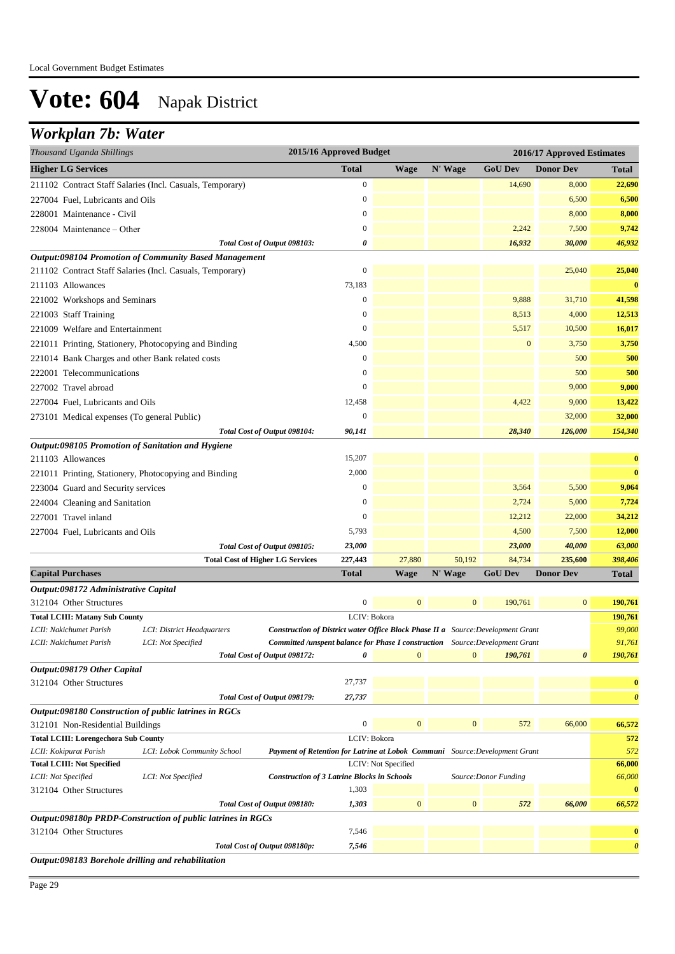### *Workplan 7b: Water*

| <b>Higher LG Services</b><br><b>Total</b><br>N' Wage<br><b>GoU Dev</b><br><b>Donor Dev</b><br><b>Wage</b><br>Total<br>$\boldsymbol{0}$<br>14,690<br>22,690<br>211102 Contract Staff Salaries (Incl. Casuals, Temporary)<br>8,000<br>$\boldsymbol{0}$<br>6,500<br>6,500<br>227004 Fuel, Lubricants and Oils<br>$\boldsymbol{0}$<br>8,000<br>8,000<br>228001 Maintenance - Civil<br>$\boldsymbol{0}$<br>2,242<br>7,500<br>9,742<br>228004 Maintenance – Other<br>0<br>16,932<br>30,000<br>46,932<br>Total Cost of Output 098103:<br><b>Output:098104 Promotion of Community Based Management</b><br>$\boldsymbol{0}$<br>25,040<br>25,040<br>211102 Contract Staff Salaries (Incl. Casuals, Temporary)<br>73,183<br>$\bf{0}$<br>211103 Allowances<br>$\boldsymbol{0}$<br>9,888<br>31,710<br>41,598<br>221002 Workshops and Seminars<br>8,513<br>4,000<br>12,513<br>221003 Staff Training<br>$\boldsymbol{0}$<br>$\boldsymbol{0}$<br>5,517<br>10,500<br>16,017<br>221009 Welfare and Entertainment<br>$\boldsymbol{0}$<br>4,500<br>3,750<br>3,750<br>221011 Printing, Stationery, Photocopying and Binding<br>500<br>500<br>221014 Bank Charges and other Bank related costs<br>$\mathbf{0}$<br>$\mathbf{0}$<br>500<br>500<br>222001 Telecommunications<br>$\boldsymbol{0}$<br>9,000<br>227002 Travel abroad<br>9,000<br>4,422<br>9,000<br>12,458<br>13,422<br>227004 Fuel, Lubricants and Oils<br>$\boldsymbol{0}$<br>32,000<br>32,000<br>273101 Medical expenses (To general Public)<br>28,340<br>126,000<br>154,340<br>90,141<br>Total Cost of Output 098104:<br>Output:098105 Promotion of Sanitation and Hygiene<br>15,207<br>211103 Allowances<br>$\bf{0}$<br>2,000<br>$\bf{0}$<br>221011 Printing, Stationery, Photocopying and Binding<br>223004 Guard and Security services<br>$\mathbf{0}$<br>3,564<br>5,500<br>9,064<br>$\mathbf{0}$<br>2,724<br>5,000<br>7,724<br>224004 Cleaning and Sanitation<br>227001 Travel inland<br>12,212<br>$\mathbf{0}$<br>22,000<br>34,212<br>4,500<br>7,500<br>5,793<br>12,000<br>227004 Fuel, Lubricants and Oils<br>23,000<br>40,000<br>63,000<br>Total Cost of Output 098105:<br>23,000<br>227,443<br>27,880<br>50,192<br>84,734<br>235,600<br>398,406<br><b>Total Cost of Higher LG Services</b><br><b>Capital Purchases</b><br>N' Wage<br><b>GoU Dev</b><br>Total<br>Wage<br><b>Donor Dev</b><br>Total<br>Output:098172 Administrative Capital<br>$\boldsymbol{0}$<br>$\mathbf{0}$<br>$\boldsymbol{0}$<br>190,761<br>$\bf{0}$<br>190,761<br>312104 Other Structures<br>LCIV: Bokora<br><b>Total LCIII: Matany Sub County</b><br>190,761<br>99,000<br>LCII: Nakichumet Parish<br>LCI: District Headquarters<br><b>Construction of District water Office Block Phase II a</b> Source: Development Grant<br>91,761<br>LCII: Nakichumet Parish<br>LCI: Not Specified<br><b>Committed /unspent balance for Phase I construction</b> Source: Development Grant<br>$\pmb{\theta}$<br>$\mathbf{0}$<br>$\boldsymbol{0}$<br>190,761<br>$\boldsymbol{\theta}$<br>190,761<br>Total Cost of Output 098172:<br>Output:098179 Other Capital<br>27,737<br>312104 Other Structures<br>$\bf{0}$<br>Total Cost of Output 098179:<br>27,737<br>0<br>Output:098180 Construction of public latrines in RGCs<br>$\boldsymbol{0}$<br>66,000<br>66,572<br>312101 Non-Residential Buildings<br>$\mathbf{0}$<br>$\boldsymbol{0}$<br>572<br>LCIV: Bokora<br><b>Total LCIII: Lorengechora Sub County</b><br>572<br>LCII: Kokipurat Parish<br>572<br>LCI: Lobok Community School<br><b>Payment of Retention for Latrine at Lobok Communi</b> Source: Development Grant<br>LCIV: Not Specified<br>66,000<br><b>Total LCIII: Not Specified</b><br>66,000<br>LCII: Not Specified<br>LCI: Not Specified<br><b>Construction of 3 Latrine Blocks in Schools</b><br>Source: Donor Funding<br>1,303<br>312104 Other Structures<br>$\bf{0}$<br>$\mathbf{0}$<br>$\boldsymbol{0}$<br>1,303<br>572<br>66,000<br>Total Cost of Output 098180:<br>66,572<br>Output:098180p PRDP-Construction of public latrines in RGCs<br>7,546<br>312104 Other Structures<br>$\bf{0}$<br>7,546<br>Total Cost of Output 098180p:<br>0<br>Output:098183 Borehole drilling and rehabilitation | Thousand Uganda Shillings | 2015/16 Approved Budget |  | 2016/17 Approved Estimates |  |  |
|----------------------------------------------------------------------------------------------------------------------------------------------------------------------------------------------------------------------------------------------------------------------------------------------------------------------------------------------------------------------------------------------------------------------------------------------------------------------------------------------------------------------------------------------------------------------------------------------------------------------------------------------------------------------------------------------------------------------------------------------------------------------------------------------------------------------------------------------------------------------------------------------------------------------------------------------------------------------------------------------------------------------------------------------------------------------------------------------------------------------------------------------------------------------------------------------------------------------------------------------------------------------------------------------------------------------------------------------------------------------------------------------------------------------------------------------------------------------------------------------------------------------------------------------------------------------------------------------------------------------------------------------------------------------------------------------------------------------------------------------------------------------------------------------------------------------------------------------------------------------------------------------------------------------------------------------------------------------------------------------------------------------------------------------------------------------------------------------------------------------------------------------------------------------------------------------------------------------------------------------------------------------------------------------------------------------------------------------------------------------------------------------------------------------------------------------------------------------------------------------------------------------------------------------------------------------------------------------------------------------------------------------------------------------------------------------------------------------------------------------------------------------------------------------------------------------------------------------------------------------------------------------------------------------------------------------------------------------------------------------------------------------------------------------------------------------------------------------------------------------------------------------------------------------------------------------------------------------------------------------------------------------------------------------------------------------------------------------------------------------------------------------------------------------------------------------------------------------------------------------------------------------------------------------------------------------------------------------------------------------------------------------------------------------------------------------------------------------------------------------------------------------------------------------------------------------------------------------------------------------------------------------------------------------------------------------------------------------------------------------------------------------------------------------------------------------------------------------------------------------------------------------------------------------------|---------------------------|-------------------------|--|----------------------------|--|--|
|                                                                                                                                                                                                                                                                                                                                                                                                                                                                                                                                                                                                                                                                                                                                                                                                                                                                                                                                                                                                                                                                                                                                                                                                                                                                                                                                                                                                                                                                                                                                                                                                                                                                                                                                                                                                                                                                                                                                                                                                                                                                                                                                                                                                                                                                                                                                                                                                                                                                                                                                                                                                                                                                                                                                                                                                                                                                                                                                                                                                                                                                                                                                                                                                                                                                                                                                                                                                                                                                                                                                                                                                                                                                                                                                                                                                                                                                                                                                                                                                                                                                                                                                                                            |                           |                         |  |                            |  |  |
|                                                                                                                                                                                                                                                                                                                                                                                                                                                                                                                                                                                                                                                                                                                                                                                                                                                                                                                                                                                                                                                                                                                                                                                                                                                                                                                                                                                                                                                                                                                                                                                                                                                                                                                                                                                                                                                                                                                                                                                                                                                                                                                                                                                                                                                                                                                                                                                                                                                                                                                                                                                                                                                                                                                                                                                                                                                                                                                                                                                                                                                                                                                                                                                                                                                                                                                                                                                                                                                                                                                                                                                                                                                                                                                                                                                                                                                                                                                                                                                                                                                                                                                                                                            |                           |                         |  |                            |  |  |
|                                                                                                                                                                                                                                                                                                                                                                                                                                                                                                                                                                                                                                                                                                                                                                                                                                                                                                                                                                                                                                                                                                                                                                                                                                                                                                                                                                                                                                                                                                                                                                                                                                                                                                                                                                                                                                                                                                                                                                                                                                                                                                                                                                                                                                                                                                                                                                                                                                                                                                                                                                                                                                                                                                                                                                                                                                                                                                                                                                                                                                                                                                                                                                                                                                                                                                                                                                                                                                                                                                                                                                                                                                                                                                                                                                                                                                                                                                                                                                                                                                                                                                                                                                            |                           |                         |  |                            |  |  |
|                                                                                                                                                                                                                                                                                                                                                                                                                                                                                                                                                                                                                                                                                                                                                                                                                                                                                                                                                                                                                                                                                                                                                                                                                                                                                                                                                                                                                                                                                                                                                                                                                                                                                                                                                                                                                                                                                                                                                                                                                                                                                                                                                                                                                                                                                                                                                                                                                                                                                                                                                                                                                                                                                                                                                                                                                                                                                                                                                                                                                                                                                                                                                                                                                                                                                                                                                                                                                                                                                                                                                                                                                                                                                                                                                                                                                                                                                                                                                                                                                                                                                                                                                                            |                           |                         |  |                            |  |  |
|                                                                                                                                                                                                                                                                                                                                                                                                                                                                                                                                                                                                                                                                                                                                                                                                                                                                                                                                                                                                                                                                                                                                                                                                                                                                                                                                                                                                                                                                                                                                                                                                                                                                                                                                                                                                                                                                                                                                                                                                                                                                                                                                                                                                                                                                                                                                                                                                                                                                                                                                                                                                                                                                                                                                                                                                                                                                                                                                                                                                                                                                                                                                                                                                                                                                                                                                                                                                                                                                                                                                                                                                                                                                                                                                                                                                                                                                                                                                                                                                                                                                                                                                                                            |                           |                         |  |                            |  |  |
|                                                                                                                                                                                                                                                                                                                                                                                                                                                                                                                                                                                                                                                                                                                                                                                                                                                                                                                                                                                                                                                                                                                                                                                                                                                                                                                                                                                                                                                                                                                                                                                                                                                                                                                                                                                                                                                                                                                                                                                                                                                                                                                                                                                                                                                                                                                                                                                                                                                                                                                                                                                                                                                                                                                                                                                                                                                                                                                                                                                                                                                                                                                                                                                                                                                                                                                                                                                                                                                                                                                                                                                                                                                                                                                                                                                                                                                                                                                                                                                                                                                                                                                                                                            |                           |                         |  |                            |  |  |
|                                                                                                                                                                                                                                                                                                                                                                                                                                                                                                                                                                                                                                                                                                                                                                                                                                                                                                                                                                                                                                                                                                                                                                                                                                                                                                                                                                                                                                                                                                                                                                                                                                                                                                                                                                                                                                                                                                                                                                                                                                                                                                                                                                                                                                                                                                                                                                                                                                                                                                                                                                                                                                                                                                                                                                                                                                                                                                                                                                                                                                                                                                                                                                                                                                                                                                                                                                                                                                                                                                                                                                                                                                                                                                                                                                                                                                                                                                                                                                                                                                                                                                                                                                            |                           |                         |  |                            |  |  |
|                                                                                                                                                                                                                                                                                                                                                                                                                                                                                                                                                                                                                                                                                                                                                                                                                                                                                                                                                                                                                                                                                                                                                                                                                                                                                                                                                                                                                                                                                                                                                                                                                                                                                                                                                                                                                                                                                                                                                                                                                                                                                                                                                                                                                                                                                                                                                                                                                                                                                                                                                                                                                                                                                                                                                                                                                                                                                                                                                                                                                                                                                                                                                                                                                                                                                                                                                                                                                                                                                                                                                                                                                                                                                                                                                                                                                                                                                                                                                                                                                                                                                                                                                                            |                           |                         |  |                            |  |  |
|                                                                                                                                                                                                                                                                                                                                                                                                                                                                                                                                                                                                                                                                                                                                                                                                                                                                                                                                                                                                                                                                                                                                                                                                                                                                                                                                                                                                                                                                                                                                                                                                                                                                                                                                                                                                                                                                                                                                                                                                                                                                                                                                                                                                                                                                                                                                                                                                                                                                                                                                                                                                                                                                                                                                                                                                                                                                                                                                                                                                                                                                                                                                                                                                                                                                                                                                                                                                                                                                                                                                                                                                                                                                                                                                                                                                                                                                                                                                                                                                                                                                                                                                                                            |                           |                         |  |                            |  |  |
|                                                                                                                                                                                                                                                                                                                                                                                                                                                                                                                                                                                                                                                                                                                                                                                                                                                                                                                                                                                                                                                                                                                                                                                                                                                                                                                                                                                                                                                                                                                                                                                                                                                                                                                                                                                                                                                                                                                                                                                                                                                                                                                                                                                                                                                                                                                                                                                                                                                                                                                                                                                                                                                                                                                                                                                                                                                                                                                                                                                                                                                                                                                                                                                                                                                                                                                                                                                                                                                                                                                                                                                                                                                                                                                                                                                                                                                                                                                                                                                                                                                                                                                                                                            |                           |                         |  |                            |  |  |
|                                                                                                                                                                                                                                                                                                                                                                                                                                                                                                                                                                                                                                                                                                                                                                                                                                                                                                                                                                                                                                                                                                                                                                                                                                                                                                                                                                                                                                                                                                                                                                                                                                                                                                                                                                                                                                                                                                                                                                                                                                                                                                                                                                                                                                                                                                                                                                                                                                                                                                                                                                                                                                                                                                                                                                                                                                                                                                                                                                                                                                                                                                                                                                                                                                                                                                                                                                                                                                                                                                                                                                                                                                                                                                                                                                                                                                                                                                                                                                                                                                                                                                                                                                            |                           |                         |  |                            |  |  |
|                                                                                                                                                                                                                                                                                                                                                                                                                                                                                                                                                                                                                                                                                                                                                                                                                                                                                                                                                                                                                                                                                                                                                                                                                                                                                                                                                                                                                                                                                                                                                                                                                                                                                                                                                                                                                                                                                                                                                                                                                                                                                                                                                                                                                                                                                                                                                                                                                                                                                                                                                                                                                                                                                                                                                                                                                                                                                                                                                                                                                                                                                                                                                                                                                                                                                                                                                                                                                                                                                                                                                                                                                                                                                                                                                                                                                                                                                                                                                                                                                                                                                                                                                                            |                           |                         |  |                            |  |  |
|                                                                                                                                                                                                                                                                                                                                                                                                                                                                                                                                                                                                                                                                                                                                                                                                                                                                                                                                                                                                                                                                                                                                                                                                                                                                                                                                                                                                                                                                                                                                                                                                                                                                                                                                                                                                                                                                                                                                                                                                                                                                                                                                                                                                                                                                                                                                                                                                                                                                                                                                                                                                                                                                                                                                                                                                                                                                                                                                                                                                                                                                                                                                                                                                                                                                                                                                                                                                                                                                                                                                                                                                                                                                                                                                                                                                                                                                                                                                                                                                                                                                                                                                                                            |                           |                         |  |                            |  |  |
|                                                                                                                                                                                                                                                                                                                                                                                                                                                                                                                                                                                                                                                                                                                                                                                                                                                                                                                                                                                                                                                                                                                                                                                                                                                                                                                                                                                                                                                                                                                                                                                                                                                                                                                                                                                                                                                                                                                                                                                                                                                                                                                                                                                                                                                                                                                                                                                                                                                                                                                                                                                                                                                                                                                                                                                                                                                                                                                                                                                                                                                                                                                                                                                                                                                                                                                                                                                                                                                                                                                                                                                                                                                                                                                                                                                                                                                                                                                                                                                                                                                                                                                                                                            |                           |                         |  |                            |  |  |
|                                                                                                                                                                                                                                                                                                                                                                                                                                                                                                                                                                                                                                                                                                                                                                                                                                                                                                                                                                                                                                                                                                                                                                                                                                                                                                                                                                                                                                                                                                                                                                                                                                                                                                                                                                                                                                                                                                                                                                                                                                                                                                                                                                                                                                                                                                                                                                                                                                                                                                                                                                                                                                                                                                                                                                                                                                                                                                                                                                                                                                                                                                                                                                                                                                                                                                                                                                                                                                                                                                                                                                                                                                                                                                                                                                                                                                                                                                                                                                                                                                                                                                                                                                            |                           |                         |  |                            |  |  |
|                                                                                                                                                                                                                                                                                                                                                                                                                                                                                                                                                                                                                                                                                                                                                                                                                                                                                                                                                                                                                                                                                                                                                                                                                                                                                                                                                                                                                                                                                                                                                                                                                                                                                                                                                                                                                                                                                                                                                                                                                                                                                                                                                                                                                                                                                                                                                                                                                                                                                                                                                                                                                                                                                                                                                                                                                                                                                                                                                                                                                                                                                                                                                                                                                                                                                                                                                                                                                                                                                                                                                                                                                                                                                                                                                                                                                                                                                                                                                                                                                                                                                                                                                                            |                           |                         |  |                            |  |  |
|                                                                                                                                                                                                                                                                                                                                                                                                                                                                                                                                                                                                                                                                                                                                                                                                                                                                                                                                                                                                                                                                                                                                                                                                                                                                                                                                                                                                                                                                                                                                                                                                                                                                                                                                                                                                                                                                                                                                                                                                                                                                                                                                                                                                                                                                                                                                                                                                                                                                                                                                                                                                                                                                                                                                                                                                                                                                                                                                                                                                                                                                                                                                                                                                                                                                                                                                                                                                                                                                                                                                                                                                                                                                                                                                                                                                                                                                                                                                                                                                                                                                                                                                                                            |                           |                         |  |                            |  |  |
|                                                                                                                                                                                                                                                                                                                                                                                                                                                                                                                                                                                                                                                                                                                                                                                                                                                                                                                                                                                                                                                                                                                                                                                                                                                                                                                                                                                                                                                                                                                                                                                                                                                                                                                                                                                                                                                                                                                                                                                                                                                                                                                                                                                                                                                                                                                                                                                                                                                                                                                                                                                                                                                                                                                                                                                                                                                                                                                                                                                                                                                                                                                                                                                                                                                                                                                                                                                                                                                                                                                                                                                                                                                                                                                                                                                                                                                                                                                                                                                                                                                                                                                                                                            |                           |                         |  |                            |  |  |
|                                                                                                                                                                                                                                                                                                                                                                                                                                                                                                                                                                                                                                                                                                                                                                                                                                                                                                                                                                                                                                                                                                                                                                                                                                                                                                                                                                                                                                                                                                                                                                                                                                                                                                                                                                                                                                                                                                                                                                                                                                                                                                                                                                                                                                                                                                                                                                                                                                                                                                                                                                                                                                                                                                                                                                                                                                                                                                                                                                                                                                                                                                                                                                                                                                                                                                                                                                                                                                                                                                                                                                                                                                                                                                                                                                                                                                                                                                                                                                                                                                                                                                                                                                            |                           |                         |  |                            |  |  |
|                                                                                                                                                                                                                                                                                                                                                                                                                                                                                                                                                                                                                                                                                                                                                                                                                                                                                                                                                                                                                                                                                                                                                                                                                                                                                                                                                                                                                                                                                                                                                                                                                                                                                                                                                                                                                                                                                                                                                                                                                                                                                                                                                                                                                                                                                                                                                                                                                                                                                                                                                                                                                                                                                                                                                                                                                                                                                                                                                                                                                                                                                                                                                                                                                                                                                                                                                                                                                                                                                                                                                                                                                                                                                                                                                                                                                                                                                                                                                                                                                                                                                                                                                                            |                           |                         |  |                            |  |  |
|                                                                                                                                                                                                                                                                                                                                                                                                                                                                                                                                                                                                                                                                                                                                                                                                                                                                                                                                                                                                                                                                                                                                                                                                                                                                                                                                                                                                                                                                                                                                                                                                                                                                                                                                                                                                                                                                                                                                                                                                                                                                                                                                                                                                                                                                                                                                                                                                                                                                                                                                                                                                                                                                                                                                                                                                                                                                                                                                                                                                                                                                                                                                                                                                                                                                                                                                                                                                                                                                                                                                                                                                                                                                                                                                                                                                                                                                                                                                                                                                                                                                                                                                                                            |                           |                         |  |                            |  |  |
|                                                                                                                                                                                                                                                                                                                                                                                                                                                                                                                                                                                                                                                                                                                                                                                                                                                                                                                                                                                                                                                                                                                                                                                                                                                                                                                                                                                                                                                                                                                                                                                                                                                                                                                                                                                                                                                                                                                                                                                                                                                                                                                                                                                                                                                                                                                                                                                                                                                                                                                                                                                                                                                                                                                                                                                                                                                                                                                                                                                                                                                                                                                                                                                                                                                                                                                                                                                                                                                                                                                                                                                                                                                                                                                                                                                                                                                                                                                                                                                                                                                                                                                                                                            |                           |                         |  |                            |  |  |
|                                                                                                                                                                                                                                                                                                                                                                                                                                                                                                                                                                                                                                                                                                                                                                                                                                                                                                                                                                                                                                                                                                                                                                                                                                                                                                                                                                                                                                                                                                                                                                                                                                                                                                                                                                                                                                                                                                                                                                                                                                                                                                                                                                                                                                                                                                                                                                                                                                                                                                                                                                                                                                                                                                                                                                                                                                                                                                                                                                                                                                                                                                                                                                                                                                                                                                                                                                                                                                                                                                                                                                                                                                                                                                                                                                                                                                                                                                                                                                                                                                                                                                                                                                            |                           |                         |  |                            |  |  |
|                                                                                                                                                                                                                                                                                                                                                                                                                                                                                                                                                                                                                                                                                                                                                                                                                                                                                                                                                                                                                                                                                                                                                                                                                                                                                                                                                                                                                                                                                                                                                                                                                                                                                                                                                                                                                                                                                                                                                                                                                                                                                                                                                                                                                                                                                                                                                                                                                                                                                                                                                                                                                                                                                                                                                                                                                                                                                                                                                                                                                                                                                                                                                                                                                                                                                                                                                                                                                                                                                                                                                                                                                                                                                                                                                                                                                                                                                                                                                                                                                                                                                                                                                                            |                           |                         |  |                            |  |  |
|                                                                                                                                                                                                                                                                                                                                                                                                                                                                                                                                                                                                                                                                                                                                                                                                                                                                                                                                                                                                                                                                                                                                                                                                                                                                                                                                                                                                                                                                                                                                                                                                                                                                                                                                                                                                                                                                                                                                                                                                                                                                                                                                                                                                                                                                                                                                                                                                                                                                                                                                                                                                                                                                                                                                                                                                                                                                                                                                                                                                                                                                                                                                                                                                                                                                                                                                                                                                                                                                                                                                                                                                                                                                                                                                                                                                                                                                                                                                                                                                                                                                                                                                                                            |                           |                         |  |                            |  |  |
|                                                                                                                                                                                                                                                                                                                                                                                                                                                                                                                                                                                                                                                                                                                                                                                                                                                                                                                                                                                                                                                                                                                                                                                                                                                                                                                                                                                                                                                                                                                                                                                                                                                                                                                                                                                                                                                                                                                                                                                                                                                                                                                                                                                                                                                                                                                                                                                                                                                                                                                                                                                                                                                                                                                                                                                                                                                                                                                                                                                                                                                                                                                                                                                                                                                                                                                                                                                                                                                                                                                                                                                                                                                                                                                                                                                                                                                                                                                                                                                                                                                                                                                                                                            |                           |                         |  |                            |  |  |
|                                                                                                                                                                                                                                                                                                                                                                                                                                                                                                                                                                                                                                                                                                                                                                                                                                                                                                                                                                                                                                                                                                                                                                                                                                                                                                                                                                                                                                                                                                                                                                                                                                                                                                                                                                                                                                                                                                                                                                                                                                                                                                                                                                                                                                                                                                                                                                                                                                                                                                                                                                                                                                                                                                                                                                                                                                                                                                                                                                                                                                                                                                                                                                                                                                                                                                                                                                                                                                                                                                                                                                                                                                                                                                                                                                                                                                                                                                                                                                                                                                                                                                                                                                            |                           |                         |  |                            |  |  |
|                                                                                                                                                                                                                                                                                                                                                                                                                                                                                                                                                                                                                                                                                                                                                                                                                                                                                                                                                                                                                                                                                                                                                                                                                                                                                                                                                                                                                                                                                                                                                                                                                                                                                                                                                                                                                                                                                                                                                                                                                                                                                                                                                                                                                                                                                                                                                                                                                                                                                                                                                                                                                                                                                                                                                                                                                                                                                                                                                                                                                                                                                                                                                                                                                                                                                                                                                                                                                                                                                                                                                                                                                                                                                                                                                                                                                                                                                                                                                                                                                                                                                                                                                                            |                           |                         |  |                            |  |  |
|                                                                                                                                                                                                                                                                                                                                                                                                                                                                                                                                                                                                                                                                                                                                                                                                                                                                                                                                                                                                                                                                                                                                                                                                                                                                                                                                                                                                                                                                                                                                                                                                                                                                                                                                                                                                                                                                                                                                                                                                                                                                                                                                                                                                                                                                                                                                                                                                                                                                                                                                                                                                                                                                                                                                                                                                                                                                                                                                                                                                                                                                                                                                                                                                                                                                                                                                                                                                                                                                                                                                                                                                                                                                                                                                                                                                                                                                                                                                                                                                                                                                                                                                                                            |                           |                         |  |                            |  |  |
|                                                                                                                                                                                                                                                                                                                                                                                                                                                                                                                                                                                                                                                                                                                                                                                                                                                                                                                                                                                                                                                                                                                                                                                                                                                                                                                                                                                                                                                                                                                                                                                                                                                                                                                                                                                                                                                                                                                                                                                                                                                                                                                                                                                                                                                                                                                                                                                                                                                                                                                                                                                                                                                                                                                                                                                                                                                                                                                                                                                                                                                                                                                                                                                                                                                                                                                                                                                                                                                                                                                                                                                                                                                                                                                                                                                                                                                                                                                                                                                                                                                                                                                                                                            |                           |                         |  |                            |  |  |
|                                                                                                                                                                                                                                                                                                                                                                                                                                                                                                                                                                                                                                                                                                                                                                                                                                                                                                                                                                                                                                                                                                                                                                                                                                                                                                                                                                                                                                                                                                                                                                                                                                                                                                                                                                                                                                                                                                                                                                                                                                                                                                                                                                                                                                                                                                                                                                                                                                                                                                                                                                                                                                                                                                                                                                                                                                                                                                                                                                                                                                                                                                                                                                                                                                                                                                                                                                                                                                                                                                                                                                                                                                                                                                                                                                                                                                                                                                                                                                                                                                                                                                                                                                            |                           |                         |  |                            |  |  |
|                                                                                                                                                                                                                                                                                                                                                                                                                                                                                                                                                                                                                                                                                                                                                                                                                                                                                                                                                                                                                                                                                                                                                                                                                                                                                                                                                                                                                                                                                                                                                                                                                                                                                                                                                                                                                                                                                                                                                                                                                                                                                                                                                                                                                                                                                                                                                                                                                                                                                                                                                                                                                                                                                                                                                                                                                                                                                                                                                                                                                                                                                                                                                                                                                                                                                                                                                                                                                                                                                                                                                                                                                                                                                                                                                                                                                                                                                                                                                                                                                                                                                                                                                                            |                           |                         |  |                            |  |  |
|                                                                                                                                                                                                                                                                                                                                                                                                                                                                                                                                                                                                                                                                                                                                                                                                                                                                                                                                                                                                                                                                                                                                                                                                                                                                                                                                                                                                                                                                                                                                                                                                                                                                                                                                                                                                                                                                                                                                                                                                                                                                                                                                                                                                                                                                                                                                                                                                                                                                                                                                                                                                                                                                                                                                                                                                                                                                                                                                                                                                                                                                                                                                                                                                                                                                                                                                                                                                                                                                                                                                                                                                                                                                                                                                                                                                                                                                                                                                                                                                                                                                                                                                                                            |                           |                         |  |                            |  |  |
|                                                                                                                                                                                                                                                                                                                                                                                                                                                                                                                                                                                                                                                                                                                                                                                                                                                                                                                                                                                                                                                                                                                                                                                                                                                                                                                                                                                                                                                                                                                                                                                                                                                                                                                                                                                                                                                                                                                                                                                                                                                                                                                                                                                                                                                                                                                                                                                                                                                                                                                                                                                                                                                                                                                                                                                                                                                                                                                                                                                                                                                                                                                                                                                                                                                                                                                                                                                                                                                                                                                                                                                                                                                                                                                                                                                                                                                                                                                                                                                                                                                                                                                                                                            |                           |                         |  |                            |  |  |
|                                                                                                                                                                                                                                                                                                                                                                                                                                                                                                                                                                                                                                                                                                                                                                                                                                                                                                                                                                                                                                                                                                                                                                                                                                                                                                                                                                                                                                                                                                                                                                                                                                                                                                                                                                                                                                                                                                                                                                                                                                                                                                                                                                                                                                                                                                                                                                                                                                                                                                                                                                                                                                                                                                                                                                                                                                                                                                                                                                                                                                                                                                                                                                                                                                                                                                                                                                                                                                                                                                                                                                                                                                                                                                                                                                                                                                                                                                                                                                                                                                                                                                                                                                            |                           |                         |  |                            |  |  |
|                                                                                                                                                                                                                                                                                                                                                                                                                                                                                                                                                                                                                                                                                                                                                                                                                                                                                                                                                                                                                                                                                                                                                                                                                                                                                                                                                                                                                                                                                                                                                                                                                                                                                                                                                                                                                                                                                                                                                                                                                                                                                                                                                                                                                                                                                                                                                                                                                                                                                                                                                                                                                                                                                                                                                                                                                                                                                                                                                                                                                                                                                                                                                                                                                                                                                                                                                                                                                                                                                                                                                                                                                                                                                                                                                                                                                                                                                                                                                                                                                                                                                                                                                                            |                           |                         |  |                            |  |  |
|                                                                                                                                                                                                                                                                                                                                                                                                                                                                                                                                                                                                                                                                                                                                                                                                                                                                                                                                                                                                                                                                                                                                                                                                                                                                                                                                                                                                                                                                                                                                                                                                                                                                                                                                                                                                                                                                                                                                                                                                                                                                                                                                                                                                                                                                                                                                                                                                                                                                                                                                                                                                                                                                                                                                                                                                                                                                                                                                                                                                                                                                                                                                                                                                                                                                                                                                                                                                                                                                                                                                                                                                                                                                                                                                                                                                                                                                                                                                                                                                                                                                                                                                                                            |                           |                         |  |                            |  |  |
|                                                                                                                                                                                                                                                                                                                                                                                                                                                                                                                                                                                                                                                                                                                                                                                                                                                                                                                                                                                                                                                                                                                                                                                                                                                                                                                                                                                                                                                                                                                                                                                                                                                                                                                                                                                                                                                                                                                                                                                                                                                                                                                                                                                                                                                                                                                                                                                                                                                                                                                                                                                                                                                                                                                                                                                                                                                                                                                                                                                                                                                                                                                                                                                                                                                                                                                                                                                                                                                                                                                                                                                                                                                                                                                                                                                                                                                                                                                                                                                                                                                                                                                                                                            |                           |                         |  |                            |  |  |
|                                                                                                                                                                                                                                                                                                                                                                                                                                                                                                                                                                                                                                                                                                                                                                                                                                                                                                                                                                                                                                                                                                                                                                                                                                                                                                                                                                                                                                                                                                                                                                                                                                                                                                                                                                                                                                                                                                                                                                                                                                                                                                                                                                                                                                                                                                                                                                                                                                                                                                                                                                                                                                                                                                                                                                                                                                                                                                                                                                                                                                                                                                                                                                                                                                                                                                                                                                                                                                                                                                                                                                                                                                                                                                                                                                                                                                                                                                                                                                                                                                                                                                                                                                            |                           |                         |  |                            |  |  |
|                                                                                                                                                                                                                                                                                                                                                                                                                                                                                                                                                                                                                                                                                                                                                                                                                                                                                                                                                                                                                                                                                                                                                                                                                                                                                                                                                                                                                                                                                                                                                                                                                                                                                                                                                                                                                                                                                                                                                                                                                                                                                                                                                                                                                                                                                                                                                                                                                                                                                                                                                                                                                                                                                                                                                                                                                                                                                                                                                                                                                                                                                                                                                                                                                                                                                                                                                                                                                                                                                                                                                                                                                                                                                                                                                                                                                                                                                                                                                                                                                                                                                                                                                                            |                           |                         |  |                            |  |  |
|                                                                                                                                                                                                                                                                                                                                                                                                                                                                                                                                                                                                                                                                                                                                                                                                                                                                                                                                                                                                                                                                                                                                                                                                                                                                                                                                                                                                                                                                                                                                                                                                                                                                                                                                                                                                                                                                                                                                                                                                                                                                                                                                                                                                                                                                                                                                                                                                                                                                                                                                                                                                                                                                                                                                                                                                                                                                                                                                                                                                                                                                                                                                                                                                                                                                                                                                                                                                                                                                                                                                                                                                                                                                                                                                                                                                                                                                                                                                                                                                                                                                                                                                                                            |                           |                         |  |                            |  |  |
|                                                                                                                                                                                                                                                                                                                                                                                                                                                                                                                                                                                                                                                                                                                                                                                                                                                                                                                                                                                                                                                                                                                                                                                                                                                                                                                                                                                                                                                                                                                                                                                                                                                                                                                                                                                                                                                                                                                                                                                                                                                                                                                                                                                                                                                                                                                                                                                                                                                                                                                                                                                                                                                                                                                                                                                                                                                                                                                                                                                                                                                                                                                                                                                                                                                                                                                                                                                                                                                                                                                                                                                                                                                                                                                                                                                                                                                                                                                                                                                                                                                                                                                                                                            |                           |                         |  |                            |  |  |
|                                                                                                                                                                                                                                                                                                                                                                                                                                                                                                                                                                                                                                                                                                                                                                                                                                                                                                                                                                                                                                                                                                                                                                                                                                                                                                                                                                                                                                                                                                                                                                                                                                                                                                                                                                                                                                                                                                                                                                                                                                                                                                                                                                                                                                                                                                                                                                                                                                                                                                                                                                                                                                                                                                                                                                                                                                                                                                                                                                                                                                                                                                                                                                                                                                                                                                                                                                                                                                                                                                                                                                                                                                                                                                                                                                                                                                                                                                                                                                                                                                                                                                                                                                            |                           |                         |  |                            |  |  |
|                                                                                                                                                                                                                                                                                                                                                                                                                                                                                                                                                                                                                                                                                                                                                                                                                                                                                                                                                                                                                                                                                                                                                                                                                                                                                                                                                                                                                                                                                                                                                                                                                                                                                                                                                                                                                                                                                                                                                                                                                                                                                                                                                                                                                                                                                                                                                                                                                                                                                                                                                                                                                                                                                                                                                                                                                                                                                                                                                                                                                                                                                                                                                                                                                                                                                                                                                                                                                                                                                                                                                                                                                                                                                                                                                                                                                                                                                                                                                                                                                                                                                                                                                                            |                           |                         |  |                            |  |  |
|                                                                                                                                                                                                                                                                                                                                                                                                                                                                                                                                                                                                                                                                                                                                                                                                                                                                                                                                                                                                                                                                                                                                                                                                                                                                                                                                                                                                                                                                                                                                                                                                                                                                                                                                                                                                                                                                                                                                                                                                                                                                                                                                                                                                                                                                                                                                                                                                                                                                                                                                                                                                                                                                                                                                                                                                                                                                                                                                                                                                                                                                                                                                                                                                                                                                                                                                                                                                                                                                                                                                                                                                                                                                                                                                                                                                                                                                                                                                                                                                                                                                                                                                                                            |                           |                         |  |                            |  |  |
|                                                                                                                                                                                                                                                                                                                                                                                                                                                                                                                                                                                                                                                                                                                                                                                                                                                                                                                                                                                                                                                                                                                                                                                                                                                                                                                                                                                                                                                                                                                                                                                                                                                                                                                                                                                                                                                                                                                                                                                                                                                                                                                                                                                                                                                                                                                                                                                                                                                                                                                                                                                                                                                                                                                                                                                                                                                                                                                                                                                                                                                                                                                                                                                                                                                                                                                                                                                                                                                                                                                                                                                                                                                                                                                                                                                                                                                                                                                                                                                                                                                                                                                                                                            |                           |                         |  |                            |  |  |
|                                                                                                                                                                                                                                                                                                                                                                                                                                                                                                                                                                                                                                                                                                                                                                                                                                                                                                                                                                                                                                                                                                                                                                                                                                                                                                                                                                                                                                                                                                                                                                                                                                                                                                                                                                                                                                                                                                                                                                                                                                                                                                                                                                                                                                                                                                                                                                                                                                                                                                                                                                                                                                                                                                                                                                                                                                                                                                                                                                                                                                                                                                                                                                                                                                                                                                                                                                                                                                                                                                                                                                                                                                                                                                                                                                                                                                                                                                                                                                                                                                                                                                                                                                            |                           |                         |  |                            |  |  |
|                                                                                                                                                                                                                                                                                                                                                                                                                                                                                                                                                                                                                                                                                                                                                                                                                                                                                                                                                                                                                                                                                                                                                                                                                                                                                                                                                                                                                                                                                                                                                                                                                                                                                                                                                                                                                                                                                                                                                                                                                                                                                                                                                                                                                                                                                                                                                                                                                                                                                                                                                                                                                                                                                                                                                                                                                                                                                                                                                                                                                                                                                                                                                                                                                                                                                                                                                                                                                                                                                                                                                                                                                                                                                                                                                                                                                                                                                                                                                                                                                                                                                                                                                                            |                           |                         |  |                            |  |  |
|                                                                                                                                                                                                                                                                                                                                                                                                                                                                                                                                                                                                                                                                                                                                                                                                                                                                                                                                                                                                                                                                                                                                                                                                                                                                                                                                                                                                                                                                                                                                                                                                                                                                                                                                                                                                                                                                                                                                                                                                                                                                                                                                                                                                                                                                                                                                                                                                                                                                                                                                                                                                                                                                                                                                                                                                                                                                                                                                                                                                                                                                                                                                                                                                                                                                                                                                                                                                                                                                                                                                                                                                                                                                                                                                                                                                                                                                                                                                                                                                                                                                                                                                                                            |                           |                         |  |                            |  |  |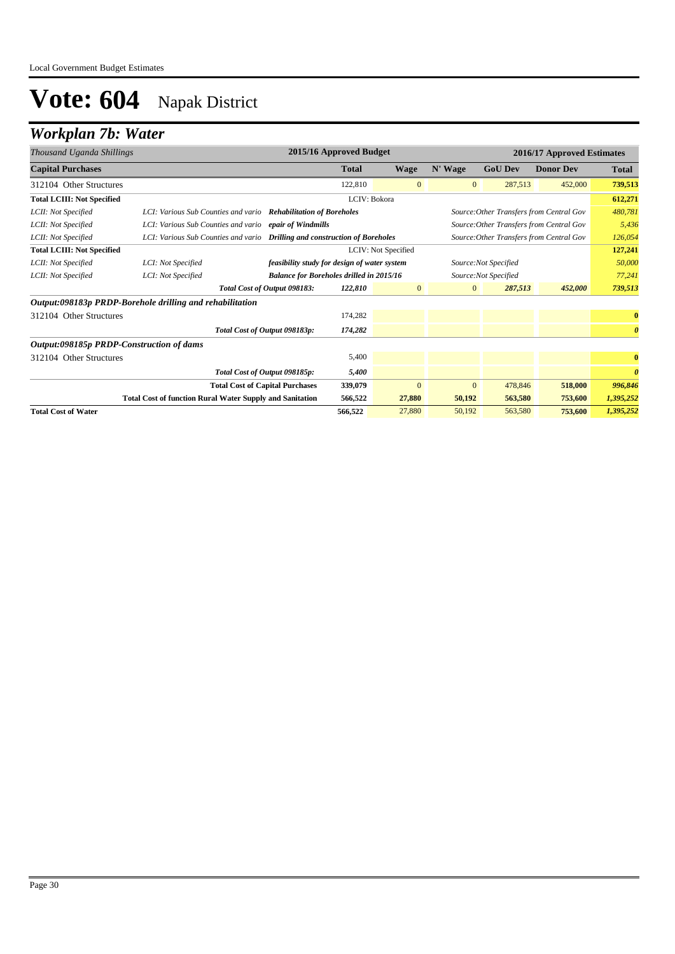### *Workplan 7b: Water*

| Thousand Uganda Shillings                |                                                                            |                                                 | 2015/16 Approved Budget |                     |              |                       | 2016/17 Approved Estimates               |                       |
|------------------------------------------|----------------------------------------------------------------------------|-------------------------------------------------|-------------------------|---------------------|--------------|-----------------------|------------------------------------------|-----------------------|
| <b>Capital Purchases</b>                 |                                                                            |                                                 | <b>Total</b>            | <b>Wage</b>         | N' Wage      | <b>GoU Dev</b>        | <b>Donor Dev</b>                         | <b>Total</b>          |
| 312104 Other Structures                  |                                                                            |                                                 | 122,810                 | $\overline{0}$      | $\mathbf{0}$ | 287,513               | 452,000                                  | 739,513               |
| <b>Total LCIII: Not Specified</b>        |                                                                            |                                                 | LCIV: Bokora            |                     |              |                       |                                          | 612,271               |
| LCII: Not Specified                      | LCI: Various Sub Counties and vario Rehabilitation of Boreholes            |                                                 |                         |                     |              |                       | Source: Other Transfers from Central Gov | 480,781               |
| LCII: Not Specified                      | LCI: Various Sub Counties and vario epair of Windmills                     |                                                 |                         |                     |              |                       | Source: Other Transfers from Central Gov | 5,436                 |
| LCII: Not Specified                      | LCI: Various Sub Counties and vario Drilling and construction of Boreholes |                                                 |                         |                     |              |                       | Source: Other Transfers from Central Gov | 126,054               |
| <b>Total LCIII: Not Specified</b>        |                                                                            |                                                 |                         | LCIV: Not Specified |              |                       |                                          | 127,241               |
| LCII: Not Specified                      | LCI: Not Specified                                                         | feasibility study for design of water system    |                         |                     |              | Source: Not Specified |                                          | 50,000                |
| LCII: Not Specified                      | LCI: Not Specified                                                         | <b>Balance for Boreholes drilled in 2015/16</b> |                         |                     |              | Source:Not Specified  |                                          | 77,241                |
|                                          |                                                                            | Total Cost of Output 098183:                    | 122,810                 | $\mathbf{0}$        | $\mathbf{0}$ | 287,513               | 452,000                                  | 739,513               |
|                                          | Output:098183p PRDP-Borehole drilling and rehabilitation                   |                                                 |                         |                     |              |                       |                                          |                       |
| 312104 Other Structures                  |                                                                            |                                                 | 174,282                 |                     |              |                       |                                          | $\bf{0}$              |
|                                          |                                                                            | Total Cost of Output 098183p:                   | 174,282                 |                     |              |                       |                                          | $\boldsymbol{\theta}$ |
| Output:098185p PRDP-Construction of dams |                                                                            |                                                 |                         |                     |              |                       |                                          |                       |
| 312104 Other Structures                  |                                                                            |                                                 | 5,400                   |                     |              |                       |                                          | $\bf{0}$              |
|                                          |                                                                            | Total Cost of Output 098185p:                   | 5,400                   |                     |              |                       |                                          | $\theta$              |
|                                          |                                                                            | <b>Total Cost of Capital Purchases</b>          | 339,079                 | $\mathbf{0}$        | $\mathbf{0}$ | 478,846               | 518,000                                  | 996,846               |
|                                          | <b>Total Cost of function Rural Water Supply and Sanitation</b>            |                                                 | 566,522                 | 27,880              | 50,192       | 563,580               | 753,600                                  | 1,395,252             |
| <b>Total Cost of Water</b>               |                                                                            |                                                 | 566,522                 | 27,880              | 50,192       | 563,580               | 753,600                                  | 1,395,252             |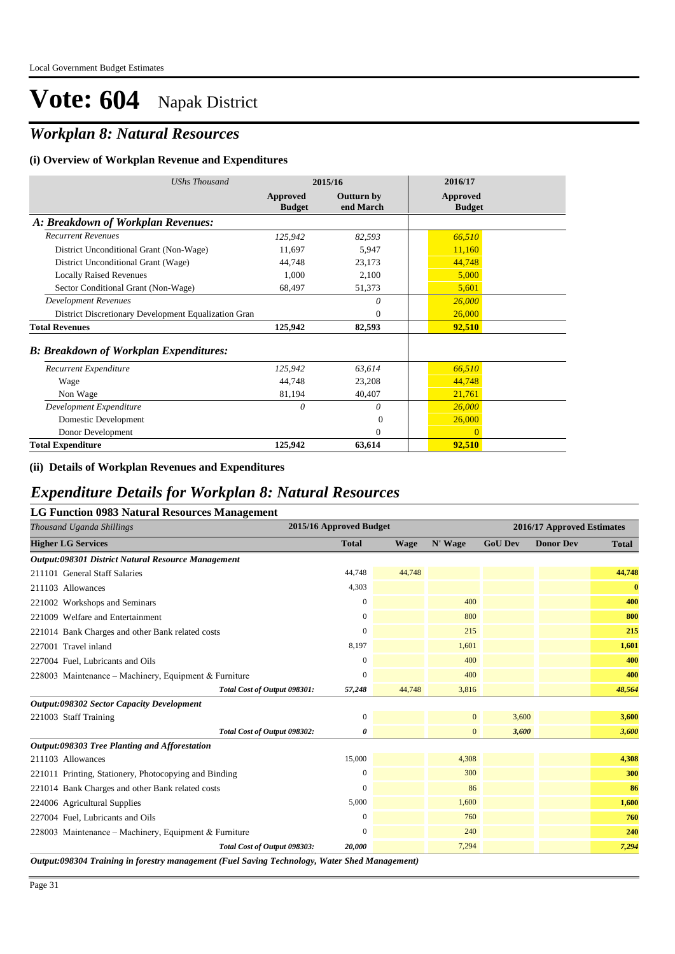## *Workplan 8: Natural Resources*

#### **(i) Overview of Workplan Revenue and Expenditures**

| <b>UShs Thousand</b>                                 | 2015/16                   |                                | 2016/17                   |
|------------------------------------------------------|---------------------------|--------------------------------|---------------------------|
|                                                      | Approved<br><b>Budget</b> | <b>Outturn by</b><br>end March | Approved<br><b>Budget</b> |
| A: Breakdown of Workplan Revenues:                   |                           |                                |                           |
| <b>Recurrent Revenues</b>                            | 125,942                   | 82,593                         | 66,510                    |
| District Unconditional Grant (Non-Wage)              | 11,697                    | 5,947                          | 11,160                    |
| District Unconditional Grant (Wage)                  | 44,748                    | 23,173                         | 44,748                    |
| <b>Locally Raised Revenues</b>                       | 1,000                     | 2,100                          | 5,000                     |
| Sector Conditional Grant (Non-Wage)                  | 68,497                    | 51,373                         | 5,601                     |
| <b>Development Revenues</b>                          |                           | 0                              | 26,000                    |
| District Discretionary Development Equalization Gran |                           | $\theta$                       | 26,000                    |
| <b>Total Revenues</b>                                | 125,942                   | 82,593                         | 92,510                    |
| <b>B: Breakdown of Workplan Expenditures:</b>        |                           |                                |                           |
| Recurrent Expenditure                                | 125,942                   | 63,614                         | 66,510                    |
| Wage                                                 | 44,748                    | 23,208                         | 44,748                    |
| Non Wage                                             | 81,194                    | 40,407                         | 21,761                    |
| Development Expenditure                              | $\theta$                  | 0                              | 26,000                    |
| Domestic Development                                 |                           | $\Omega$                       | 26,000                    |
| Donor Development                                    |                           | 0                              | $\mathbf{0}$              |
| <b>Total Expenditure</b>                             | 125,942                   | 63,614                         | 92,510                    |

#### **(ii) Details of Workplan Revenues and Expenditures**

#### *Expenditure Details for Workplan 8: Natural Resources*

| <b>LG Function 0983 Natural Resources Management</b>  |                         |             |                |                |                            |              |
|-------------------------------------------------------|-------------------------|-------------|----------------|----------------|----------------------------|--------------|
| Thousand Uganda Shillings                             | 2015/16 Approved Budget |             |                |                | 2016/17 Approved Estimates |              |
| <b>Higher LG Services</b>                             | <b>Total</b>            | <b>Wage</b> | N' Wage        | <b>GoU Dev</b> | <b>Donor Dev</b>           | <b>Total</b> |
| Output:098301 District Natural Resource Management    |                         |             |                |                |                            |              |
| 211101 General Staff Salaries                         | 44,748                  | 44,748      |                |                |                            | 44,748       |
| 211103 Allowances                                     | 4,303                   |             |                |                |                            | $\bf{0}$     |
| 221002 Workshops and Seminars                         | 0                       |             | 400            |                |                            | 400          |
| 221009 Welfare and Entertainment                      | 0                       |             | 800            |                |                            | 800          |
| 221014 Bank Charges and other Bank related costs      | $\Omega$                |             | 215            |                |                            | 215          |
| 227001 Travel inland                                  | 8,197                   |             | 1.601          |                |                            | 1,601        |
| 227004 Fuel, Lubricants and Oils                      | $\mathbf{0}$            |             | 400            |                |                            | 400          |
| 228003 Maintenance - Machinery, Equipment & Furniture | $\mathbf{0}$            |             | 400            |                |                            | 400          |
| Total Cost of Output 098301:                          | 57,248                  | 44,748      | 3,816          |                |                            | 48,564       |
| <b>Output:098302 Sector Capacity Development</b>      |                         |             |                |                |                            |              |
| 221003 Staff Training                                 | $\mathbf{0}$            |             | $\overline{0}$ | 3,600          |                            | 3,600        |
| Total Cost of Output 098302:                          | 0                       |             | $\mathbf{0}$   | 3,600          |                            | 3,600        |
| Output:098303 Tree Planting and Afforestation         |                         |             |                |                |                            |              |
| 211103 Allowances                                     | 15,000                  |             | 4,308          |                |                            | 4,308        |
| 221011 Printing, Stationery, Photocopying and Binding | $\overline{0}$          |             | 300            |                |                            | 300          |
| 221014 Bank Charges and other Bank related costs      | 0                       |             | 86             |                |                            | 86           |
| 224006 Agricultural Supplies                          | 5,000                   |             | 1,600          |                |                            | 1,600        |
| 227004 Fuel, Lubricants and Oils                      | $\mathbf{0}$            |             | 760            |                |                            | 760          |
| 228003 Maintenance – Machinery, Equipment & Furniture | $\mathbf{0}$            |             | 240            |                |                            | 240          |
| Total Cost of Output 098303:                          | 20,000                  |             | 7,294          |                |                            | 7,294        |

*Output:098304 Training in forestry management (Fuel Saving Technology, Water Shed Management)*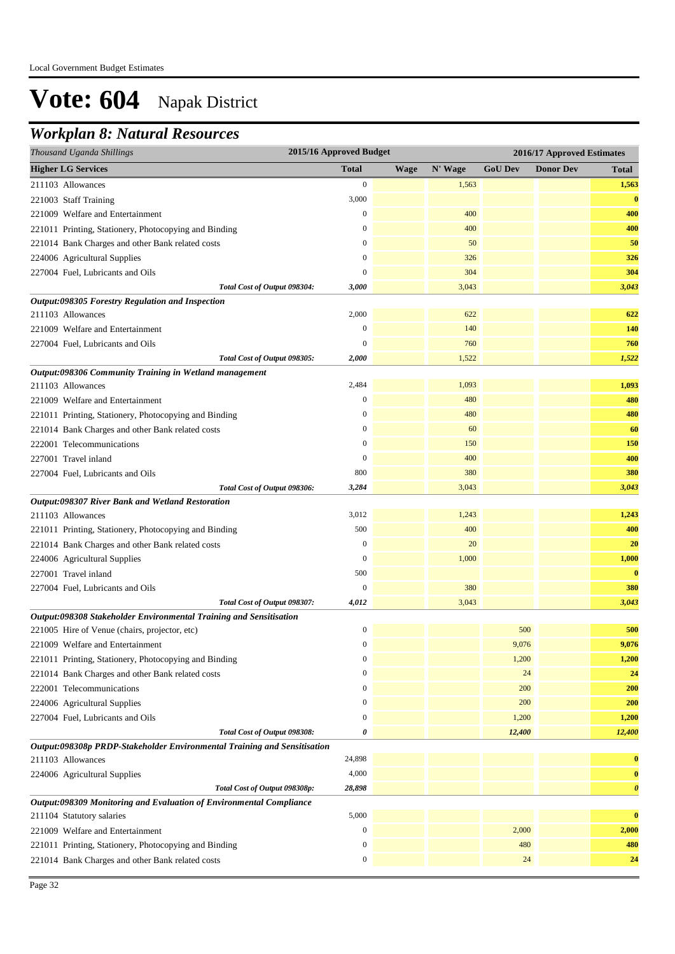## *Workplan 8: Natural Resources*

| Thousand Uganda Shillings                                                | 2015/16 Approved Budget |             |         |                | 2016/17 Approved Estimates |                       |
|--------------------------------------------------------------------------|-------------------------|-------------|---------|----------------|----------------------------|-----------------------|
| <b>Higher LG Services</b>                                                | <b>Total</b>            | <b>Wage</b> | N' Wage | <b>GoU Dev</b> | <b>Donor Dev</b>           | <b>Total</b>          |
| 211103 Allowances                                                        | $\boldsymbol{0}$        |             | 1,563   |                |                            | 1,563                 |
| 221003 Staff Training                                                    | 3,000                   |             |         |                |                            | $\bf{0}$              |
| 221009 Welfare and Entertainment                                         | $\boldsymbol{0}$        |             | 400     |                |                            | 400                   |
| 221011 Printing, Stationery, Photocopying and Binding                    | $\boldsymbol{0}$        |             | 400     |                |                            | 400                   |
| 221014 Bank Charges and other Bank related costs                         | $\boldsymbol{0}$        |             | 50      |                |                            | 50                    |
| 224006 Agricultural Supplies                                             | $\mathbf{0}$            |             | 326     |                |                            | 326                   |
| 227004 Fuel, Lubricants and Oils                                         | $\overline{0}$          |             | 304     |                |                            | 304                   |
| Total Cost of Output 098304:                                             | 3,000                   |             | 3,043   |                |                            | 3,043                 |
| Output:098305 Forestry Regulation and Inspection                         |                         |             |         |                |                            |                       |
| 211103 Allowances                                                        | 2,000                   |             | 622     |                |                            | 622                   |
| 221009 Welfare and Entertainment                                         | $\boldsymbol{0}$        |             | 140     |                |                            | 140                   |
| 227004 Fuel, Lubricants and Oils                                         | $\overline{0}$          |             | 760     |                |                            | 760                   |
| Total Cost of Output 098305:                                             | 2,000                   |             | 1,522   |                |                            | 1,522                 |
| Output:098306 Community Training in Wetland management                   |                         |             |         |                |                            |                       |
| 211103 Allowances                                                        | 2,484                   |             | 1,093   |                |                            | 1,093                 |
| 221009 Welfare and Entertainment                                         | $\boldsymbol{0}$        |             | 480     |                |                            | 480                   |
| 221011 Printing, Stationery, Photocopying and Binding                    | $\boldsymbol{0}$        |             | 480     |                |                            | 480                   |
| 221014 Bank Charges and other Bank related costs                         | $\boldsymbol{0}$        |             | 60      |                |                            | 60                    |
| 222001 Telecommunications                                                | $\boldsymbol{0}$        |             | 150     |                |                            | 150                   |
| 227001 Travel inland                                                     | $\boldsymbol{0}$        |             | 400     |                |                            | 400                   |
| 227004 Fuel, Lubricants and Oils                                         | 800                     |             | 380     |                |                            | 380                   |
| Total Cost of Output 098306:                                             | 3,284                   |             | 3,043   |                |                            | 3,043                 |
| Output:098307 River Bank and Wetland Restoration                         |                         |             |         |                |                            |                       |
| 211103 Allowances                                                        | 3,012                   |             | 1,243   |                |                            | 1,243                 |
| 221011 Printing, Stationery, Photocopying and Binding                    | 500                     |             | 400     |                |                            | 400                   |
| 221014 Bank Charges and other Bank related costs                         | $\mathbf{0}$            |             | 20      |                |                            | 20                    |
| 224006 Agricultural Supplies                                             | $\boldsymbol{0}$        |             | 1,000   |                |                            | 1,000                 |
| 227001 Travel inland                                                     | 500                     |             |         |                |                            | $\bf{0}$              |
| 227004 Fuel, Lubricants and Oils                                         | $\boldsymbol{0}$        |             | 380     |                |                            | 380                   |
| Total Cost of Output 098307:                                             | 4,012                   |             | 3,043   |                |                            | 3,043                 |
| Output:098308 Stakeholder Environmental Training and Sensitisation       |                         |             |         |                |                            |                       |
| 221005 Hire of Venue (chairs, projector, etc)                            | $\boldsymbol{0}$        |             |         | 500            |                            | 500                   |
| 221009 Welfare and Entertainment                                         | $\mathbf{0}$            |             |         | 9,076          |                            | 9,076                 |
| 221011 Printing, Stationery, Photocopying and Binding                    | $\boldsymbol{0}$        |             |         | 1,200          |                            | 1,200                 |
| 221014 Bank Charges and other Bank related costs                         | $\boldsymbol{0}$        |             |         | 24             |                            | 24                    |
| 222001 Telecommunications                                                | $\boldsymbol{0}$        |             |         | 200            |                            | 200                   |
| 224006 Agricultural Supplies                                             | $\boldsymbol{0}$        |             |         | 200            |                            | 200                   |
| 227004 Fuel, Lubricants and Oils                                         | $\boldsymbol{0}$        |             |         | 1,200          |                            | 1,200                 |
| Total Cost of Output 098308:                                             | 0                       |             |         | 12,400         |                            | 12,400                |
| Output:098308p PRDP-Stakeholder Environmental Training and Sensitisation |                         |             |         |                |                            |                       |
| 211103 Allowances                                                        | 24,898                  |             |         |                |                            | $\bf{0}$              |
| 224006 Agricultural Supplies                                             | 4,000                   |             |         |                |                            | $\bf{0}$              |
| Total Cost of Output 098308p:                                            | 28,898                  |             |         |                |                            | $\boldsymbol{\theta}$ |
| Output:098309 Monitoring and Evaluation of Environmental Compliance      |                         |             |         |                |                            |                       |
| 211104 Statutory salaries                                                | 5,000                   |             |         |                |                            | $\bf{0}$              |
| 221009 Welfare and Entertainment                                         | $\boldsymbol{0}$        |             |         | 2,000          |                            | 2,000                 |
| 221011 Printing, Stationery, Photocopying and Binding                    | $\boldsymbol{0}$        |             |         | 480            |                            | 480                   |
| 221014 Bank Charges and other Bank related costs                         | $\boldsymbol{0}$        |             |         | 24             |                            | 24                    |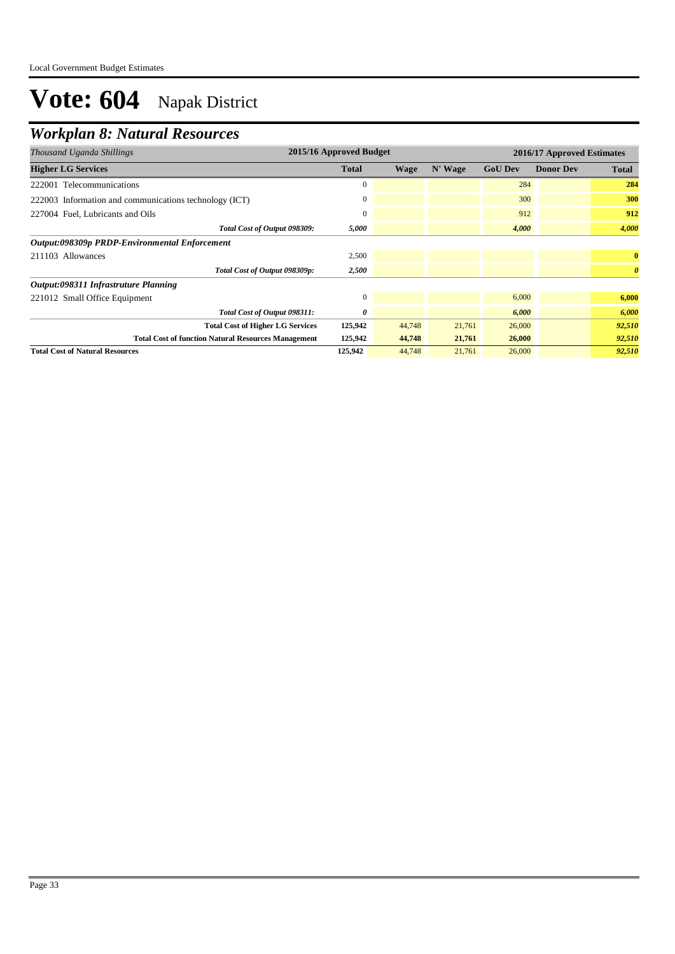## *Workplan 8: Natural Resources*

| Thousand Uganda Shillings                                  | 2015/16 Approved Budget |             |         | 2016/17 Approved Estimates |                  |                       |  |
|------------------------------------------------------------|-------------------------|-------------|---------|----------------------------|------------------|-----------------------|--|
| <b>Higher LG Services</b>                                  | <b>Total</b>            | <b>Wage</b> | N' Wage | <b>GoU Dev</b>             | <b>Donor Dev</b> | <b>Total</b>          |  |
| 222001 Telecommunications                                  | $\mathbf{0}$            |             |         | 284                        |                  | 284                   |  |
| 222003 Information and communications technology (ICT)     | $\boldsymbol{0}$        |             |         | 300                        |                  | 300                   |  |
| 227004 Fuel, Lubricants and Oils                           | $\mathbf{0}$            |             |         | 912                        |                  | 912                   |  |
| Total Cost of Output 098309:                               | 5,000                   |             |         | 4,000                      |                  | 4,000                 |  |
| Output:098309p PRDP-Environmental Enforcement              |                         |             |         |                            |                  |                       |  |
| 211103 Allowances                                          | 2,500                   |             |         |                            |                  | $\bf{0}$              |  |
| Total Cost of Output 098309p:                              | 2,500                   |             |         |                            |                  | $\boldsymbol{\theta}$ |  |
| Output:098311 Infrastruture Planning                       |                         |             |         |                            |                  |                       |  |
| 221012 Small Office Equipment                              | $\mathbf{0}$            |             |         | 6,000                      |                  | 6,000                 |  |
| Total Cost of Output 098311:                               | 0                       |             |         | 6,000                      |                  | 6,000                 |  |
| <b>Total Cost of Higher LG Services</b>                    | 125,942                 | 44,748      | 21,761  | 26,000                     |                  | 92,510                |  |
| <b>Total Cost of function Natural Resources Management</b> | 125,942                 | 44,748      | 21,761  | 26,000                     |                  | 92,510                |  |
| <b>Total Cost of Natural Resources</b>                     | 125,942                 | 44,748      | 21,761  | 26,000                     |                  | 92,510                |  |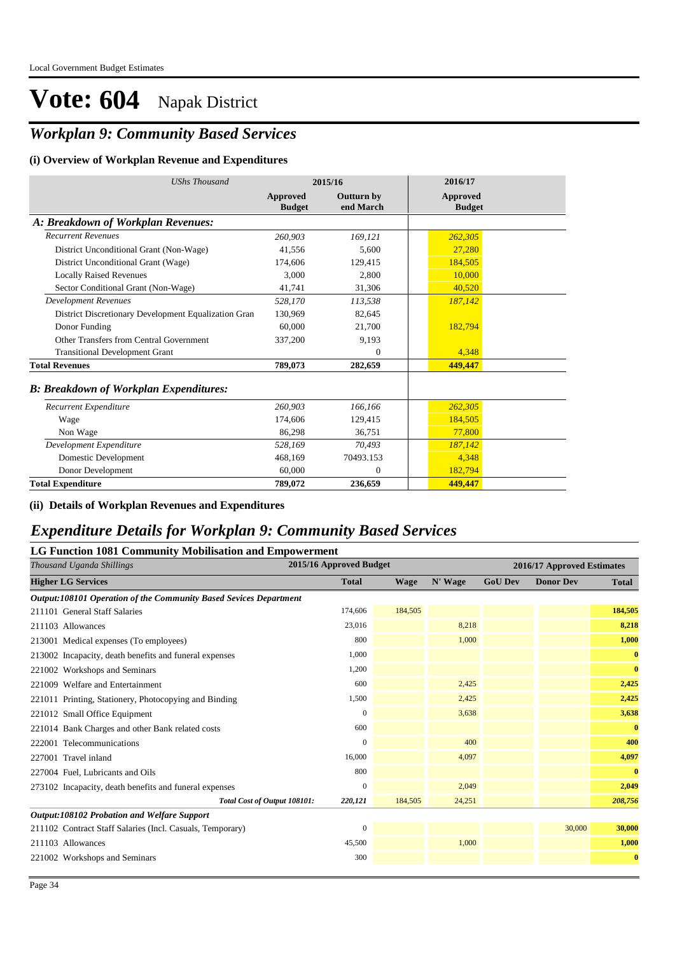## *Workplan 9: Community Based Services*

#### **(i) Overview of Workplan Revenue and Expenditures**

| <b>UShs Thousand</b>                                 | 2015/16                   |                                | 2016/17                   |
|------------------------------------------------------|---------------------------|--------------------------------|---------------------------|
|                                                      | Approved<br><b>Budget</b> | <b>Outturn by</b><br>end March | Approved<br><b>Budget</b> |
| A: Breakdown of Workplan Revenues:                   |                           |                                |                           |
| <b>Recurrent Revenues</b>                            | 260,903                   | 169,121                        | 262,305                   |
| District Unconditional Grant (Non-Wage)              | 41,556                    | 5.600                          | 27,280                    |
| District Unconditional Grant (Wage)                  | 174,606                   | 129,415                        | 184,505                   |
| <b>Locally Raised Revenues</b>                       | 3.000                     | 2.800                          | 10,000                    |
| Sector Conditional Grant (Non-Wage)                  | 41,741                    | 31,306                         | 40,520                    |
| <b>Development Revenues</b>                          | 528,170                   | 113,538                        | 187,142                   |
| District Discretionary Development Equalization Gran | 130,969                   | 82,645                         |                           |
| Donor Funding                                        | 60,000                    | 21,700                         | 182,794                   |
| Other Transfers from Central Government              | 337,200                   | 9,193                          |                           |
| <b>Transitional Development Grant</b>                |                           | $\theta$                       | 4.348                     |
| <b>Total Revenues</b>                                | 789,073                   | 282,659                        | 449,447                   |
| <b>B: Breakdown of Workplan Expenditures:</b>        |                           |                                |                           |
| Recurrent Expenditure                                | 260,903                   | 166,166                        | 262,305                   |
| Wage                                                 | 174,606                   | 129,415                        | 184,505                   |
| Non Wage                                             | 86,298                    | 36,751                         | 77,800                    |
| Development Expenditure                              | 528,169                   | 70.493                         | 187,142                   |
| Domestic Development                                 | 468,169                   | 70493.153                      | 4,348                     |
| Donor Development                                    | 60,000                    | $\theta$                       | 182,794                   |
| <b>Total Expenditure</b>                             | 789,072                   | 236,659                        | 449,447                   |

**(ii) Details of Workplan Revenues and Expenditures**

#### *Expenditure Details for Workplan 9: Community Based Services*

#### **LG Function 1081 Community Mobilisation and Empowerment**

| Thousand Uganda Shillings                                         | 2015/16 Approved Budget |             |         |                | 2016/17 Approved Estimates |              |
|-------------------------------------------------------------------|-------------------------|-------------|---------|----------------|----------------------------|--------------|
| <b>Higher LG Services</b>                                         | <b>Total</b>            | <b>Wage</b> | N' Wage | <b>GoU Dev</b> | <b>Donor Dev</b>           | <b>Total</b> |
| Output:108101 Operation of the Community Based Sevices Department |                         |             |         |                |                            |              |
| 211101 General Staff Salaries                                     | 174,606                 | 184,505     |         |                |                            | 184,505      |
| 211103 Allowances                                                 | 23,016                  |             | 8,218   |                |                            | 8,218        |
| 213001 Medical expenses (To employees)                            | 800                     |             | 1,000   |                |                            | 1,000        |
| 213002 Incapacity, death benefits and funeral expenses            | 1,000                   |             |         |                |                            | $\bf{0}$     |
| 221002 Workshops and Seminars                                     | 1,200                   |             |         |                |                            | $\bf{0}$     |
| 221009 Welfare and Entertainment                                  | 600                     |             | 2,425   |                |                            | 2,425        |
| 221011 Printing, Stationery, Photocopying and Binding             | 1,500                   |             | 2,425   |                |                            | 2,425        |
| 221012 Small Office Equipment                                     | $\mathbf{0}$            |             | 3,638   |                |                            | 3,638        |
| 221014 Bank Charges and other Bank related costs                  | 600                     |             |         |                |                            | $\bf{0}$     |
| 222001 Telecommunications                                         | $\mathbf{0}$            |             | 400     |                |                            | 400          |
| 227001 Travel inland                                              | 16,000                  |             | 4,097   |                |                            | 4,097        |
| 227004 Fuel, Lubricants and Oils                                  | 800                     |             |         |                |                            | $\bf{0}$     |
| 273102 Incapacity, death benefits and funeral expenses            | $\mathbf{0}$            |             | 2,049   |                |                            | 2,049        |
| Total Cost of Output 108101:                                      | 220,121                 | 184,505     | 24,251  |                |                            | 208,756      |
| Output:108102 Probation and Welfare Support                       |                         |             |         |                |                            |              |
| 211102 Contract Staff Salaries (Incl. Casuals, Temporary)         | $\mathbf{0}$            |             |         |                | 30,000                     | 30,000       |
| 211103 Allowances                                                 | 45,500                  |             | 1,000   |                |                            | 1,000        |
| 221002 Workshops and Seminars                                     | 300                     |             |         |                |                            | $\bf{0}$     |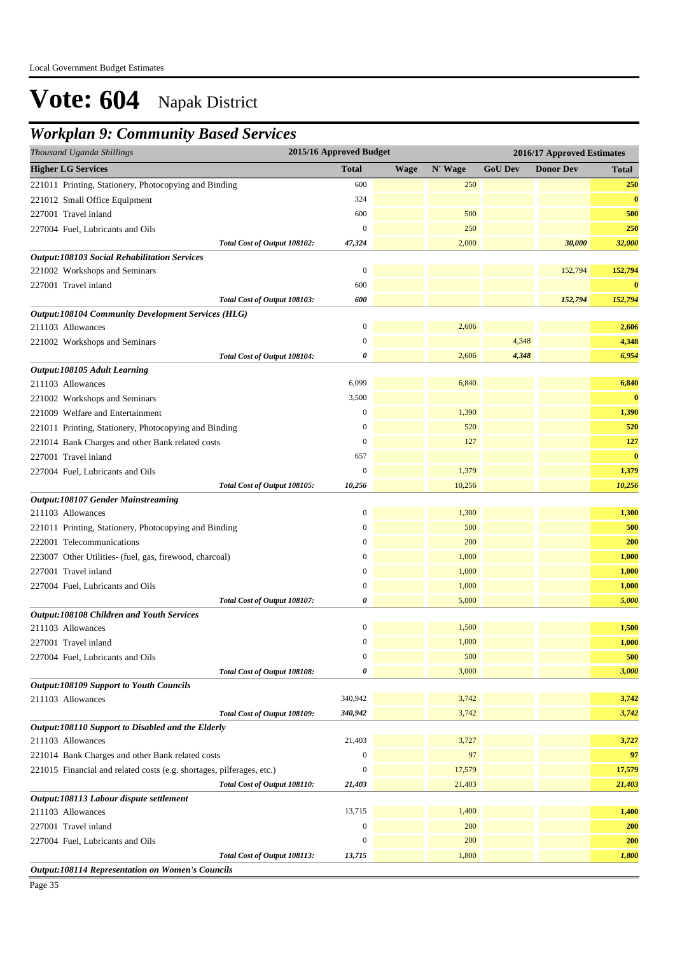### *Workplan 9: Community Based Services*

| Thousand Uganda Shillings                                                         | 2015/16 Approved Budget |             |                |                | 2016/17 Approved Estimates |              |
|-----------------------------------------------------------------------------------|-------------------------|-------------|----------------|----------------|----------------------------|--------------|
| <b>Higher LG Services</b>                                                         | <b>Total</b>            | <b>Wage</b> | N' Wage        | <b>GoU Dev</b> | <b>Donor Dev</b>           | <b>Total</b> |
| 221011 Printing, Stationery, Photocopying and Binding                             | 600                     |             | 250            |                |                            | 250          |
| 221012 Small Office Equipment                                                     | 324                     |             |                |                |                            | $\bf{0}$     |
| 227001 Travel inland                                                              | 600                     |             | 500            |                |                            | 500          |
| 227004 Fuel, Lubricants and Oils                                                  | $\mathbf{0}$            |             | 250            |                |                            | 250          |
| Total Cost of Output 108102:                                                      | 47,324                  |             | 2,000          |                | 30,000                     | 32,000       |
| <b>Output:108103 Social Rehabilitation Services</b>                               |                         |             |                |                |                            |              |
| 221002 Workshops and Seminars                                                     | $\boldsymbol{0}$        |             |                |                | 152,794                    | 152,794      |
| 227001 Travel inland                                                              | 600                     |             |                |                |                            | $\bf{0}$     |
| Total Cost of Output 108103:                                                      | 600                     |             |                |                | 152,794                    | 152,794      |
| <b>Output:108104 Community Development Services (HLG)</b>                         |                         |             |                |                |                            |              |
| 211103 Allowances                                                                 | $\boldsymbol{0}$        |             | 2,606          |                |                            | 2,606        |
| 221002 Workshops and Seminars                                                     | $\mathbf{0}$            |             |                | 4,348          |                            | 4,348        |
| Total Cost of Output 108104:                                                      | 0                       |             | 2,606          | 4,348          |                            | 6,954        |
| Output:108105 Adult Learning                                                      |                         |             |                |                |                            |              |
| 211103 Allowances                                                                 | 6,099                   |             | 6,840          |                |                            | 6,840        |
| 221002 Workshops and Seminars                                                     | 3,500                   |             |                |                |                            | $\bf{0}$     |
| 221009 Welfare and Entertainment                                                  | $\boldsymbol{0}$        |             | 1,390          |                |                            | 1,390        |
| 221011 Printing, Stationery, Photocopying and Binding                             | $\boldsymbol{0}$        |             | 520            |                |                            | 520          |
| 221014 Bank Charges and other Bank related costs                                  | $\boldsymbol{0}$        |             | 127            |                |                            | 127          |
| 227001 Travel inland                                                              | 657                     |             |                |                |                            | $\bf{0}$     |
| 227004 Fuel, Lubricants and Oils                                                  | $\mathbf{0}$            |             | 1,379          |                |                            | 1,379        |
| Total Cost of Output 108105:                                                      | 10,256                  |             | 10,256         |                |                            | 10,256       |
| <b>Output:108107 Gender Mainstreaming</b>                                         |                         |             |                |                |                            |              |
| 211103 Allowances                                                                 | $\boldsymbol{0}$        |             | 1,300          |                |                            | 1,300        |
| 221011 Printing, Stationery, Photocopying and Binding                             | $\mathbf{0}$            |             | 500            |                |                            | 500          |
| 222001 Telecommunications                                                         | $\boldsymbol{0}$        |             | 200            |                |                            | 200          |
| 223007 Other Utilities- (fuel, gas, firewood, charcoal)                           | $\boldsymbol{0}$        |             | 1,000          |                |                            | 1,000        |
| 227001 Travel inland                                                              | $\boldsymbol{0}$        |             | 1,000          |                |                            | 1,000        |
| 227004 Fuel, Lubricants and Oils                                                  | $\boldsymbol{0}$        |             | 1,000          |                |                            | 1,000        |
| Total Cost of Output 108107:                                                      | 0                       |             | 5,000          |                |                            | 5,000        |
| Output:108108 Children and Youth Services                                         |                         |             |                |                |                            |              |
| 211103 Allowances                                                                 | $\mathbf{0}$            |             | 1,500          |                |                            | 1,500        |
| 227001 Travel inland                                                              | $\boldsymbol{0}$        |             | 1,000          |                |                            | 1,000        |
| 227004 Fuel, Lubricants and Oils                                                  | $\boldsymbol{0}$        |             | 500            |                |                            | 500          |
| Total Cost of Output 108108:                                                      | 0                       |             | 3,000          |                |                            | 3,000        |
| <b>Output:108109 Support to Youth Councils</b>                                    | 340,942                 |             |                |                |                            | 3,742        |
| 211103 Allowances                                                                 | 340,942                 |             | 3,742<br>3,742 |                |                            |              |
| Total Cost of Output 108109:<br>Output:108110 Support to Disabled and the Elderly |                         |             |                |                |                            | 3,742        |
| 211103 Allowances                                                                 | 21,403                  |             | 3,727          |                |                            | 3,727        |
| 221014 Bank Charges and other Bank related costs                                  | $\boldsymbol{0}$        |             | 97             |                |                            | 97           |
| 221015 Financial and related costs (e.g. shortages, pilferages, etc.)             | $\mathbf{0}$            |             | 17,579         |                |                            | 17,579       |
| Total Cost of Output 108110:                                                      | 21,403                  |             | 21,403         |                |                            | 21,403       |
| Output:108113 Labour dispute settlement                                           |                         |             |                |                |                            |              |
| 211103 Allowances                                                                 | 13,715                  |             | 1,400          |                |                            | 1,400        |
| 227001 Travel inland                                                              | $\boldsymbol{0}$        |             | 200            |                |                            | 200          |
| 227004 Fuel, Lubricants and Oils                                                  | $\boldsymbol{0}$        |             | 200            |                |                            | 200          |
| Total Cost of Output 108113:                                                      | 13,715                  |             | 1,800          |                |                            | 1,800        |
| <b>Output:108114 Representation on Women's Councils</b>                           |                         |             |                |                |                            |              |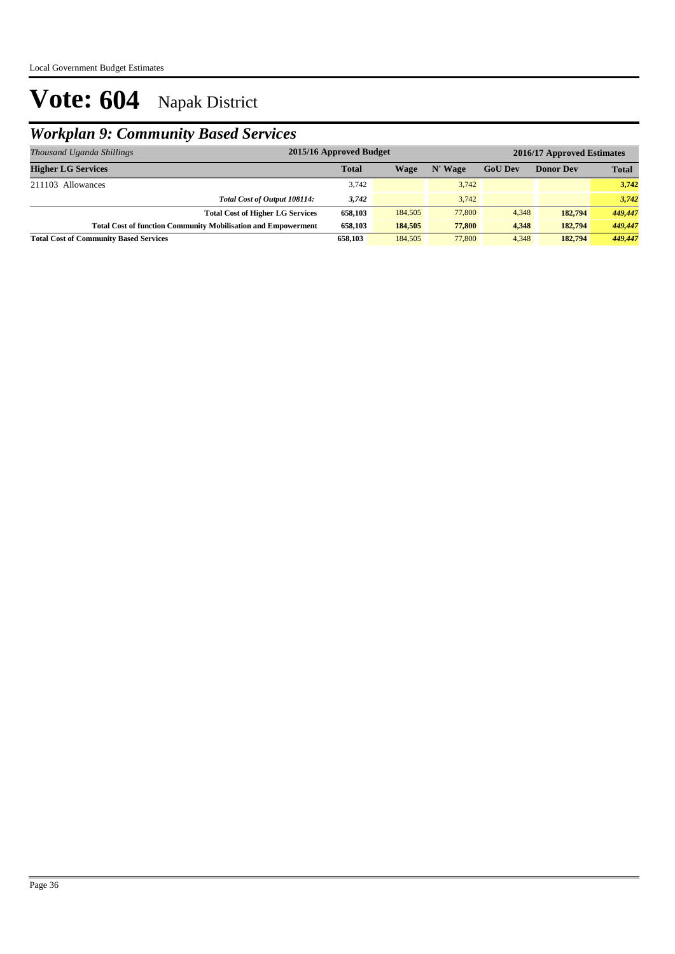## *Workplan 9: Community Based Services*

| Thousand Uganda Shillings                                            | 2015/16 Approved Budget |         |         |                | 2016/17 Approved Estimates |              |
|----------------------------------------------------------------------|-------------------------|---------|---------|----------------|----------------------------|--------------|
| <b>Higher LG Services</b>                                            | <b>Total</b>            | Wage    | N' Wage | <b>GoU Dev</b> | <b>Donor Dev</b>           | <b>Total</b> |
| 211103 Allowances                                                    | 3,742                   |         | 3,742   |                |                            | 3,742        |
| Total Cost of Output 108114:                                         | 3,742                   |         | 3.742   |                |                            | 3,742        |
| <b>Total Cost of Higher LG Services</b>                              | 658,103                 | 184,505 | 77,800  | 4,348          | 182,794                    | 449,447      |
| <b>Total Cost of function Community Mobilisation and Empowerment</b> | 658,103                 | 184,505 | 77,800  | 4,348          | 182,794                    | 449,447      |
| <b>Total Cost of Community Based Services</b>                        | 658,103                 | 184,505 | 77,800  | 4.348          | 182,794                    | 449,447      |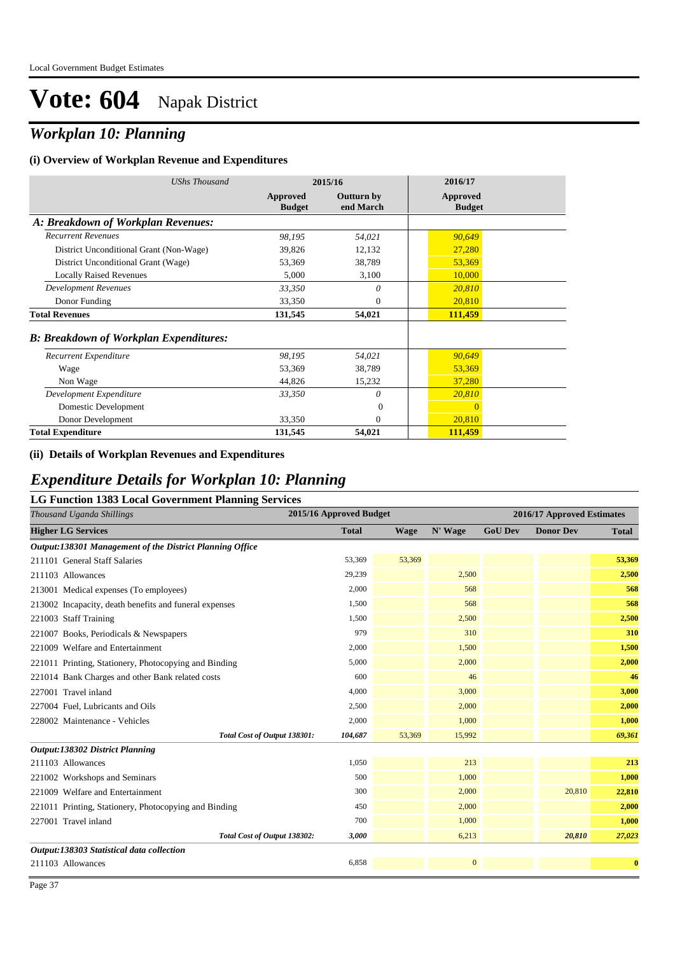## *Workplan 10: Planning*

#### **(i) Overview of Workplan Revenue and Expenditures**

| <b>UShs Thousand</b>                          |                           | 2015/16                        | 2016/17                   |
|-----------------------------------------------|---------------------------|--------------------------------|---------------------------|
|                                               | Approved<br><b>Budget</b> | <b>Outturn by</b><br>end March | Approved<br><b>Budget</b> |
| A: Breakdown of Workplan Revenues:            |                           |                                |                           |
| <b>Recurrent Revenues</b>                     | 98,195                    | 54,021                         | 90,649                    |
| District Unconditional Grant (Non-Wage)       | 39,826                    | 12,132                         | 27,280                    |
| District Unconditional Grant (Wage)           | 53,369                    | 38,789                         | 53,369                    |
| <b>Locally Raised Revenues</b>                | 5,000                     | 3,100                          | 10,000                    |
| <b>Development Revenues</b>                   | 33,350                    | 0                              | 20,810                    |
| Donor Funding                                 | 33,350                    | $\theta$                       | 20,810                    |
| <b>Total Revenues</b>                         | 131,545                   | 54,021                         | 111,459                   |
| <b>B: Breakdown of Workplan Expenditures:</b> |                           |                                |                           |
| Recurrent Expenditure                         | 98,195                    | 54,021                         | 90,649                    |
| Wage                                          | 53,369                    | 38,789                         | 53,369                    |
| Non Wage                                      | 44,826                    | 15,232                         | 37,280                    |
| Development Expenditure                       | 33,350                    | $\theta$                       | 20,810                    |
| Domestic Development                          |                           | $\theta$                       | $\overline{0}$            |
| Donor Development                             | 33,350                    | $\overline{0}$                 | 20,810                    |
| <b>Total Expenditure</b>                      | 131,545                   | 54,021                         | 111,459                   |

#### **(ii) Details of Workplan Revenues and Expenditures**

#### *Expenditure Details for Workplan 10: Planning*

#### **LG Function 1383 Local Government Planning Services**

| Thousand Uganda Shillings                                | 2015/16 Approved Budget |             |              |                | 2016/17 Approved Estimates |              |
|----------------------------------------------------------|-------------------------|-------------|--------------|----------------|----------------------------|--------------|
| <b>Higher LG Services</b>                                | <b>Total</b>            | <b>Wage</b> | N' Wage      | <b>GoU Dev</b> | <b>Donor Dev</b>           | <b>Total</b> |
| Output:138301 Management of the District Planning Office |                         |             |              |                |                            |              |
| 211101 General Staff Salaries                            | 53,369                  | 53,369      |              |                |                            | 53,369       |
| 211103 Allowances                                        | 29,239                  |             | 2,500        |                |                            | 2,500        |
| 213001 Medical expenses (To employees)                   | 2,000                   |             | 568          |                |                            | 568          |
| 213002 Incapacity, death benefits and funeral expenses   | 1,500                   |             | 568          |                |                            | 568          |
| 221003 Staff Training                                    | 1,500                   |             | 2,500        |                |                            | 2,500        |
| 221007 Books, Periodicals & Newspapers                   | 979                     |             | 310          |                |                            | 310          |
| 221009 Welfare and Entertainment                         | 2,000                   |             | 1,500        |                |                            | 1,500        |
| 221011 Printing, Stationery, Photocopying and Binding    | 5,000                   |             | 2,000        |                |                            | 2,000        |
| 221014 Bank Charges and other Bank related costs         | 600                     |             | 46           |                |                            | 46           |
| 227001 Travel inland                                     | 4,000                   |             | 3,000        |                |                            | 3,000        |
| 227004 Fuel, Lubricants and Oils                         | 2,500                   |             | 2,000        |                |                            | 2,000        |
| 228002 Maintenance - Vehicles                            | 2,000                   |             | 1,000        |                |                            | 1,000        |
| Total Cost of Output 138301:                             | 104,687                 | 53,369      | 15,992       |                |                            | 69,361       |
| Output:138302 District Planning                          |                         |             |              |                |                            |              |
| 211103 Allowances                                        | 1,050                   |             | 213          |                |                            | 213          |
| 221002 Workshops and Seminars                            | 500                     |             | 1,000        |                |                            | 1,000        |
| 221009 Welfare and Entertainment                         | 300                     |             | 2,000        |                | 20,810                     | 22,810       |
| 221011 Printing, Stationery, Photocopying and Binding    | 450                     |             | 2,000        |                |                            | 2,000        |
| 227001 Travel inland                                     | 700                     |             | 1,000        |                |                            | 1,000        |
| Total Cost of Output 138302:                             | 3,000                   |             | 6,213        |                | 20,810                     | 27,023       |
| Output:138303 Statistical data collection                |                         |             |              |                |                            |              |
| 211103 Allowances                                        | 6,858                   |             | $\mathbf{0}$ |                |                            | $\bf{0}$     |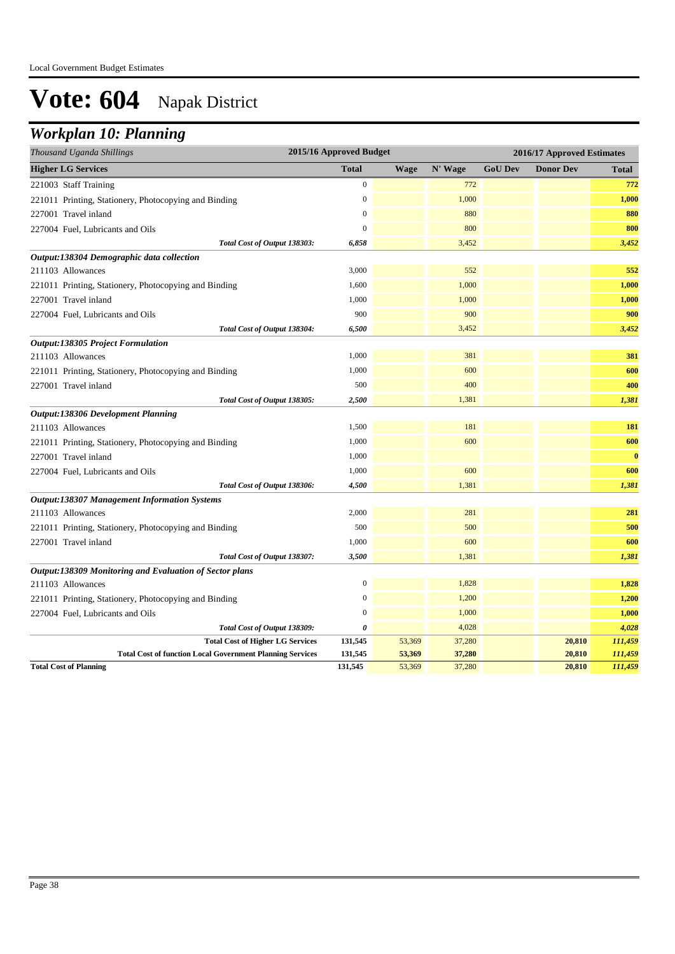### *Workplan 10: Planning*

| Thousand Uganda Shillings                                        | 2015/16 Approved Budget |             |         | 2016/17 Approved Estimates |                  |              |  |
|------------------------------------------------------------------|-------------------------|-------------|---------|----------------------------|------------------|--------------|--|
| <b>Higher LG Services</b>                                        | <b>Total</b>            | <b>Wage</b> | N' Wage | <b>GoU Dev</b>             | <b>Donor Dev</b> | <b>Total</b> |  |
| 221003 Staff Training                                            | $\boldsymbol{0}$        |             | 772     |                            |                  | 772          |  |
| 221011 Printing, Stationery, Photocopying and Binding            | $\theta$                |             | 1,000   |                            |                  | 1,000        |  |
| 227001 Travel inland                                             | $\mathbf{0}$            |             | 880     |                            |                  | 880          |  |
| 227004 Fuel, Lubricants and Oils                                 | $\boldsymbol{0}$        |             | 800     |                            |                  | 800          |  |
| Total Cost of Output 138303:                                     | 6,858                   |             | 3,452   |                            |                  | 3,452        |  |
| Output:138304 Demographic data collection                        |                         |             |         |                            |                  |              |  |
| 211103 Allowances                                                | 3,000                   |             | 552     |                            |                  | 552          |  |
| 221011 Printing, Stationery, Photocopying and Binding            | 1,600                   |             | 1,000   |                            |                  | 1,000        |  |
| 227001 Travel inland                                             | 1,000                   |             | 1,000   |                            |                  | 1,000        |  |
| 227004 Fuel, Lubricants and Oils                                 | 900                     |             | 900     |                            |                  | 900          |  |
| Total Cost of Output 138304:                                     | 6,500                   |             | 3,452   |                            |                  | 3,452        |  |
| Output:138305 Project Formulation                                |                         |             |         |                            |                  |              |  |
| 211103 Allowances                                                | 1,000                   |             | 381     |                            |                  | 381          |  |
| 221011 Printing, Stationery, Photocopying and Binding            | 1,000                   |             | 600     |                            |                  | 600          |  |
| 227001 Travel inland                                             | 500                     |             | 400     |                            |                  | 400          |  |
| Total Cost of Output 138305:                                     | 2,500                   |             | 1,381   |                            |                  | 1,381        |  |
| Output:138306 Development Planning                               |                         |             |         |                            |                  |              |  |
| 211103 Allowances                                                | 1,500                   |             | 181     |                            |                  | 181          |  |
| 221011 Printing, Stationery, Photocopying and Binding            | 1,000                   |             | 600     |                            |                  | 600          |  |
| 227001 Travel inland                                             | 1,000                   |             |         |                            |                  | $\bf{0}$     |  |
| 227004 Fuel, Lubricants and Oils                                 | 1,000                   |             | 600     |                            |                  | 600          |  |
| Total Cost of Output 138306:                                     | 4,500                   |             | 1,381   |                            |                  | 1,381        |  |
| <b>Output:138307 Management Information Systems</b>              |                         |             |         |                            |                  |              |  |
| 211103 Allowances                                                | 2,000                   |             | 281     |                            |                  | 281          |  |
| 221011 Printing, Stationery, Photocopying and Binding            | 500                     |             | 500     |                            |                  | 500          |  |
| 227001 Travel inland                                             | 1,000                   |             | 600     |                            |                  | 600          |  |
| Total Cost of Output 138307:                                     | 3,500                   |             | 1,381   |                            |                  | 1,381        |  |
| Output:138309 Monitoring and Evaluation of Sector plans          |                         |             |         |                            |                  |              |  |
| 211103 Allowances                                                | $\boldsymbol{0}$        |             | 1,828   |                            |                  | 1,828        |  |
| 221011 Printing, Stationery, Photocopying and Binding            | $\mathbf{0}$            |             | 1,200   |                            |                  | 1,200        |  |
| 227004 Fuel, Lubricants and Oils                                 | $\Omega$                |             | 1,000   |                            |                  | 1,000        |  |
| Total Cost of Output 138309:                                     | 0                       |             | 4,028   |                            |                  | 4,028        |  |
| <b>Total Cost of Higher LG Services</b>                          | 131,545                 | 53,369      | 37,280  |                            | 20,810           | 111,459      |  |
| <b>Total Cost of function Local Government Planning Services</b> | 131,545                 | 53,369      | 37,280  |                            | 20,810           | 111,459      |  |
| <b>Total Cost of Planning</b>                                    | 131,545                 | 53,369      | 37,280  |                            | 20,810           | 111,459      |  |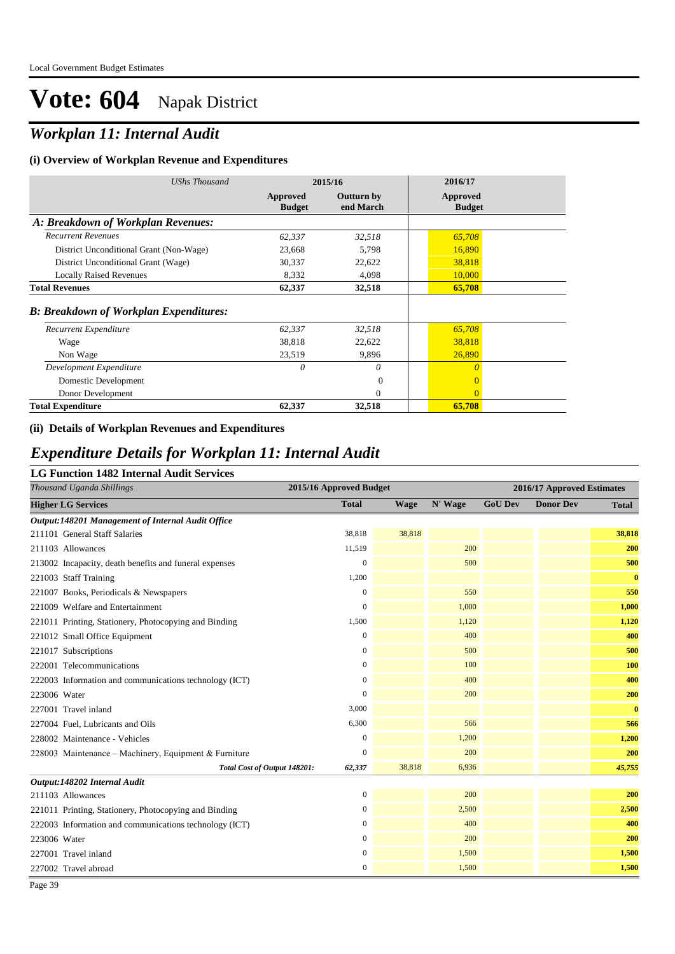## *Workplan 11: Internal Audit*

#### **(i) Overview of Workplan Revenue and Expenditures**

| UShs Thousand                                 | 2015/16                   |                                | 2016/17                   |  |
|-----------------------------------------------|---------------------------|--------------------------------|---------------------------|--|
|                                               | Approved<br><b>Budget</b> | <b>Outturn by</b><br>end March | Approved<br><b>Budget</b> |  |
| A: Breakdown of Workplan Revenues:            |                           |                                |                           |  |
| <b>Recurrent Revenues</b>                     | 62,337                    | 32,518                         | 65,708                    |  |
| District Unconditional Grant (Non-Wage)       | 23,668                    | 5,798                          | 16,890                    |  |
| District Unconditional Grant (Wage)           | 30,337                    | 22,622                         | 38,818                    |  |
| <b>Locally Raised Revenues</b>                | 8.332                     | 4,098                          | 10,000                    |  |
| <b>Total Revenues</b>                         | 62,337                    | 32,518                         | 65,708                    |  |
| <b>B: Breakdown of Workplan Expenditures:</b> |                           |                                |                           |  |
| Recurrent Expenditure                         | 62,337                    | 32,518                         | 65,708                    |  |
| Wage                                          | 38,818                    | 22,622                         | 38,818                    |  |
| Non Wage                                      | 23,519                    | 9,896                          | 26,890                    |  |
| Development Expenditure                       | $\theta$                  | 0                              | $\theta$                  |  |
| Domestic Development                          |                           | $\overline{0}$                 | $\overline{0}$            |  |
| Donor Development                             |                           | $\Omega$                       | $\Omega$                  |  |
| <b>Total Expenditure</b>                      | 62,337                    | 32,518                         | 65,708                    |  |

#### **(ii) Details of Workplan Revenues and Expenditures**

#### *Expenditure Details for Workplan 11: Internal Audit*

#### **LG Function 1482 Internal Audit Services**

| 20 1 anchon 1402 micrimi Adam Sci<br>Thousand Uganda Shillings | 2015/16 Approved Budget |             |         |                | 2016/17 Approved Estimates |              |
|----------------------------------------------------------------|-------------------------|-------------|---------|----------------|----------------------------|--------------|
| <b>Higher LG Services</b>                                      | <b>Total</b>            | <b>Wage</b> | N' Wage | <b>GoU Dev</b> | <b>Donor Dev</b>           | <b>Total</b> |
| Output:148201 Management of Internal Audit Office              |                         |             |         |                |                            |              |
| 211101 General Staff Salaries                                  | 38,818                  | 38,818      |         |                |                            | 38,818       |
| 211103 Allowances                                              | 11,519                  |             | 200     |                |                            | 200          |
| 213002 Incapacity, death benefits and funeral expenses         | $\boldsymbol{0}$        |             | 500     |                |                            | 500          |
| 221003 Staff Training                                          | 1,200                   |             |         |                |                            | $\bf{0}$     |
| 221007 Books, Periodicals & Newspapers                         | $\overline{0}$          |             | 550     |                |                            | 550          |
| 221009 Welfare and Entertainment                               | $\overline{0}$          |             | 1,000   |                |                            | 1,000        |
| 221011 Printing, Stationery, Photocopying and Binding          | 1,500                   |             | 1,120   |                |                            | 1,120        |
| 221012 Small Office Equipment                                  | $\overline{0}$          |             | 400     |                |                            | 400          |
| 221017 Subscriptions                                           | $\boldsymbol{0}$        |             | 500     |                |                            | 500          |
| 222001 Telecommunications                                      | $\mathbf{0}$            |             | 100     |                |                            | 100          |
| 222003 Information and communications technology (ICT)         | $\boldsymbol{0}$        |             | 400     |                |                            | 400          |
| 223006 Water                                                   | $\theta$                |             | 200     |                |                            | 200          |
| 227001 Travel inland                                           | 3,000                   |             |         |                |                            | $\bf{0}$     |
| 227004 Fuel, Lubricants and Oils                               | 6,300                   |             | 566     |                |                            | 566          |
| 228002 Maintenance - Vehicles                                  | $\mathbf{0}$            |             | 1,200   |                |                            | 1,200        |
| 228003 Maintenance - Machinery, Equipment & Furniture          | $\Omega$                |             | 200     |                |                            | 200          |
| Total Cost of Output 148201:                                   | 62,337                  | 38,818      | 6,936   |                |                            | 45,755       |
| Output:148202 Internal Audit                                   |                         |             |         |                |                            |              |
| 211103 Allowances                                              | $\mathbf{0}$            |             | 200     |                |                            | 200          |
| 221011 Printing, Stationery, Photocopying and Binding          | $\boldsymbol{0}$        |             | 2,500   |                |                            | 2,500        |
| 222003 Information and communications technology (ICT)         | $\boldsymbol{0}$        |             | 400     |                |                            | 400          |
| 223006 Water                                                   | $\mathbf{0}$            |             | 200     |                |                            | 200          |
| 227001 Travel inland                                           | $\boldsymbol{0}$        |             | 1,500   |                |                            | 1,500        |
| 227002 Travel abroad                                           | $\boldsymbol{0}$        |             | 1,500   |                |                            | 1,500        |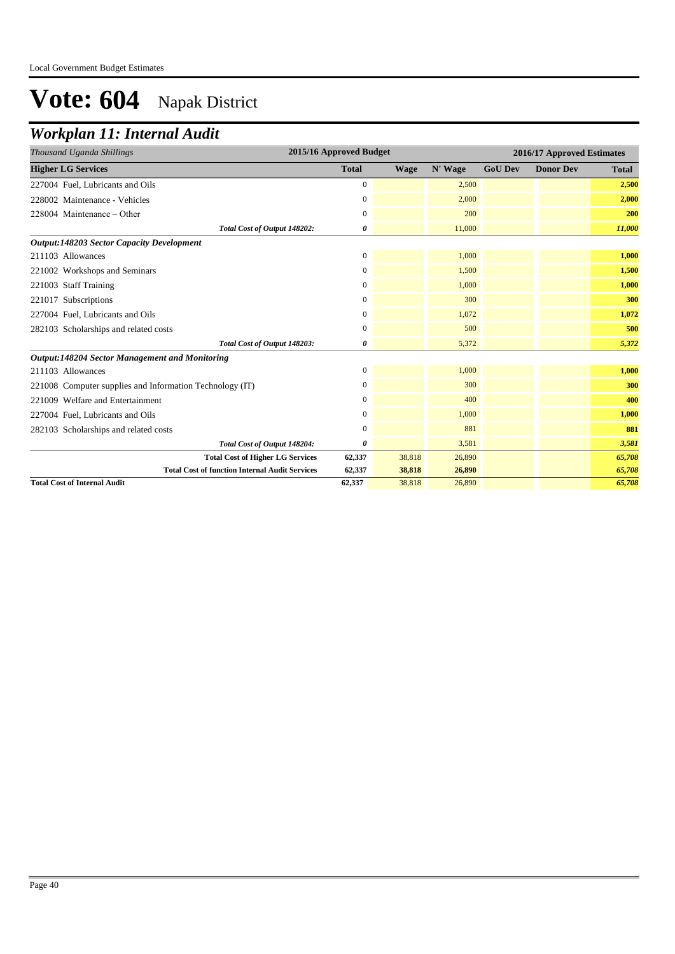### *Workplan 11: Internal Audit*

| 2015/16 Approved Budget<br>Thousand Uganda Shillings     |                       |             |         | 2016/17 Approved Estimates |                  |              |  |
|----------------------------------------------------------|-----------------------|-------------|---------|----------------------------|------------------|--------------|--|
| <b>Higher LG Services</b>                                | <b>Total</b>          | <b>Wage</b> | N' Wage | <b>GoU Dev</b>             | <b>Donor Dev</b> | <b>Total</b> |  |
| 227004 Fuel, Lubricants and Oils                         | $\mathbf{0}$          |             | 2,500   |                            |                  | 2,500        |  |
| 228002 Maintenance - Vehicles                            | $\mathbf{0}$          |             | 2,000   |                            |                  | 2,000        |  |
| 228004 Maintenance - Other                               | $\mathbf{0}$          |             | 200     |                            |                  | 200          |  |
| Total Cost of Output 148202:                             | 0                     |             | 11,000  |                            |                  | 11,000       |  |
| <b>Output:148203 Sector Capacity Development</b>         |                       |             |         |                            |                  |              |  |
| 211103 Allowances                                        | $\mathbf{0}$          |             | 1,000   |                            |                  | 1,000        |  |
| 221002 Workshops and Seminars                            | $\mathbf{0}$          |             | 1,500   |                            |                  | 1,500        |  |
| 221003 Staff Training                                    | $\boldsymbol{0}$      |             | 1,000   |                            |                  | 1,000        |  |
| 221017 Subscriptions                                     | $\mathbf{0}$          |             | 300     |                            |                  | 300          |  |
| 227004 Fuel, Lubricants and Oils                         | $\mathbf{0}$          |             | 1,072   |                            |                  | 1,072        |  |
| 282103 Scholarships and related costs                    | $\mathbf{0}$          |             | 500     |                            |                  | 500          |  |
| Total Cost of Output 148203:                             | $\boldsymbol{\theta}$ |             | 5,372   |                            |                  | 5,372        |  |
| <b>Output:148204 Sector Management and Monitoring</b>    |                       |             |         |                            |                  |              |  |
| 211103 Allowances                                        | $\boldsymbol{0}$      |             | 1,000   |                            |                  | 1,000        |  |
| 221008 Computer supplies and Information Technology (IT) | $\mathbf{0}$          |             | 300     |                            |                  | 300          |  |
| 221009 Welfare and Entertainment                         | $\mathbf{0}$          |             | 400     |                            |                  | 400          |  |
| 227004 Fuel, Lubricants and Oils                         | $\mathbf{0}$          |             | 1,000   |                            |                  | 1,000        |  |
| 282103 Scholarships and related costs                    | $\boldsymbol{0}$      |             | 881     |                            |                  | 881          |  |
| Total Cost of Output 148204:                             | 0                     |             | 3,581   |                            |                  | 3,581        |  |
| <b>Total Cost of Higher LG Services</b>                  | 62,337                | 38,818      | 26,890  |                            |                  | 65,708       |  |
| <b>Total Cost of function Internal Audit Services</b>    | 62,337                | 38,818      | 26,890  |                            |                  | 65,708       |  |
| <b>Total Cost of Internal Audit</b>                      | 62,337                | 38,818      | 26,890  |                            |                  | 65,708       |  |